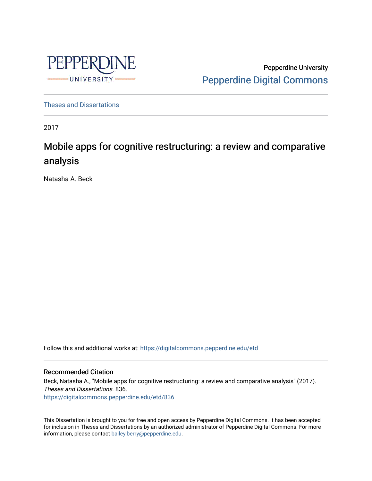

Pepperdine University [Pepperdine Digital Commons](https://digitalcommons.pepperdine.edu/) 

[Theses and Dissertations](https://digitalcommons.pepperdine.edu/etd)

2017

# Mobile apps for cognitive restructuring: a review and comparative analysis

Natasha A. Beck

Follow this and additional works at: [https://digitalcommons.pepperdine.edu/etd](https://digitalcommons.pepperdine.edu/etd?utm_source=digitalcommons.pepperdine.edu%2Fetd%2F836&utm_medium=PDF&utm_campaign=PDFCoverPages) 

#### Recommended Citation

Beck, Natasha A., "Mobile apps for cognitive restructuring: a review and comparative analysis" (2017). Theses and Dissertations. 836. [https://digitalcommons.pepperdine.edu/etd/836](https://digitalcommons.pepperdine.edu/etd/836?utm_source=digitalcommons.pepperdine.edu%2Fetd%2F836&utm_medium=PDF&utm_campaign=PDFCoverPages) 

This Dissertation is brought to you for free and open access by Pepperdine Digital Commons. It has been accepted for inclusion in Theses and Dissertations by an authorized administrator of Pepperdine Digital Commons. For more information, please contact [bailey.berry@pepperdine.edu.](mailto:bailey.berry@pepperdine.edu)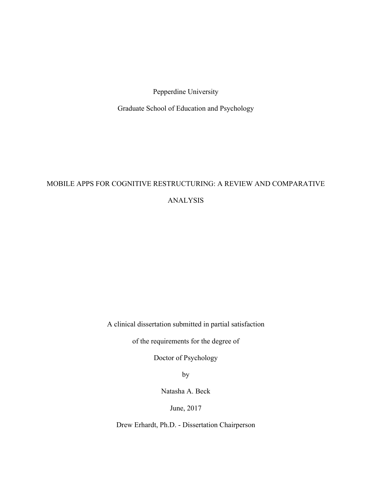Pepperdine University

Graduate School of Education and Psychology

## MOBILE APPS FOR COGNITIVE RESTRUCTURING: A REVIEW AND COMPARATIVE ANALYSIS

A clinical dissertation submitted in partial satisfaction

of the requirements for the degree of

Doctor of Psychology

by

Natasha A. Beck

June, 2017

Drew Erhardt, Ph.D. - Dissertation Chairperson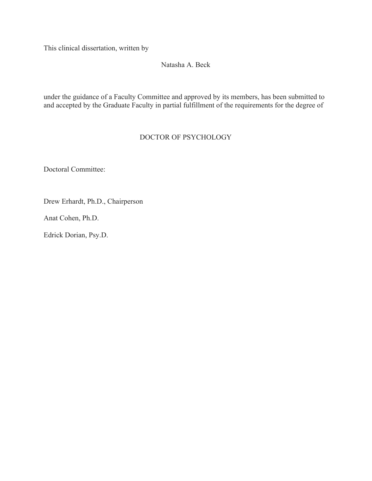This clinical dissertation, written by

#### Natasha A. Beck

under the guidance of a Faculty Committee and approved by its members, has been submitted to and accepted by the Graduate Faculty in partial fulfillment of the requirements for the degree of

#### DOCTOR OF PSYCHOLOGY

Doctoral Committee:

Drew Erhardt, Ph.D., Chairperson

Anat Cohen, Ph.D.

Edrick Dorian, Psy.D.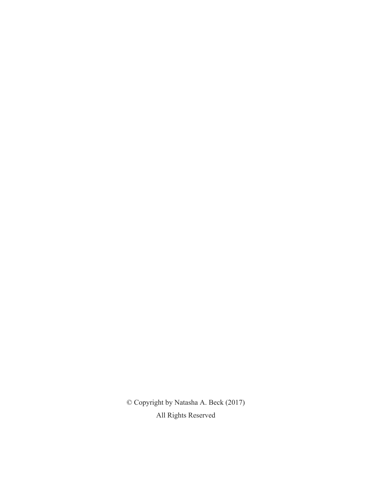© Copyright by Natasha A. Beck (2017) All Rights Reserved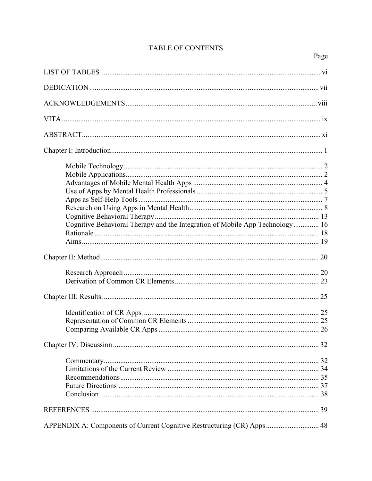| Cognitive Behavioral Therapy and the Integration of Mobile App Technology 16 |  |
|------------------------------------------------------------------------------|--|
|                                                                              |  |
|                                                                              |  |
|                                                                              |  |
|                                                                              |  |
|                                                                              |  |
|                                                                              |  |
|                                                                              |  |
| APPENDIX A: Components of Current Cognitive Restructuring (CR) Apps 48       |  |

## TABLE OF CONTENTS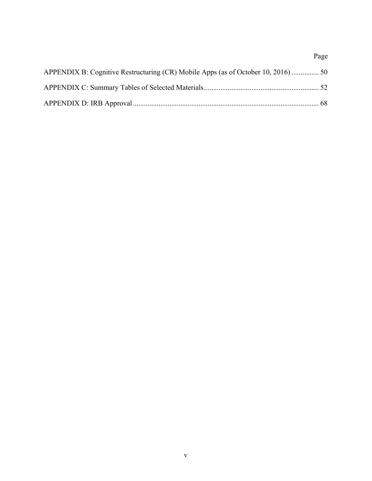# Page APPENDIX B: Cognitive Restructuring (CR) Mobile Apps (as of October 10, 2016) ............... 50 APPENDIX C: Summary Tables of Selected Materials............................................................... 52 APPENDIX D: IRB Approval...................................................................................................... 68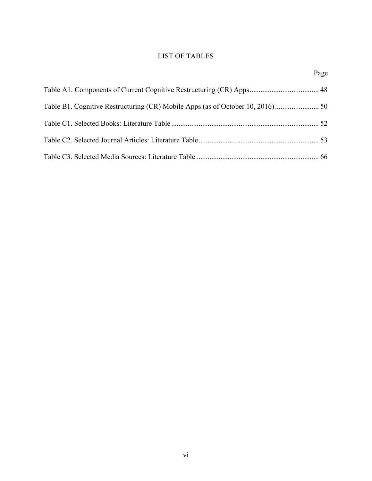## LIST OF TABLES

Page

| Table B1. Cognitive Restructuring (CR) Mobile Apps (as of October 10, 2016) |  |  |  |
|-----------------------------------------------------------------------------|--|--|--|
|                                                                             |  |  |  |
|                                                                             |  |  |  |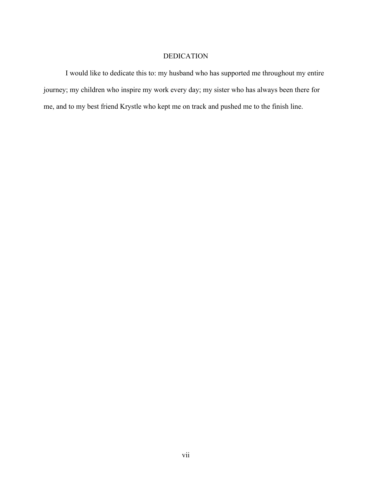## DEDICATION

I would like to dedicate this to: my husband who has supported me throughout my entire journey; my children who inspire my work every day; my sister who has always been there for me, and to my best friend Krystle who kept me on track and pushed me to the finish line.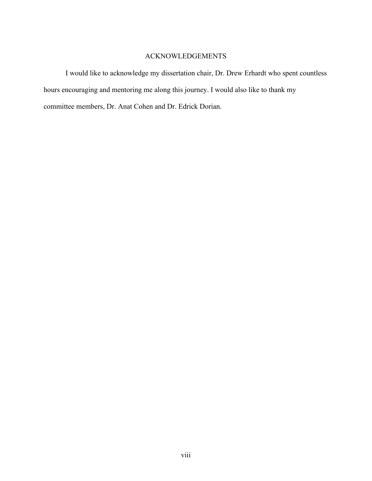## ACKNOWLEDGEMENTS

I would like to acknowledge my dissertation chair, Dr. Drew Erhardt who spent countless hours encouraging and mentoring me along this journey. I would also like to thank my committee members, Dr. Anat Cohen and Dr. Edrick Dorian.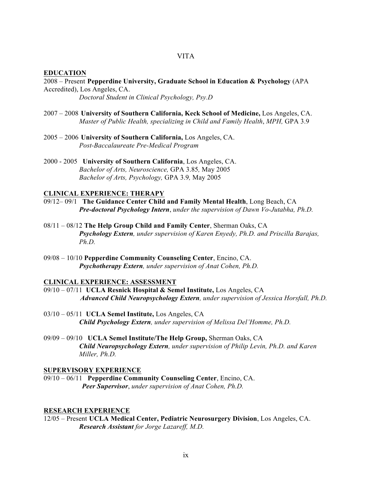#### **EDUCATION**

2008 – Present **Pepperdine University, Graduate School in Education & Psychology** (APA Accredited), Los Angeles, CA.

*Doctoral Student in Clinical Psychology, Psy.D*

- 2007 2008 **University of Southern California, Keck School of Medicine,** Los Angeles, CA. *Master of Public Health, specializing in Child and Family Health*, *MPH,* GPA 3.9
- 2005 2006 **University of Southern California,** Los Angeles, CA. *Post-Baccalaureate Pre-Medical Program*
- 2000 2005 **University of Southern California**, Los Angeles, CA. *Bachelor of Arts, Neuroscience,* GPA 3.85*,* May 2005 *Bachelor of Arts, Psychology,* GPA 3.9*,* May 2005

#### **CLINICAL EXPERIENCE: THERAPY**

- 09/12– 09/1 **The Guidance Center Child and Family Mental Health**, Long Beach, CA *Pre-doctoral Psychology Intern*, *under the supervision of Dawn Vo-Jutabha, Ph.D.*
- 08/11 08/12 **The Help Group Child and Family Center**, Sherman Oaks, CA *Psychology Extern, under supervision of Karen Enyedy, Ph.D. and Priscilla Barajas, Ph.D.*
- 09/08 10/10 **Pepperdine Community Counseling Center**, Encino, CA. *Psychotherapy Extern, under supervision of Anat Cohen, Ph.D.*

#### **CLINICAL EXPERIENCE: ASSESSMENT**

- 09/10 07/11 **UCLA Resnick Hospital & Semel Institute,** Los Angeles, CA *Advanced Child Neuropsychology Extern, under supervision of Jessica Horsfall, Ph.D.*
- 03/10 05/11 **UCLA Semel Institute,** Los Angeles, CA *Child Psychology Extern, under supervision of Melissa Del'Homme, Ph.D.*
- 09/09 09/10 **UCLA Semel Institute/The Help Group,** Sherman Oaks, CA *Child Neuropsychology Extern, under supervision of Philip Levin, Ph.D. and Karen Miller, Ph.D.*

#### **SUPERVISORY EXPERIENCE**

09/10 – 06/11 **Pepperdine Community Counseling Center**, Encino, CA. *Peer Supervisor*, *under supervision of Anat Cohen, Ph.D.*

#### **RESEARCH EXPERIENCE**

12/05 – Present **UCLA Medical Center, Pediatric Neurosurgery Division**, Los Angeles, CA. *Research Assistant for Jorge Lazareff, M.D.*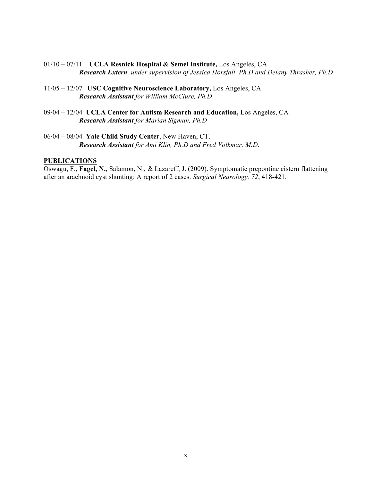- 01/10 07/11 **UCLA Resnick Hospital & Semel Institute,** Los Angeles, CA *Research Extern, under supervision of Jessica Horsfall, Ph.D and Delany Thrasher, Ph.D*
- 11/05 12/07 **USC Cognitive Neuroscience Laboratory,** Los Angeles, CA. *Research Assistant for William McClure, Ph.D*
- 09/04 12/04 **UCLA Center for Autism Research and Education,** Los Angeles, CA *Research Assistant for Marian Sigman, Ph.D*
- 06/04 08/04 **Yale Child Study Center**, New Haven, CT. *Research Assistant for Ami Klin, Ph.D and Fred Volkmar, M.D.*

#### **PUBLICATIONS**

Oswagu, F., **Fagel, N.,** Salamon, N., & Lazareff, J. (2009). Symptomatic prepontine cistern flattening after an arachnoid cyst shunting: A report of 2 cases. *Surgical Neurology, 72*, 418-421.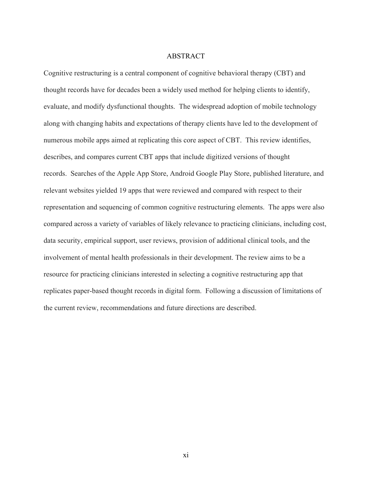#### ABSTRACT

Cognitive restructuring is a central component of cognitive behavioral therapy (CBT) and thought records have for decades been a widely used method for helping clients to identify, evaluate, and modify dysfunctional thoughts. The widespread adoption of mobile technology along with changing habits and expectations of therapy clients have led to the development of numerous mobile apps aimed at replicating this core aspect of CBT. This review identifies, describes, and compares current CBT apps that include digitized versions of thought records. Searches of the Apple App Store, Android Google Play Store, published literature, and relevant websites yielded 19 apps that were reviewed and compared with respect to their representation and sequencing of common cognitive restructuring elements. The apps were also compared across a variety of variables of likely relevance to practicing clinicians, including cost, data security, empirical support, user reviews, provision of additional clinical tools, and the involvement of mental health professionals in their development. The review aims to be a resource for practicing clinicians interested in selecting a cognitive restructuring app that replicates paper-based thought records in digital form. Following a discussion of limitations of the current review, recommendations and future directions are described.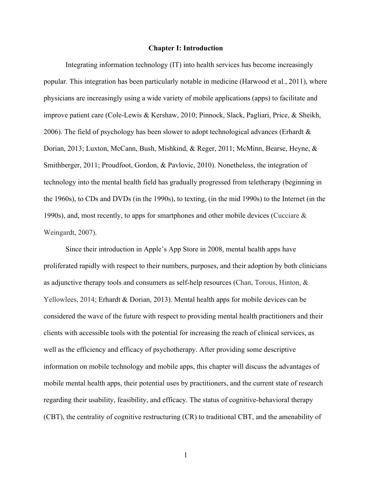#### **Chapter I: Introduction**

Integrating information technology (IT) into health services has become increasingly popular. This integration has been particularly notable in medicine (Harwood et al., 2011), where physicians are increasingly using a wide variety of mobile applications (apps) to facilitate and improve patient care (Cole-Lewis & Kershaw, 2010; Pinnock, Slack, Pagliari, Price, & Sheikh, 2006). The field of psychology has been slower to adopt technological advances (Erhardt  $\&$ Dorian, 2013; Luxton, McCann, Bush, Mishkind, & Reger, 2011; McMinn, Bearse, Heyne, & Smithberger, 2011; Proudfoot, Gordon, & Pavlovic, 2010). Nonetheless, the integration of technology into the mental health field has gradually progressed from teletherapy (beginning in the 1960s), to CDs and DVDs (in the 1990s), to texting, (in the mid 1990s) to the Internet (in the 1990s), and, most recently, to apps for smartphones and other mobile devices (Cucciare & Weingardt, 2007).

Since their introduction in Apple's App Store in 2008, mental health apps have proliferated rapidly with respect to their numbers, purposes, and their adoption by both clinicians as adjunctive therapy tools and consumers as self-help resources (Chan, Torous, Hinton, & Yellowlees, 2014; Erhardt & Dorian, 2013). Mental health apps for mobile devices can be considered the wave of the future with respect to providing mental health practitioners and their clients with accessible tools with the potential for increasing the reach of clinical services, as well as the efficiency and efficacy of psychotherapy. After providing some descriptive information on mobile technology and mobile apps, this chapter will discuss the advantages of mobile mental health apps, their potential uses by practitioners, and the current state of research regarding their usability, feasibility, and efficacy. The status of cognitive-behavioral therapy (CBT), the centrality of cognitive restructuring (CR) to traditional CBT, and the amenability of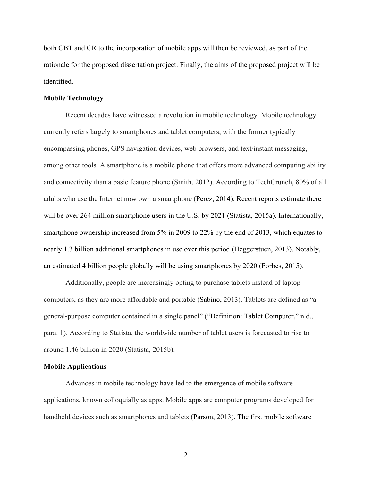both CBT and CR to the incorporation of mobile apps will then be reviewed, as part of the rationale for the proposed dissertation project. Finally, the aims of the proposed project will be identified.

#### **Mobile Technology**

Recent decades have witnessed a revolution in mobile technology. Mobile technology currently refers largely to smartphones and tablet computers, with the former typically encompassing phones, GPS navigation devices, web browsers, and text/instant messaging, among other tools. A smartphone is a mobile phone that offers more advanced computing ability and connectivity than a basic feature phone (Smith, 2012). According to TechCrunch, 80% of all adults who use the Internet now own a smartphone (Perez, 2014). Recent reports estimate there will be over 264 million smartphone users in the U.S. by 2021 (Statista, 2015a). Internationally, smartphone ownership increased from 5% in 2009 to 22% by the end of 2013, which equates to nearly 1.3 billion additional smartphones in use over this period (Heggerstuen, 2013). Notably, an estimated 4 billion people globally will be using smartphones by 2020 (Forbes, 2015).

Additionally, people are increasingly opting to purchase tablets instead of laptop computers, as they are more affordable and portable (Sabino, 2013). Tablets are defined as "a general-purpose computer contained in a single panel" ("Definition: Tablet Computer," n.d., para. 1). According to Statista, the worldwide number of tablet users is forecasted to rise to around 1.46 billion in 2020 (Statista, 2015b).

#### **Mobile Applications**

Advances in mobile technology have led to the emergence of mobile software applications, known colloquially as apps. Mobile apps are computer programs developed for handheld devices such as smartphones and tablets (Parson, 2013). The first mobile software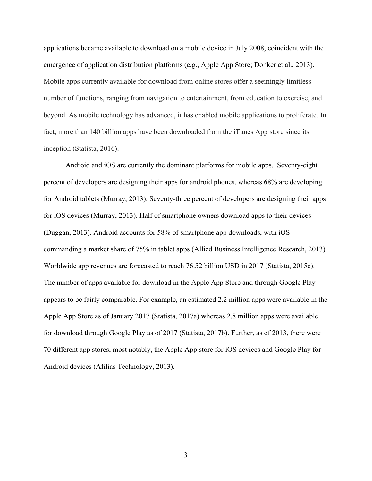applications became available to download on a mobile device in July 2008, coincident with the emergence of application distribution platforms (e.g., Apple App Store; Donker et al., 2013). Mobile apps currently available for download from online stores offer a seemingly limitless number of functions, ranging from navigation to entertainment, from education to exercise, and beyond. As mobile technology has advanced, it has enabled mobile applications to proliferate. In fact, more than 140 billion apps have been downloaded from the iTunes App store since its inception (Statista, 2016).

Android and iOS are currently the dominant platforms for mobile apps. Seventy-eight percent of developers are designing their apps for android phones, whereas 68% are developing for Android tablets (Murray, 2013). Seventy-three percent of developers are designing their apps for iOS devices (Murray, 2013). Half of smartphone owners download apps to their devices (Duggan, 2013). Android accounts for 58% of smartphone app downloads, with iOS commanding a market share of 75% in tablet apps (Allied Business Intelligence Research, 2013). Worldwide app revenues are forecasted to reach 76.52 billion USD in 2017 (Statista, 2015c). The number of apps available for download in the Apple App Store and through Google Play appears to be fairly comparable. For example, an estimated 2.2 million apps were available in the Apple App Store as of January 2017 (Statista, 2017a) whereas 2.8 million apps were available for download through Google Play as of 2017 (Statista, 2017b). Further, as of 2013, there were 70 different app stores, most notably, the Apple App store for iOS devices and Google Play for Android devices (Afilias Technology, 2013).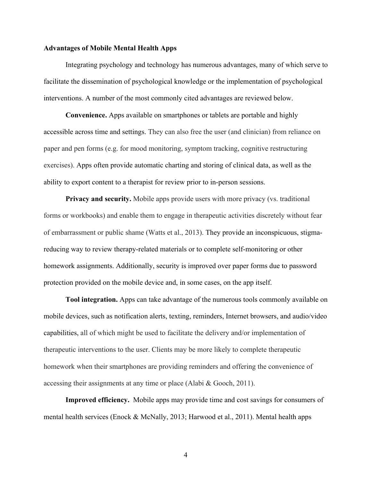#### **Advantages of Mobile Mental Health Apps**

Integrating psychology and technology has numerous advantages, many of which serve to facilitate the dissemination of psychological knowledge or the implementation of psychological interventions. A number of the most commonly cited advantages are reviewed below.

**Convenience.** Apps available on smartphones or tablets are portable and highly accessible across time and settings. They can also free the user (and clinician) from reliance on paper and pen forms (e.g. for mood monitoring, symptom tracking, cognitive restructuring exercises). Apps often provide automatic charting and storing of clinical data, as well as the ability to export content to a therapist for review prior to in-person sessions.

**Privacy and security.** Mobile apps provide users with more privacy (vs. traditional forms or workbooks) and enable them to engage in therapeutic activities discretely without fear of embarrassment or public shame (Watts et al., 2013). They provide an inconspicuous, stigmareducing way to review therapy-related materials or to complete self-monitoring or other homework assignments. Additionally, security is improved over paper forms due to password protection provided on the mobile device and, in some cases, on the app itself.

**Tool integration.** Apps can take advantage of the numerous tools commonly available on mobile devices, such as notification alerts, texting, reminders, Internet browsers, and audio/video capabilities, all of which might be used to facilitate the delivery and/or implementation of therapeutic interventions to the user. Clients may be more likely to complete therapeutic homework when their smartphones are providing reminders and offering the convenience of accessing their assignments at any time or place (Alabi & Gooch, 2011).

**Improved efficiency.** Mobile apps may provide time and cost savings for consumers of mental health services (Enock & McNally, 2013; Harwood et al., 2011). Mental health apps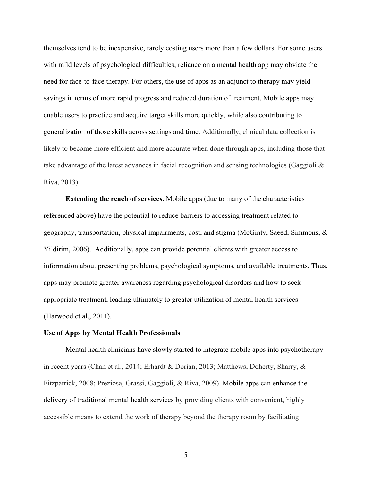themselves tend to be inexpensive, rarely costing users more than a few dollars. For some users with mild levels of psychological difficulties, reliance on a mental health app may obviate the need for face-to-face therapy. For others, the use of apps as an adjunct to therapy may yield savings in terms of more rapid progress and reduced duration of treatment. Mobile apps may enable users to practice and acquire target skills more quickly, while also contributing to generalization of those skills across settings and time. Additionally, clinical data collection is likely to become more efficient and more accurate when done through apps, including those that take advantage of the latest advances in facial recognition and sensing technologies (Gaggioli & Riva, 2013).

**Extending the reach of services.** Mobile apps (due to many of the characteristics referenced above) have the potential to reduce barriers to accessing treatment related to geography, transportation, physical impairments, cost, and stigma (McGinty, Saeed, Simmons, & Yildirim, 2006). Additionally, apps can provide potential clients with greater access to information about presenting problems, psychological symptoms, and available treatments. Thus, apps may promote greater awareness regarding psychological disorders and how to seek appropriate treatment, leading ultimately to greater utilization of mental health services (Harwood et al., 2011).

#### **Use of Apps by Mental Health Professionals**

Mental health clinicians have slowly started to integrate mobile apps into psychotherapy in recent years (Chan et al., 2014; Erhardt & Dorian, 2013; Matthews, Doherty, Sharry, & Fitzpatrick, 2008; Preziosa, Grassi, Gaggioli, & Riva, 2009). Mobile apps can enhance the delivery of traditional mental health services by providing clients with convenient, highly accessible means to extend the work of therapy beyond the therapy room by facilitating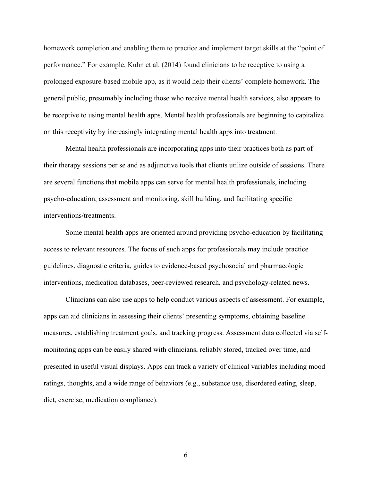homework completion and enabling them to practice and implement target skills at the "point of performance." For example, Kuhn et al. (2014) found clinicians to be receptive to using a prolonged exposure-based mobile app, as it would help their clients' complete homework. The general public, presumably including those who receive mental health services, also appears to be receptive to using mental health apps. Mental health professionals are beginning to capitalize on this receptivity by increasingly integrating mental health apps into treatment.

Mental health professionals are incorporating apps into their practices both as part of their therapy sessions per se and as adjunctive tools that clients utilize outside of sessions. There are several functions that mobile apps can serve for mental health professionals, including psycho-education, assessment and monitoring, skill building, and facilitating specific interventions/treatments.

Some mental health apps are oriented around providing psycho-education by facilitating access to relevant resources. The focus of such apps for professionals may include practice guidelines, diagnostic criteria, guides to evidence-based psychosocial and pharmacologic interventions, medication databases, peer-reviewed research, and psychology-related news.

Clinicians can also use apps to help conduct various aspects of assessment. For example, apps can aid clinicians in assessing their clients' presenting symptoms, obtaining baseline measures, establishing treatment goals, and tracking progress. Assessment data collected via selfmonitoring apps can be easily shared with clinicians, reliably stored, tracked over time, and presented in useful visual displays. Apps can track a variety of clinical variables including mood ratings, thoughts, and a wide range of behaviors (e.g., substance use, disordered eating, sleep, diet, exercise, medication compliance).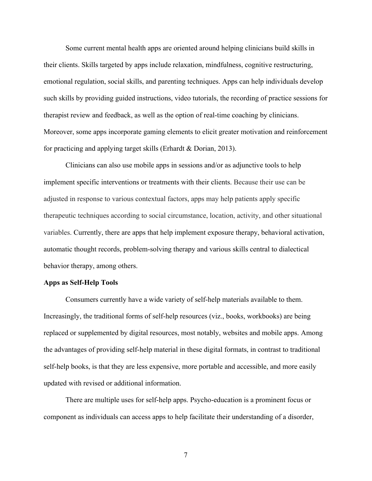Some current mental health apps are oriented around helping clinicians build skills in their clients. Skills targeted by apps include relaxation, mindfulness, cognitive restructuring, emotional regulation, social skills, and parenting techniques. Apps can help individuals develop such skills by providing guided instructions, video tutorials, the recording of practice sessions for therapist review and feedback, as well as the option of real-time coaching by clinicians. Moreover, some apps incorporate gaming elements to elicit greater motivation and reinforcement for practicing and applying target skills (Erhardt & Dorian, 2013).

Clinicians can also use mobile apps in sessions and/or as adjunctive tools to help implement specific interventions or treatments with their clients. Because their use can be adjusted in response to various contextual factors, apps may help patients apply specific therapeutic techniques according to social circumstance, location, activity, and other situational variables. Currently, there are apps that help implement exposure therapy, behavioral activation, automatic thought records, problem-solving therapy and various skills central to dialectical behavior therapy, among others.

#### **Apps as Self-Help Tools**

Consumers currently have a wide variety of self-help materials available to them. Increasingly, the traditional forms of self-help resources (viz., books, workbooks) are being replaced or supplemented by digital resources, most notably, websites and mobile apps. Among the advantages of providing self-help material in these digital formats, in contrast to traditional self-help books, is that they are less expensive, more portable and accessible, and more easily updated with revised or additional information.

There are multiple uses for self-help apps. Psycho-education is a prominent focus or component as individuals can access apps to help facilitate their understanding of a disorder,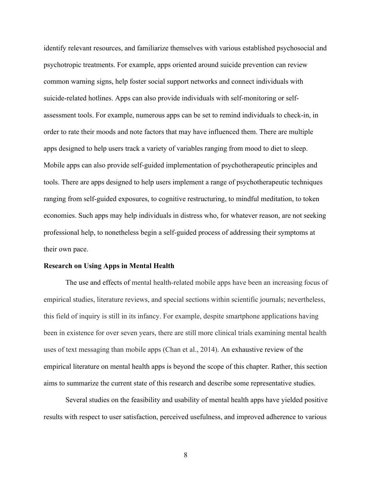identify relevant resources, and familiarize themselves with various established psychosocial and psychotropic treatments. For example, apps oriented around suicide prevention can review common warning signs, help foster social support networks and connect individuals with suicide-related hotlines. Apps can also provide individuals with self-monitoring or selfassessment tools. For example, numerous apps can be set to remind individuals to check-in, in order to rate their moods and note factors that may have influenced them. There are multiple apps designed to help users track a variety of variables ranging from mood to diet to sleep. Mobile apps can also provide self-guided implementation of psychotherapeutic principles and tools. There are apps designed to help users implement a range of psychotherapeutic techniques ranging from self-guided exposures, to cognitive restructuring, to mindful meditation, to token economies. Such apps may help individuals in distress who, for whatever reason, are not seeking professional help, to nonetheless begin a self-guided process of addressing their symptoms at their own pace.

#### **Research on Using Apps in Mental Health**

The use and effects of mental health-related mobile apps have been an increasing focus of empirical studies, literature reviews, and special sections within scientific journals; nevertheless, this field of inquiry is still in its infancy. For example, despite smartphone applications having been in existence for over seven years, there are still more clinical trials examining mental health uses of text messaging than mobile apps (Chan et al., 2014). An exhaustive review of the empirical literature on mental health apps is beyond the scope of this chapter. Rather, this section aims to summarize the current state of this research and describe some representative studies.

Several studies on the feasibility and usability of mental health apps have yielded positive results with respect to user satisfaction, perceived usefulness, and improved adherence to various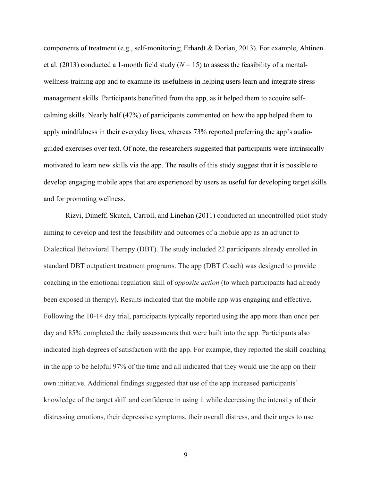components of treatment (e.g., self-monitoring; Erhardt & Dorian, 2013). For example, Ahtinen et al. (2013) conducted a 1-month field study  $(N = 15)$  to assess the feasibility of a mentalwellness training app and to examine its usefulness in helping users learn and integrate stress management skills. Participants benefitted from the app, as it helped them to acquire selfcalming skills. Nearly half (47%) of participants commented on how the app helped them to apply mindfulness in their everyday lives, whereas 73% reported preferring the app's audioguided exercises over text. Of note, the researchers suggested that participants were intrinsically motivated to learn new skills via the app. The results of this study suggest that it is possible to develop engaging mobile apps that are experienced by users as useful for developing target skills and for promoting wellness.

Rizvi, Dimeff, Skutch, Carroll, and Linehan (2011) conducted an uncontrolled pilot study aiming to develop and test the feasibility and outcomes of a mobile app as an adjunct to Dialectical Behavioral Therapy (DBT). The study included 22 participants already enrolled in standard DBT outpatient treatment programs. The app (DBT Coach) was designed to provide coaching in the emotional regulation skill of *opposite action* (to which participants had already been exposed in therapy). Results indicated that the mobile app was engaging and effective. Following the 10-14 day trial, participants typically reported using the app more than once per day and 85% completed the daily assessments that were built into the app. Participants also indicated high degrees of satisfaction with the app. For example, they reported the skill coaching in the app to be helpful 97% of the time and all indicated that they would use the app on their own initiative. Additional findings suggested that use of the app increased participants' knowledge of the target skill and confidence in using it while decreasing the intensity of their distressing emotions, their depressive symptoms, their overall distress, and their urges to use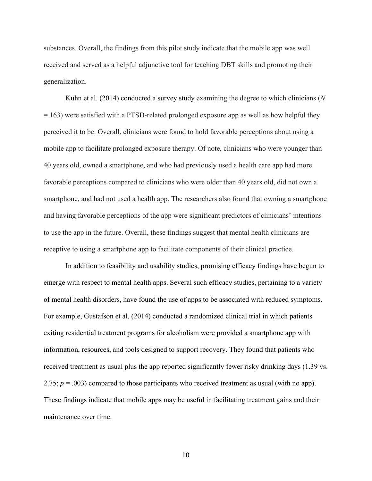substances. Overall, the findings from this pilot study indicate that the mobile app was well received and served as a helpful adjunctive tool for teaching DBT skills and promoting their generalization.

Kuhn et al. (2014) conducted a survey study examining the degree to which clinicians (*N*  $= 163$ ) were satisfied with a PTSD-related prolonged exposure app as well as how helpful they perceived it to be. Overall, clinicians were found to hold favorable perceptions about using a mobile app to facilitate prolonged exposure therapy. Of note, clinicians who were younger than 40 years old, owned a smartphone, and who had previously used a health care app had more favorable perceptions compared to clinicians who were older than 40 years old, did not own a smartphone, and had not used a health app. The researchers also found that owning a smartphone and having favorable perceptions of the app were significant predictors of clinicians' intentions to use the app in the future. Overall, these findings suggest that mental health clinicians are receptive to using a smartphone app to facilitate components of their clinical practice.

In addition to feasibility and usability studies, promising efficacy findings have begun to emerge with respect to mental health apps. Several such efficacy studies, pertaining to a variety of mental health disorders, have found the use of apps to be associated with reduced symptoms. For example, Gustafson et al. (2014) conducted a randomized clinical trial in which patients exiting residential treatment programs for alcoholism were provided a smartphone app with information, resources, and tools designed to support recovery. They found that patients who received treatment as usual plus the app reported significantly fewer risky drinking days (1.39 vs. 2.75;  $p = .003$ ) compared to those participants who received treatment as usual (with no app). These findings indicate that mobile apps may be useful in facilitating treatment gains and their maintenance over time.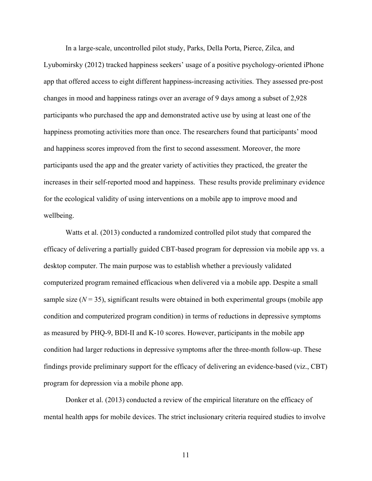In a large-scale, uncontrolled pilot study, Parks, Della Porta, Pierce, Zilca, and Lyubomirsky (2012) tracked happiness seekers' usage of a positive psychology-oriented iPhone app that offered access to eight different happiness-increasing activities. They assessed pre-post changes in mood and happiness ratings over an average of 9 days among a subset of 2,928 participants who purchased the app and demonstrated active use by using at least one of the happiness promoting activities more than once. The researchers found that participants' mood and happiness scores improved from the first to second assessment. Moreover, the more participants used the app and the greater variety of activities they practiced, the greater the increases in their self-reported mood and happiness. These results provide preliminary evidence for the ecological validity of using interventions on a mobile app to improve mood and wellbeing.

Watts et al. (2013) conducted a randomized controlled pilot study that compared the efficacy of delivering a partially guided CBT-based program for depression via mobile app vs. a desktop computer. The main purpose was to establish whether a previously validated computerized program remained efficacious when delivered via a mobile app. Despite a small sample size  $(N = 35)$ , significant results were obtained in both experimental groups (mobile app condition and computerized program condition) in terms of reductions in depressive symptoms as measured by PHQ-9, BDI-II and K-10 scores. However, participants in the mobile app condition had larger reductions in depressive symptoms after the three-month follow-up. These findings provide preliminary support for the efficacy of delivering an evidence-based (viz., CBT) program for depression via a mobile phone app.

Donker et al. (2013) conducted a review of the empirical literature on the efficacy of mental health apps for mobile devices. The strict inclusionary criteria required studies to involve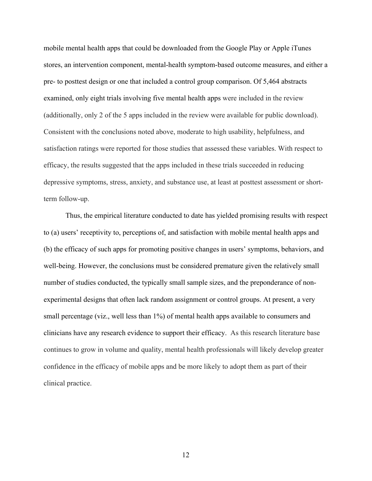mobile mental health apps that could be downloaded from the Google Play or Apple iTunes stores, an intervention component, mental-health symptom-based outcome measures, and either a pre- to posttest design or one that included a control group comparison. Of 5,464 abstracts examined, only eight trials involving five mental health apps were included in the review (additionally, only 2 of the 5 apps included in the review were available for public download). Consistent with the conclusions noted above, moderate to high usability, helpfulness, and satisfaction ratings were reported for those studies that assessed these variables. With respect to efficacy, the results suggested that the apps included in these trials succeeded in reducing depressive symptoms, stress, anxiety, and substance use, at least at posttest assessment or shortterm follow-up.

Thus, the empirical literature conducted to date has yielded promising results with respect to (a) users' receptivity to, perceptions of, and satisfaction with mobile mental health apps and (b) the efficacy of such apps for promoting positive changes in users' symptoms, behaviors, and well-being. However, the conclusions must be considered premature given the relatively small number of studies conducted, the typically small sample sizes, and the preponderance of nonexperimental designs that often lack random assignment or control groups. At present, a very small percentage (viz., well less than 1%) of mental health apps available to consumers and clinicians have any research evidence to support their efficacy. As this research literature base continues to grow in volume and quality, mental health professionals will likely develop greater confidence in the efficacy of mobile apps and be more likely to adopt them as part of their clinical practice.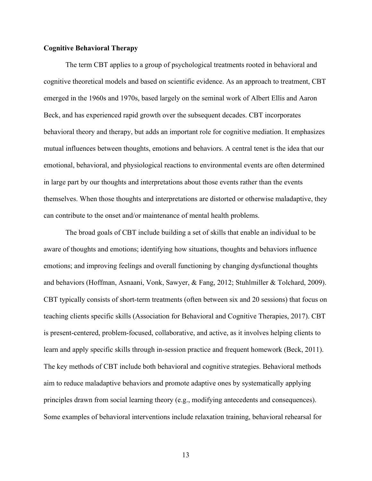#### **Cognitive Behavioral Therapy**

The term CBT applies to a group of psychological treatments rooted in behavioral and cognitive theoretical models and based on scientific evidence. As an approach to treatment, CBT emerged in the 1960s and 1970s, based largely on the seminal work of Albert Ellis and Aaron Beck, and has experienced rapid growth over the subsequent decades. CBT incorporates behavioral theory and therapy, but adds an important role for cognitive mediation. It emphasizes mutual influences between thoughts, emotions and behaviors. A central tenet is the idea that our emotional, behavioral, and physiological reactions to environmental events are often determined in large part by our thoughts and interpretations about those events rather than the events themselves. When those thoughts and interpretations are distorted or otherwise maladaptive, they can contribute to the onset and/or maintenance of mental health problems.

The broad goals of CBT include building a set of skills that enable an individual to be aware of thoughts and emotions; identifying how situations, thoughts and behaviors influence emotions; and improving feelings and overall functioning by changing dysfunctional thoughts and behaviors (Hoffman, Asnaani, Vonk, Sawyer, & Fang, 2012; Stuhlmiller & Tolchard, 2009). CBT typically consists of short-term treatments (often between six and 20 sessions) that focus on teaching clients specific skills (Association for Behavioral and Cognitive Therapies, 2017). CBT is present-centered, problem-focused, collaborative, and active, as it involves helping clients to learn and apply specific skills through in-session practice and frequent homework (Beck, 2011). The key methods of CBT include both behavioral and cognitive strategies. Behavioral methods aim to reduce maladaptive behaviors and promote adaptive ones by systematically applying principles drawn from social learning theory (e.g., modifying antecedents and consequences). Some examples of behavioral interventions include relaxation training, behavioral rehearsal for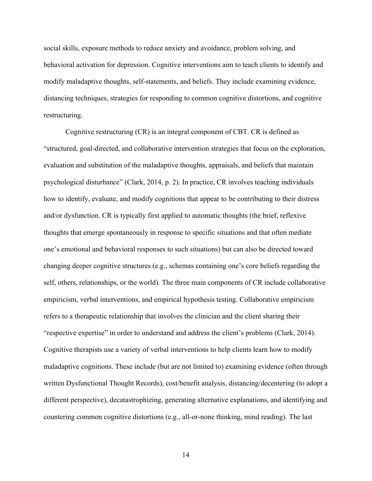social skills, exposure methods to reduce anxiety and avoidance, problem solving, and behavioral activation for depression. Cognitive interventions aim to teach clients to identify and modify maladaptive thoughts, self-statements, and beliefs. They include examining evidence, distancing techniques, strategies for responding to common cognitive distortions, and cognitive restructuring.

Cognitive restructuring (CR) is an integral component of CBT. CR is defined as "structured, goal-directed, and collaborative intervention strategies that focus on the exploration, evaluation and substitution of the maladaptive thoughts, appraisals, and beliefs that maintain psychological disturbance" (Clark, 2014, p. 2). In practice, CR involves teaching individuals how to identify, evaluate, and modify cognitions that appear to be contributing to their distress and/or dysfunction. CR is typically first applied to automatic thoughts (the brief, reflexive thoughts that emerge spontaneously in response to specific situations and that often mediate one's emotional and behavioral responses to such situations) but can also be directed toward changing deeper cognitive structures (e.g., schemas containing one's core beliefs regarding the self, others, relationships, or the world). The three main components of CR include collaborative empiricism, verbal interventions, and empirical hypothesis testing. Collaborative empiricism refers to a therapeutic relationship that involves the clinician and the client sharing their "respective expertise" in order to understand and address the client's problems (Clark, 2014). Cognitive therapists use a variety of verbal interventions to help clients learn how to modify maladaptive cognitions. These include (but are not limited to) examining evidence (often through written Dysfunctional Thought Records), cost/benefit analysis, distancing/decentering (to adopt a different perspective), decatastrophizing, generating alternative explanations, and identifying and countering common cognitive distortions (e.g., all-or-none thinking, mind reading). The last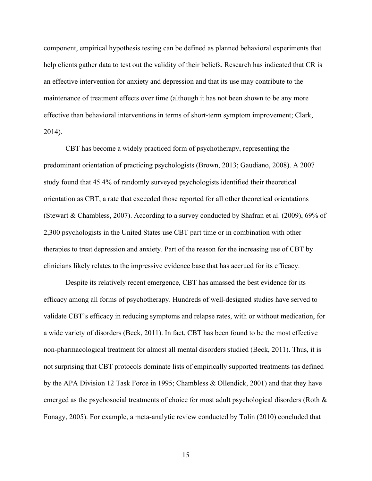component, empirical hypothesis testing can be defined as planned behavioral experiments that help clients gather data to test out the validity of their beliefs. Research has indicated that CR is an effective intervention for anxiety and depression and that its use may contribute to the maintenance of treatment effects over time (although it has not been shown to be any more effective than behavioral interventions in terms of short-term symptom improvement; Clark, 2014).

CBT has become a widely practiced form of psychotherapy, representing the predominant orientation of practicing psychologists (Brown, 2013; Gaudiano, 2008). A 2007 study found that 45.4% of randomly surveyed psychologists identified their theoretical orientation as CBT, a rate that exceeded those reported for all other theoretical orientations (Stewart & Chambless, 2007). According to a survey conducted by Shafran et al. (2009), 69% of 2,300 psychologists in the United States use CBT part time or in combination with other therapies to treat depression and anxiety. Part of the reason for the increasing use of CBT by clinicians likely relates to the impressive evidence base that has accrued for its efficacy.

Despite its relatively recent emergence, CBT has amassed the best evidence for its efficacy among all forms of psychotherapy. Hundreds of well-designed studies have served to validate CBT's efficacy in reducing symptoms and relapse rates, with or without medication, for a wide variety of disorders (Beck, 2011). In fact, CBT has been found to be the most effective non-pharmacological treatment for almost all mental disorders studied (Beck, 2011). Thus, it is not surprising that CBT protocols dominate lists of empirically supported treatments (as defined by the APA Division 12 Task Force in 1995; Chambless & Ollendick, 2001) and that they have emerged as the psychosocial treatments of choice for most adult psychological disorders (Roth & Fonagy, 2005). For example, a meta-analytic review conducted by Tolin (2010) concluded that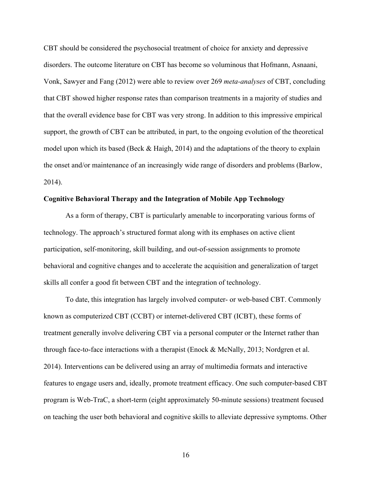CBT should be considered the psychosocial treatment of choice for anxiety and depressive disorders. The outcome literature on CBT has become so voluminous that Hofmann, Asnaani, Vonk, Sawyer and Fang (2012) were able to review over 269 *meta-analyses* of CBT, concluding that CBT showed higher response rates than comparison treatments in a majority of studies and that the overall evidence base for CBT was very strong. In addition to this impressive empirical support, the growth of CBT can be attributed, in part, to the ongoing evolution of the theoretical model upon which its based (Beck & Haigh, 2014) and the adaptations of the theory to explain the onset and/or maintenance of an increasingly wide range of disorders and problems (Barlow, 2014).

#### **Cognitive Behavioral Therapy and the Integration of Mobile App Technology**

As a form of therapy, CBT is particularly amenable to incorporating various forms of technology. The approach's structured format along with its emphases on active client participation, self-monitoring, skill building, and out-of-session assignments to promote behavioral and cognitive changes and to accelerate the acquisition and generalization of target skills all confer a good fit between CBT and the integration of technology.

To date, this integration has largely involved computer- or web-based CBT. Commonly known as computerized CBT (CCBT) or internet-delivered CBT (ICBT), these forms of treatment generally involve delivering CBT via a personal computer or the Internet rather than through face-to-face interactions with a therapist (Enock & McNally, 2013; Nordgren et al. 2014). Interventions can be delivered using an array of multimedia formats and interactive features to engage users and, ideally, promote treatment efficacy. One such computer-based CBT program is Web-TraC, a short-term (eight approximately 50-minute sessions) treatment focused on teaching the user both behavioral and cognitive skills to alleviate depressive symptoms. Other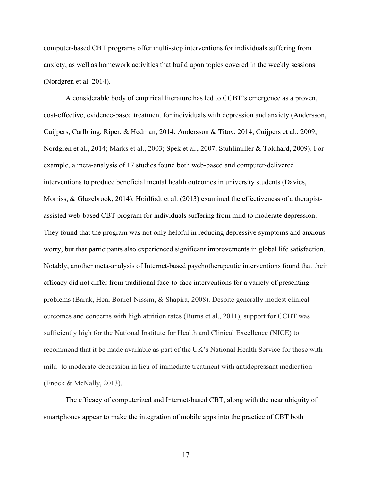computer-based CBT programs offer multi-step interventions for individuals suffering from anxiety, as well as homework activities that build upon topics covered in the weekly sessions (Nordgren et al. 2014).

A considerable body of empirical literature has led to CCBT's emergence as a proven, cost-effective, evidence-based treatment for individuals with depression and anxiety (Andersson, Cuijpers, Carlbring, Riper, & Hedman, 2014; Andersson & Titov, 2014; Cuijpers et al., 2009; Nordgren et al., 2014; Marks et al., 2003; Spek et al., 2007; Stuhlimiller & Tolchard, 2009). For example, a meta-analysis of 17 studies found both web-based and computer-delivered interventions to produce beneficial mental health outcomes in university students (Davies, Morriss, & Glazebrook, 2014). Hoidfodt et al. (2013) examined the effectiveness of a therapistassisted web-based CBT program for individuals suffering from mild to moderate depression. They found that the program was not only helpful in reducing depressive symptoms and anxious worry, but that participants also experienced significant improvements in global life satisfaction. Notably, another meta-analysis of Internet-based psychotherapeutic interventions found that their efficacy did not differ from traditional face-to-face interventions for a variety of presenting problems (Barak, Hen, Boniel-Nissim, & Shapira, 2008). Despite generally modest clinical outcomes and concerns with high attrition rates (Burns et al., 2011), support for CCBT was sufficiently high for the National Institute for Health and Clinical Excellence (NICE) to recommend that it be made available as part of the UK's National Health Service for those with mild- to moderate-depression in lieu of immediate treatment with antidepressant medication (Enock & McNally, 2013).

The efficacy of computerized and Internet-based CBT, along with the near ubiquity of smartphones appear to make the integration of mobile apps into the practice of CBT both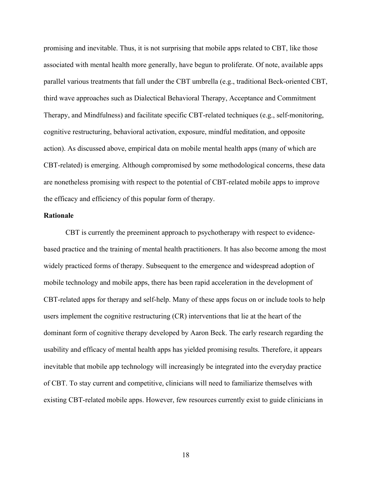promising and inevitable. Thus, it is not surprising that mobile apps related to CBT, like those associated with mental health more generally, have begun to proliferate. Of note, available apps parallel various treatments that fall under the CBT umbrella (e.g., traditional Beck-oriented CBT, third wave approaches such as Dialectical Behavioral Therapy, Acceptance and Commitment Therapy, and Mindfulness) and facilitate specific CBT-related techniques (e.g., self-monitoring, cognitive restructuring, behavioral activation, exposure, mindful meditation, and opposite action). As discussed above, empirical data on mobile mental health apps (many of which are CBT-related) is emerging. Although compromised by some methodological concerns, these data are nonetheless promising with respect to the potential of CBT-related mobile apps to improve the efficacy and efficiency of this popular form of therapy.

#### **Rationale**

CBT is currently the preeminent approach to psychotherapy with respect to evidencebased practice and the training of mental health practitioners. It has also become among the most widely practiced forms of therapy. Subsequent to the emergence and widespread adoption of mobile technology and mobile apps, there has been rapid acceleration in the development of CBT-related apps for therapy and self-help. Many of these apps focus on or include tools to help users implement the cognitive restructuring (CR) interventions that lie at the heart of the dominant form of cognitive therapy developed by Aaron Beck. The early research regarding the usability and efficacy of mental health apps has yielded promising results. Therefore, it appears inevitable that mobile app technology will increasingly be integrated into the everyday practice of CBT. To stay current and competitive, clinicians will need to familiarize themselves with existing CBT-related mobile apps. However, few resources currently exist to guide clinicians in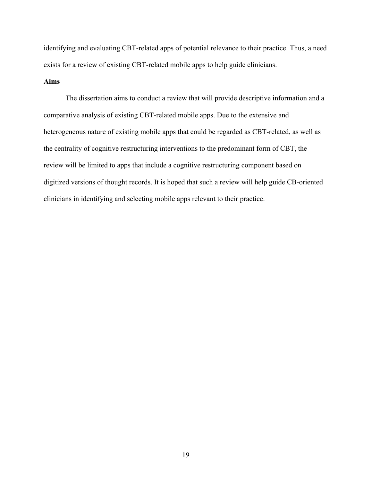identifying and evaluating CBT-related apps of potential relevance to their practice. Thus, a need exists for a review of existing CBT-related mobile apps to help guide clinicians.

#### **Aims**

The dissertation aims to conduct a review that will provide descriptive information and a comparative analysis of existing CBT-related mobile apps. Due to the extensive and heterogeneous nature of existing mobile apps that could be regarded as CBT-related, as well as the centrality of cognitive restructuring interventions to the predominant form of CBT, the review will be limited to apps that include a cognitive restructuring component based on digitized versions of thought records. It is hoped that such a review will help guide CB-oriented clinicians in identifying and selecting mobile apps relevant to their practice.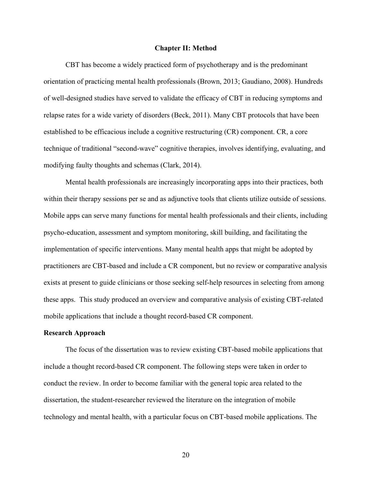#### **Chapter II: Method**

CBT has become a widely practiced form of psychotherapy and is the predominant orientation of practicing mental health professionals (Brown, 2013; Gaudiano, 2008). Hundreds of well-designed studies have served to validate the efficacy of CBT in reducing symptoms and relapse rates for a wide variety of disorders (Beck, 2011). Many CBT protocols that have been established to be efficacious include a cognitive restructuring (CR) component. CR, a core technique of traditional "second-wave" cognitive therapies, involves identifying, evaluating, and modifying faulty thoughts and schemas (Clark, 2014).

Mental health professionals are increasingly incorporating apps into their practices, both within their therapy sessions per se and as adjunctive tools that clients utilize outside of sessions. Mobile apps can serve many functions for mental health professionals and their clients, including psycho-education, assessment and symptom monitoring, skill building, and facilitating the implementation of specific interventions. Many mental health apps that might be adopted by practitioners are CBT-based and include a CR component, but no review or comparative analysis exists at present to guide clinicians or those seeking self-help resources in selecting from among these apps. This study produced an overview and comparative analysis of existing CBT-related mobile applications that include a thought record-based CR component.

#### **Research Approach**

The focus of the dissertation was to review existing CBT-based mobile applications that include a thought record-based CR component. The following steps were taken in order to conduct the review. In order to become familiar with the general topic area related to the dissertation, the student-researcher reviewed the literature on the integration of mobile technology and mental health, with a particular focus on CBT-based mobile applications. The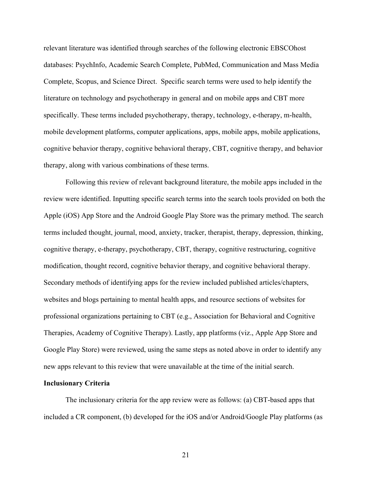relevant literature was identified through searches of the following electronic EBSCOhost databases: PsychInfo, Academic Search Complete, PubMed, Communication and Mass Media Complete, Scopus, and Science Direct. Specific search terms were used to help identify the literature on technology and psychotherapy in general and on mobile apps and CBT more specifically. These terms included psychotherapy, therapy, technology, e-therapy, m-health, mobile development platforms, computer applications, apps, mobile apps, mobile applications, cognitive behavior therapy, cognitive behavioral therapy, CBT, cognitive therapy, and behavior therapy, along with various combinations of these terms.

Following this review of relevant background literature, the mobile apps included in the review were identified. Inputting specific search terms into the search tools provided on both the Apple (iOS) App Store and the Android Google Play Store was the primary method. The search terms included thought, journal, mood, anxiety, tracker, therapist, therapy, depression, thinking, cognitive therapy, e-therapy, psychotherapy, CBT, therapy, cognitive restructuring, cognitive modification, thought record, cognitive behavior therapy, and cognitive behavioral therapy. Secondary methods of identifying apps for the review included published articles/chapters, websites and blogs pertaining to mental health apps, and resource sections of websites for professional organizations pertaining to CBT (e.g., Association for Behavioral and Cognitive Therapies, Academy of Cognitive Therapy). Lastly, app platforms (viz., Apple App Store and Google Play Store) were reviewed, using the same steps as noted above in order to identify any new apps relevant to this review that were unavailable at the time of the initial search.

#### **Inclusionary Criteria**

The inclusionary criteria for the app review were as follows: (a) CBT-based apps that included a CR component, (b) developed for the iOS and/or Android/Google Play platforms (as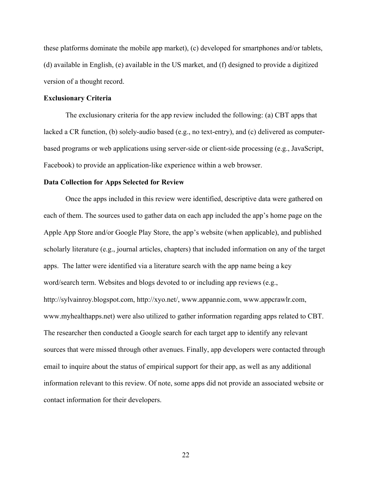these platforms dominate the mobile app market), (c) developed for smartphones and/or tablets, (d) available in English, (e) available in the US market, and (f) designed to provide a digitized version of a thought record.

#### **Exclusionary Criteria**

The exclusionary criteria for the app review included the following: (a) CBT apps that lacked a CR function, (b) solely-audio based (e.g., no text-entry), and (c) delivered as computerbased programs or web applications using server-side or client-side processing (e.g., JavaScript, Facebook) to provide an application-like experience within a web browser.

#### **Data Collection for Apps Selected for Review**

Once the apps included in this review were identified, descriptive data were gathered on each of them. The sources used to gather data on each app included the app's home page on the Apple App Store and/or Google Play Store, the app's website (when applicable), and published scholarly literature (e.g., journal articles, chapters) that included information on any of the target apps. The latter were identified via a literature search with the app name being a key word/search term. Websites and blogs devoted to or including app reviews (e.g., http://sylvainroy.blogspot.com, http://xyo.net/, www.appannie.com, www.appcrawlr.com, www.myhealthapps.net) were also utilized to gather information regarding apps related to CBT. The researcher then conducted a Google search for each target app to identify any relevant sources that were missed through other avenues. Finally, app developers were contacted through email to inquire about the status of empirical support for their app, as well as any additional information relevant to this review. Of note, some apps did not provide an associated website or contact information for their developers.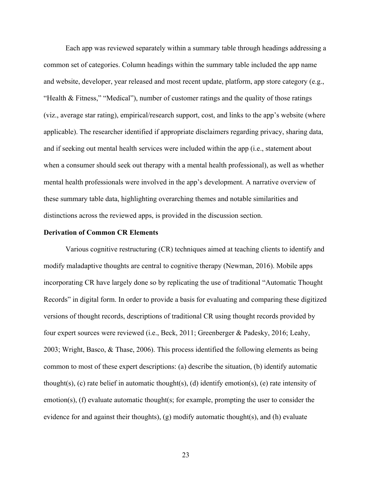Each app was reviewed separately within a summary table through headings addressing a common set of categories. Column headings within the summary table included the app name and website, developer, year released and most recent update, platform, app store category (e.g., "Health & Fitness," "Medical"), number of customer ratings and the quality of those ratings (viz., average star rating), empirical/research support, cost, and links to the app's website (where applicable). The researcher identified if appropriate disclaimers regarding privacy, sharing data, and if seeking out mental health services were included within the app (i.e., statement about when a consumer should seek out therapy with a mental health professional), as well as whether mental health professionals were involved in the app's development. A narrative overview of these summary table data, highlighting overarching themes and notable similarities and distinctions across the reviewed apps, is provided in the discussion section.

#### **Derivation of Common CR Elements**

Various cognitive restructuring (CR) techniques aimed at teaching clients to identify and modify maladaptive thoughts are central to cognitive therapy (Newman, 2016). Mobile apps incorporating CR have largely done so by replicating the use of traditional "Automatic Thought Records" in digital form. In order to provide a basis for evaluating and comparing these digitized versions of thought records, descriptions of traditional CR using thought records provided by four expert sources were reviewed (i.e., Beck, 2011; Greenberger & Padesky, 2016; Leahy, 2003; Wright, Basco, & Thase, 2006). This process identified the following elements as being common to most of these expert descriptions: (a) describe the situation, (b) identify automatic thought(s), (c) rate belief in automatic thought(s), (d) identify emotion(s), (e) rate intensity of emotion(s), (f) evaluate automatic thought(s; for example, prompting the user to consider the evidence for and against their thoughts), (g) modify automatic thought(s), and (h) evaluate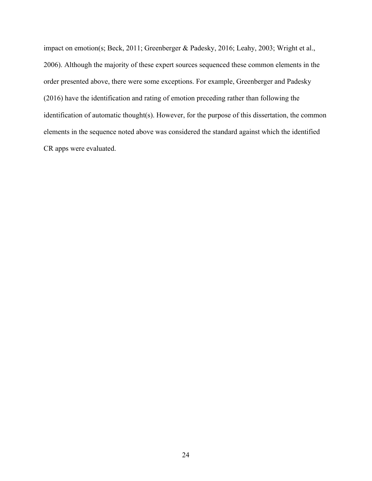impact on emotion(s; Beck, 2011; Greenberger & Padesky, 2016; Leahy, 2003; Wright et al., 2006). Although the majority of these expert sources sequenced these common elements in the order presented above, there were some exceptions. For example, Greenberger and Padesky (2016) have the identification and rating of emotion preceding rather than following the identification of automatic thought(s). However, for the purpose of this dissertation, the common elements in the sequence noted above was considered the standard against which the identified CR apps were evaluated.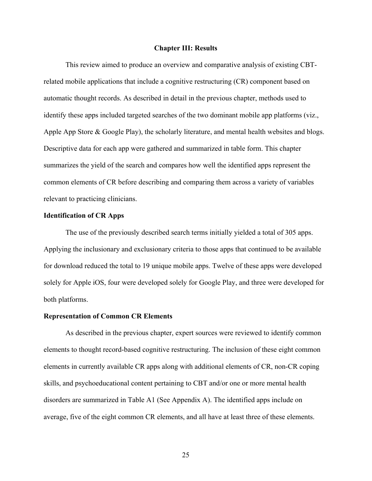#### **Chapter III: Results**

This review aimed to produce an overview and comparative analysis of existing CBTrelated mobile applications that include a cognitive restructuring (CR) component based on automatic thought records. As described in detail in the previous chapter, methods used to identify these apps included targeted searches of the two dominant mobile app platforms (viz., Apple App Store & Google Play), the scholarly literature, and mental health websites and blogs. Descriptive data for each app were gathered and summarized in table form. This chapter summarizes the yield of the search and compares how well the identified apps represent the common elements of CR before describing and comparing them across a variety of variables relevant to practicing clinicians.

#### **Identification of CR Apps**

The use of the previously described search terms initially yielded a total of 305 apps. Applying the inclusionary and exclusionary criteria to those apps that continued to be available for download reduced the total to 19 unique mobile apps. Twelve of these apps were developed solely for Apple iOS, four were developed solely for Google Play, and three were developed for both platforms.

#### **Representation of Common CR Elements**

As described in the previous chapter, expert sources were reviewed to identify common elements to thought record-based cognitive restructuring. The inclusion of these eight common elements in currently available CR apps along with additional elements of CR, non-CR coping skills, and psychoeducational content pertaining to CBT and/or one or more mental health disorders are summarized in Table A1 (See Appendix A). The identified apps include on average, five of the eight common CR elements, and all have at least three of these elements.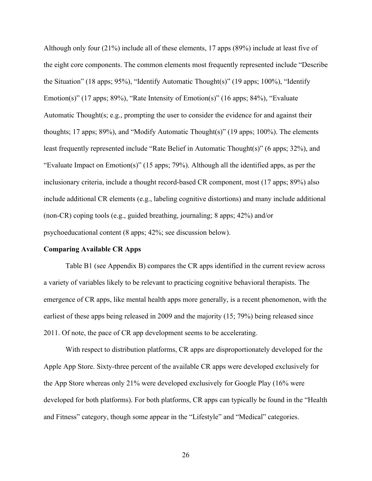Although only four (21%) include all of these elements, 17 apps (89%) include at least five of the eight core components. The common elements most frequently represented include "Describe the Situation" (18 apps; 95%), "Identify Automatic Thought(s)" (19 apps; 100%), "Identify Emotion(s)" (17 apps;  $89\%$ ), "Rate Intensity of Emotion(s)" (16 apps;  $84\%$ ), "Evaluate Automatic Thought(s; e.g., prompting the user to consider the evidence for and against their thoughts; 17 apps; 89%), and "Modify Automatic Thought(s)" (19 apps; 100%). The elements least frequently represented include "Rate Belief in Automatic Thought(s)" (6 apps; 32%), and "Evaluate Impact on Emotion(s)" (15 apps; 79%). Although all the identified apps, as per the inclusionary criteria, include a thought record-based CR component, most (17 apps; 89%) also include additional CR elements (e.g., labeling cognitive distortions) and many include additional (non-CR) coping tools (e.g., guided breathing, journaling; 8 apps; 42%) and/or psychoeducational content (8 apps; 42%; see discussion below).

#### **Comparing Available CR Apps**

Table B1 (see Appendix B) compares the CR apps identified in the current review across a variety of variables likely to be relevant to practicing cognitive behavioral therapists. The emergence of CR apps, like mental health apps more generally, is a recent phenomenon, with the earliest of these apps being released in 2009 and the majority (15; 79%) being released since 2011. Of note, the pace of CR app development seems to be accelerating.

With respect to distribution platforms, CR apps are disproportionately developed for the Apple App Store. Sixty-three percent of the available CR apps were developed exclusively for the App Store whereas only 21% were developed exclusively for Google Play (16% were developed for both platforms). For both platforms, CR apps can typically be found in the "Health and Fitness" category, though some appear in the "Lifestyle" and "Medical" categories.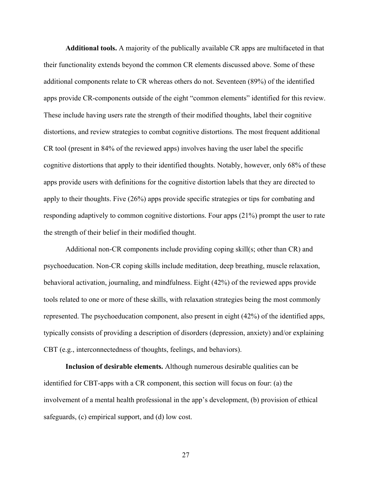**Additional tools.** A majority of the publically available CR apps are multifaceted in that their functionality extends beyond the common CR elements discussed above. Some of these additional components relate to CR whereas others do not. Seventeen (89%) of the identified apps provide CR-components outside of the eight "common elements" identified for this review. These include having users rate the strength of their modified thoughts, label their cognitive distortions, and review strategies to combat cognitive distortions. The most frequent additional CR tool (present in 84% of the reviewed apps) involves having the user label the specific cognitive distortions that apply to their identified thoughts. Notably, however, only 68% of these apps provide users with definitions for the cognitive distortion labels that they are directed to apply to their thoughts. Five (26%) apps provide specific strategies or tips for combating and responding adaptively to common cognitive distortions. Four apps (21%) prompt the user to rate the strength of their belief in their modified thought.

Additional non-CR components include providing coping skill(s; other than CR) and psychoeducation. Non-CR coping skills include meditation, deep breathing, muscle relaxation, behavioral activation, journaling, and mindfulness. Eight (42%) of the reviewed apps provide tools related to one or more of these skills, with relaxation strategies being the most commonly represented. The psychoeducation component, also present in eight (42%) of the identified apps, typically consists of providing a description of disorders (depression, anxiety) and/or explaining CBT (e.g., interconnectedness of thoughts, feelings, and behaviors).

**Inclusion of desirable elements.** Although numerous desirable qualities can be identified for CBT-apps with a CR component, this section will focus on four: (a) the involvement of a mental health professional in the app's development, (b) provision of ethical safeguards, (c) empirical support, and (d) low cost.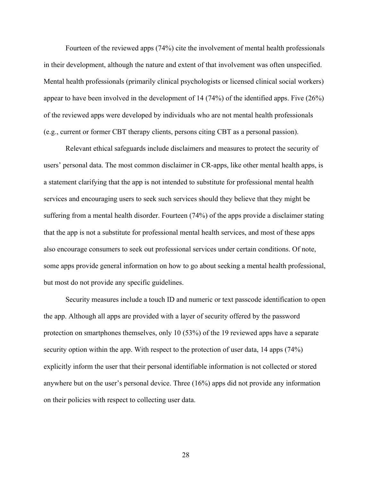Fourteen of the reviewed apps (74%) cite the involvement of mental health professionals in their development, although the nature and extent of that involvement was often unspecified. Mental health professionals (primarily clinical psychologists or licensed clinical social workers) appear to have been involved in the development of 14 (74%) of the identified apps. Five (26%) of the reviewed apps were developed by individuals who are not mental health professionals (e.g., current or former CBT therapy clients, persons citing CBT as a personal passion).

Relevant ethical safeguards include disclaimers and measures to protect the security of users' personal data. The most common disclaimer in CR-apps, like other mental health apps, is a statement clarifying that the app is not intended to substitute for professional mental health services and encouraging users to seek such services should they believe that they might be suffering from a mental health disorder. Fourteen (74%) of the apps provide a disclaimer stating that the app is not a substitute for professional mental health services, and most of these apps also encourage consumers to seek out professional services under certain conditions. Of note, some apps provide general information on how to go about seeking a mental health professional, but most do not provide any specific guidelines.

Security measures include a touch ID and numeric or text passcode identification to open the app. Although all apps are provided with a layer of security offered by the password protection on smartphones themselves, only 10 (53%) of the 19 reviewed apps have a separate security option within the app. With respect to the protection of user data, 14 apps (74%) explicitly inform the user that their personal identifiable information is not collected or stored anywhere but on the user's personal device. Three (16%) apps did not provide any information on their policies with respect to collecting user data.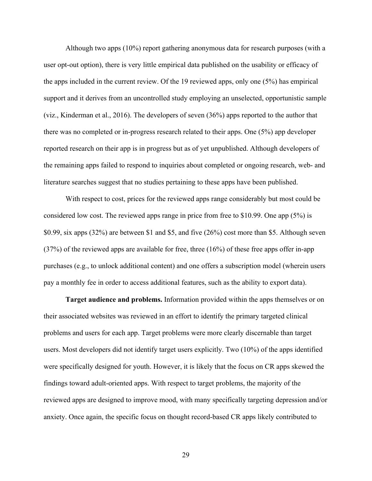Although two apps (10%) report gathering anonymous data for research purposes (with a user opt-out option), there is very little empirical data published on the usability or efficacy of the apps included in the current review. Of the 19 reviewed apps, only one (5%) has empirical support and it derives from an uncontrolled study employing an unselected, opportunistic sample (viz., Kinderman et al., 2016). The developers of seven (36%) apps reported to the author that there was no completed or in-progress research related to their apps. One (5%) app developer reported research on their app is in progress but as of yet unpublished. Although developers of the remaining apps failed to respond to inquiries about completed or ongoing research, web- and literature searches suggest that no studies pertaining to these apps have been published.

With respect to cost, prices for the reviewed apps range considerably but most could be considered low cost. The reviewed apps range in price from free to \$10.99. One app (5%) is \$0.99, six apps (32%) are between \$1 and \$5, and five (26%) cost more than \$5. Although seven (37%) of the reviewed apps are available for free, three (16%) of these free apps offer in-app purchases (e.g., to unlock additional content) and one offers a subscription model (wherein users pay a monthly fee in order to access additional features, such as the ability to export data).

**Target audience and problems.** Information provided within the apps themselves or on their associated websites was reviewed in an effort to identify the primary targeted clinical problems and users for each app. Target problems were more clearly discernable than target users. Most developers did not identify target users explicitly. Two (10%) of the apps identified were specifically designed for youth. However, it is likely that the focus on CR apps skewed the findings toward adult-oriented apps. With respect to target problems, the majority of the reviewed apps are designed to improve mood, with many specifically targeting depression and/or anxiety. Once again, the specific focus on thought record-based CR apps likely contributed to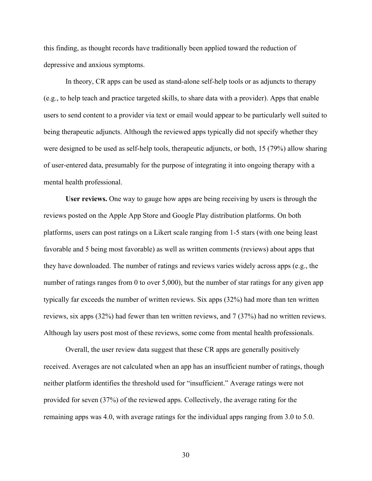this finding, as thought records have traditionally been applied toward the reduction of depressive and anxious symptoms.

In theory, CR apps can be used as stand-alone self-help tools or as adjuncts to therapy (e.g., to help teach and practice targeted skills, to share data with a provider). Apps that enable users to send content to a provider via text or email would appear to be particularly well suited to being therapeutic adjuncts. Although the reviewed apps typically did not specify whether they were designed to be used as self-help tools, therapeutic adjuncts, or both, 15 (79%) allow sharing of user-entered data, presumably for the purpose of integrating it into ongoing therapy with a mental health professional.

**User reviews.** One way to gauge how apps are being receiving by users is through the reviews posted on the Apple App Store and Google Play distribution platforms. On both platforms, users can post ratings on a Likert scale ranging from 1-5 stars (with one being least favorable and 5 being most favorable) as well as written comments (reviews) about apps that they have downloaded. The number of ratings and reviews varies widely across apps (e.g., the number of ratings ranges from 0 to over 5,000), but the number of star ratings for any given app typically far exceeds the number of written reviews. Six apps (32%) had more than ten written reviews, six apps (32%) had fewer than ten written reviews, and 7 (37%) had no written reviews. Although lay users post most of these reviews, some come from mental health professionals.

Overall, the user review data suggest that these CR apps are generally positively received. Averages are not calculated when an app has an insufficient number of ratings, though neither platform identifies the threshold used for "insufficient." Average ratings were not provided for seven (37%) of the reviewed apps. Collectively, the average rating for the remaining apps was 4.0, with average ratings for the individual apps ranging from 3.0 to 5.0.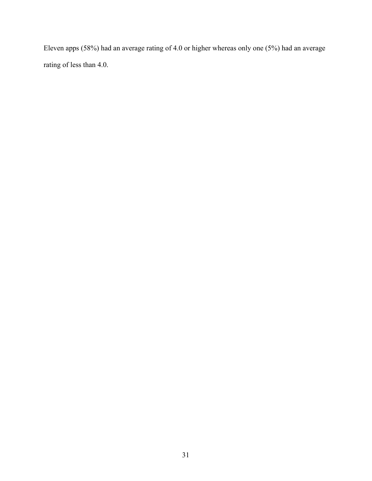Eleven apps (58%) had an average rating of 4.0 or higher whereas only one (5%) had an average rating of less than 4.0.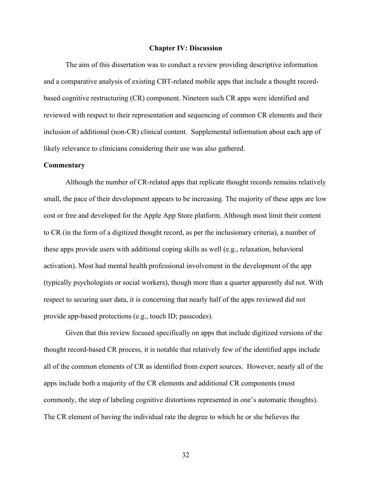#### **Chapter IV: Discussion**

The aim of this dissertation was to conduct a review providing descriptive information and a comparative analysis of existing CBT-related mobile apps that include a thought recordbased cognitive restructuring (CR) component. Nineteen such CR apps were identified and reviewed with respect to their representation and sequencing of common CR elements and their inclusion of additional (non-CR) clinical content. Supplemental information about each app of likely relevance to clinicians considering their use was also gathered.

#### **Commentary**

Although the number of CR-related apps that replicate thought records remains relatively small, the pace of their development appears to be increasing. The majority of these apps are low cost or free and developed for the Apple App Store platform. Although most limit their content to CR (in the form of a digitized thought record, as per the inclusionary criteria), a number of these apps provide users with additional coping skills as well (e.g., relaxation, behavioral activation). Most had mental health professional involvement in the development of the app (typically psychologists or social workers), though more than a quarter apparently did not. With respect to securing user data, it is concerning that nearly half of the apps reviewed did not provide app-based protections (e.g., touch ID; passcodes).

Given that this review focused specifically on apps that include digitized versions of the thought record-based CR process, it is notable that relatively few of the identified apps include all of the common elements of CR as identified from expert sources. However, nearly all of the apps include both a majority of the CR elements and additional CR components (most commonly, the step of labeling cognitive distortions represented in one's automatic thoughts). The CR element of having the individual rate the degree to which he or she believes the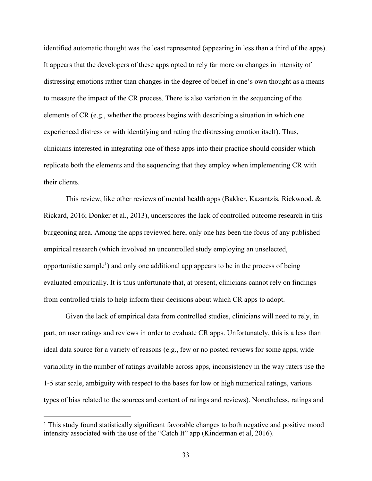identified automatic thought was the least represented (appearing in less than a third of the apps). It appears that the developers of these apps opted to rely far more on changes in intensity of distressing emotions rather than changes in the degree of belief in one's own thought as a means to measure the impact of the CR process. There is also variation in the sequencing of the elements of CR (e.g., whether the process begins with describing a situation in which one experienced distress or with identifying and rating the distressing emotion itself). Thus, clinicians interested in integrating one of these apps into their practice should consider which replicate both the elements and the sequencing that they employ when implementing CR with their clients.

This review, like other reviews of mental health apps (Bakker, Kazantzis, Rickwood, & Rickard, 2016; Donker et al., 2013), underscores the lack of controlled outcome research in this burgeoning area. Among the apps reviewed here, only one has been the focus of any published empirical research (which involved an uncontrolled study employing an unselected, opportunistic sample<sup>1</sup>) and only one additional app appears to be in the process of being evaluated empirically. It is thus unfortunate that, at present, clinicians cannot rely on findings from controlled trials to help inform their decisions about which CR apps to adopt.

Given the lack of empirical data from controlled studies, clinicians will need to rely, in part, on user ratings and reviews in order to evaluate CR apps. Unfortunately, this is a less than ideal data source for a variety of reasons (e.g., few or no posted reviews for some apps; wide variability in the number of ratings available across apps, inconsistency in the way raters use the 1-5 star scale, ambiguity with respect to the bases for low or high numerical ratings, various types of bias related to the sources and content of ratings and reviews). Nonetheless, ratings and

 $\overline{a}$ 

<sup>&</sup>lt;sup>1</sup> This study found statistically significant favorable changes to both negative and positive mood intensity associated with the use of the "Catch It" app (Kinderman et al, 2016).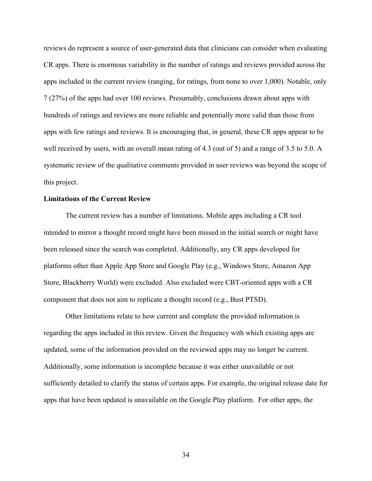reviews do represent a source of user-generated data that clinicians can consider when evaluating CR apps. There is enormous variability in the number of ratings and reviews provided across the apps included in the current review (ranging, for ratings, from none to over 1,000). Notable, only 7 (27%) of the apps had over 100 reviews. Presumably, conclusions drawn about apps with hundreds of ratings and reviews are more reliable and potentially more valid than those from apps with few ratings and reviews. It is encouraging that, in general, these CR apps appear to be well received by users, with an overall mean rating of 4.3 (out of 5) and a range of 3.5 to 5.0. A systematic review of the qualitative comments provided in user reviews was beyond the scope of this project.

#### **Limitations of the Current Review**

The current review has a number of limitations. Mobile apps including a CR tool intended to mirror a thought record might have been missed in the initial search or might have been released since the search was completed. Additionally, any CR apps developed for platforms other than Apple App Store and Google Play (e.g., Windows Store, Amazon App Store, Blackberry World) were excluded. Also excluded were CBT-oriented apps with a CR component that does not aim to replicate a thought record (e.g., Bust PTSD).

Other limitations relate to how current and complete the provided information is regarding the apps included in this review. Given the frequency with which existing apps are updated, some of the information provided on the reviewed apps may no longer be current. Additionally, some information is incomplete because it was either unavailable or not sufficiently detailed to clarify the status of certain apps. For example, the original release date for apps that have been updated is unavailable on the Google Play platform. For other apps, the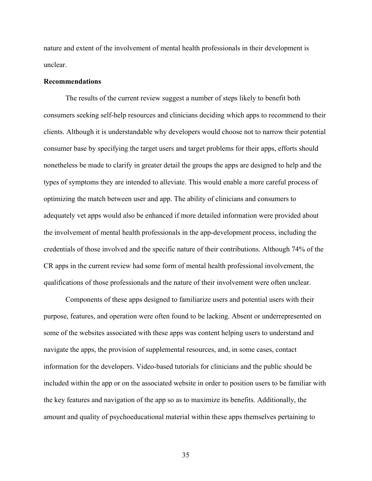nature and extent of the involvement of mental health professionals in their development is unclear.

#### **Recommendations**

The results of the current review suggest a number of steps likely to benefit both consumers seeking self-help resources and clinicians deciding which apps to recommend to their clients. Although it is understandable why developers would choose not to narrow their potential consumer base by specifying the target users and target problems for their apps, efforts should nonetheless be made to clarify in greater detail the groups the apps are designed to help and the types of symptoms they are intended to alleviate. This would enable a more careful process of optimizing the match between user and app. The ability of clinicians and consumers to adequately vet apps would also be enhanced if more detailed information were provided about the involvement of mental health professionals in the app-development process, including the credentials of those involved and the specific nature of their contributions. Although 74% of the CR apps in the current review had some form of mental health professional involvement, the qualifications of those professionals and the nature of their involvement were often unclear.

Components of these apps designed to familiarize users and potential users with their purpose, features, and operation were often found to be lacking. Absent or underrepresented on some of the websites associated with these apps was content helping users to understand and navigate the apps, the provision of supplemental resources, and, in some cases, contact information for the developers. Video-based tutorials for clinicians and the public should be included within the app or on the associated website in order to position users to be familiar with the key features and navigation of the app so as to maximize its benefits. Additionally, the amount and quality of psychoeducational material within these apps themselves pertaining to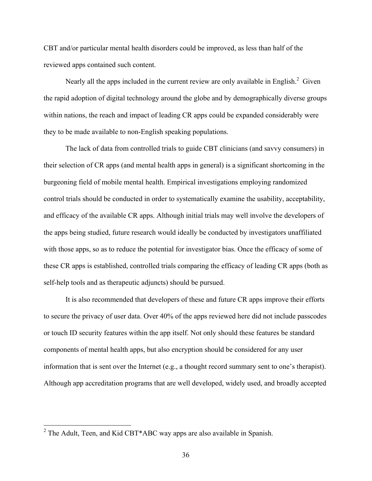CBT and/or particular mental health disorders could be improved, as less than half of the reviewed apps contained such content.

Nearly all the apps included in the current review are only available in English.<sup>2</sup> Given the rapid adoption of digital technology around the globe and by demographically diverse groups within nations, the reach and impact of leading CR apps could be expanded considerably were they to be made available to non-English speaking populations.

The lack of data from controlled trials to guide CBT clinicians (and savvy consumers) in their selection of CR apps (and mental health apps in general) is a significant shortcoming in the burgeoning field of mobile mental health. Empirical investigations employing randomized control trials should be conducted in order to systematically examine the usability, acceptability, and efficacy of the available CR apps. Although initial trials may well involve the developers of the apps being studied, future research would ideally be conducted by investigators unaffiliated with those apps, so as to reduce the potential for investigator bias. Once the efficacy of some of these CR apps is established, controlled trials comparing the efficacy of leading CR apps (both as self-help tools and as therapeutic adjuncts) should be pursued.

It is also recommended that developers of these and future CR apps improve their efforts to secure the privacy of user data. Over 40% of the apps reviewed here did not include passcodes or touch ID security features within the app itself. Not only should these features be standard components of mental health apps, but also encryption should be considered for any user information that is sent over the Internet (e.g., a thought record summary sent to one's therapist). Although app accreditation programs that are well developed, widely used, and broadly accepted

 $2$  The Adult, Teen, and Kid CBT\*ABC way apps are also available in Spanish.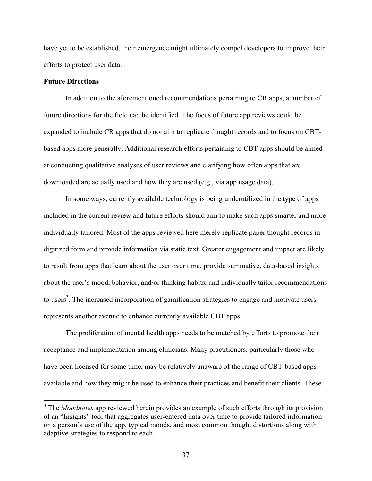have yet to be established, their emergence might ultimately compel developers to improve their efforts to protect user data.

### **Future Directions**

In addition to the aforementioned recommendations pertaining to CR apps, a number of future directions for the field can be identified. The focus of future app reviews could be expanded to include CR apps that do not aim to replicate thought records and to focus on CBTbased apps more generally. Additional research efforts pertaining to CBT apps should be aimed at conducting qualitative analyses of user reviews and clarifying how often apps that are downloaded are actually used and how they are used (e.g., via app usage data).

In some ways, currently available technology is being underutilized in the type of apps included in the current review and future efforts should aim to make such apps smarter and more individually tailored. Most of the apps reviewed here merely replicate paper thought records in digitized form and provide information via static text. Greater engagement and impact are likely to result from apps that learn about the user over time, provide summative, data-based insights about the user's mood, behavior, and/or thinking habits, and individually tailor recommendations to users<sup>3</sup>. The increased incorporation of gamification strategies to engage and motivate users represents another avenue to enhance currently available CBT apps.

The proliferation of mental health apps needs to be matched by efforts to promote their acceptance and implementation among clinicians. Many practitioners, particularly those who have been licensed for some time, may be relatively unaware of the range of CBT-based apps available and how they might be used to enhance their practices and benefit their clients. These

<sup>&</sup>lt;sup>3</sup> The *Moodnotes* app reviewed herein provides an example of such efforts through its provision of an "Insights" tool that aggregates user-entered data over time to provide tailored information on a person's use of the app, typical moods, and most common thought distortions along with adaptive strategies to respond to each.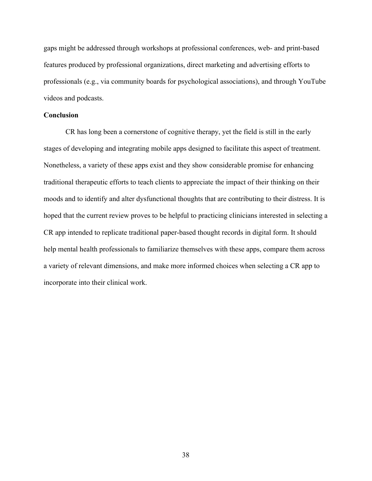gaps might be addressed through workshops at professional conferences, web- and print-based features produced by professional organizations, direct marketing and advertising efforts to professionals (e.g., via community boards for psychological associations), and through YouTube videos and podcasts.

### **Conclusion**

CR has long been a cornerstone of cognitive therapy, yet the field is still in the early stages of developing and integrating mobile apps designed to facilitate this aspect of treatment. Nonetheless, a variety of these apps exist and they show considerable promise for enhancing traditional therapeutic efforts to teach clients to appreciate the impact of their thinking on their moods and to identify and alter dysfunctional thoughts that are contributing to their distress. It is hoped that the current review proves to be helpful to practicing clinicians interested in selecting a CR app intended to replicate traditional paper-based thought records in digital form. It should help mental health professionals to familiarize themselves with these apps, compare them across a variety of relevant dimensions, and make more informed choices when selecting a CR app to incorporate into their clinical work.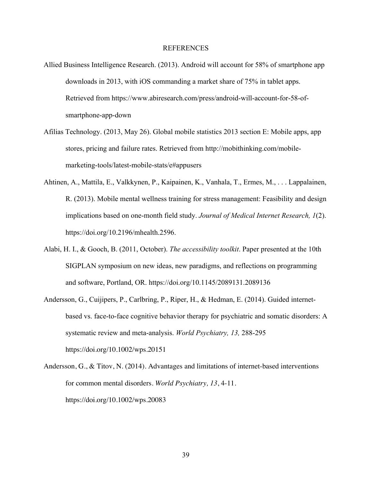#### REFERENCES

- Allied Business Intelligence Research. (2013). Android will account for 58% of smartphone app downloads in 2013, with iOS commanding a market share of 75% in tablet apps. Retrieved from https://www.abiresearch.com/press/android-will-account-for-58-ofsmartphone-app-down
- Afilias Technology. (2013, May 26). Global mobile statistics 2013 section E: Mobile apps, app stores, pricing and failure rates. Retrieved from http://mobithinking.com/mobilemarketing-tools/latest-mobile-stats/e#appusers
- Ahtinen, A., Mattila, E., Valkkynen, P., Kaipainen, K., Vanhala, T., Ermes, M., . . . Lappalainen, R. (2013). Mobile mental wellness training for stress management: Feasibility and design implications based on one-month field study. *Journal of Medical Internet Research, 1*(2). https://doi.org/10.2196/mhealth.2596.
- Alabi, H. I., & Gooch, B. (2011, October). *The accessibility toolkit*. Paper presented at the 10th SIGPLAN symposium on new ideas, new paradigms, and reflections on programming and software, Portland, OR. https://doi.org/10.1145/2089131.2089136
- Andersson, G., Cuijipers, P., Carlbring, P., Riper, H., & Hedman, E. (2014). Guided internetbased vs. face-to-face cognitive behavior therapy for psychiatric and somatic disorders: A systematic review and meta-analysis. *World Psychiatry, 13,* 288-295 https://doi.org/10.1002/wps.20151
- Andersson, G., & Titov, N. (2014). Advantages and limitations of internet-based interventions for common mental disorders. *World Psychiatry, 13*, 4-11. https://doi.org/10.1002/wps.20083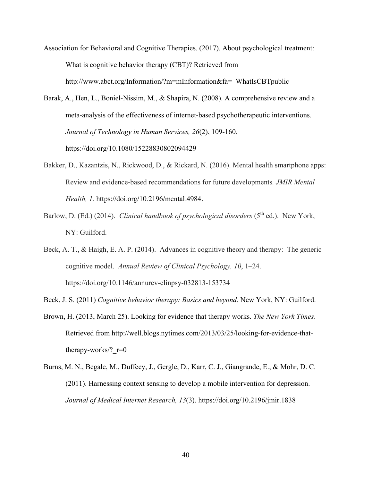- Association for Behavioral and Cognitive Therapies. (2017). About psychological treatment: What is cognitive behavior therapy (CBT)? Retrieved from http://www.abct.org/Information/?m=mInformation&fa=\_WhatIsCBTpublic
- Barak, A., Hen, L., Boniel-Nissim, M., & Shapira, N. (2008). A comprehensive review and a meta-analysis of the effectiveness of internet-based psychotherapeutic interventions. *Journal of Technology in Human Services, 26*(2), 109-160. https://doi.org/10.1080/15228830802094429
- Bakker, D., Kazantzis, N., Rickwood, D., & Rickard, N. (2016). Mental health smartphone apps: Review and evidence-based recommendations for future developments*. JMIR Mental Health, 1*. https://doi.org/10.2196/mental.4984.
- Barlow, D. (Ed.) (2014). *Clinical handbook of psychological disorders* (5<sup>th</sup> ed.). New York, NY: Guilford.
- Beck, A. T., & Haigh, E. A. P. (2014). Advances in cognitive theory and therapy: The generic cognitive model. *Annual Review of Clinical Psychology, 10*, 1–24. https://doi.org/10.1146/annurev-clinpsy-032813-153734
- Beck, J. S. (2011) *Cognitive behavior therapy: Basics and beyond*. New York, NY: Guilford.
- Brown, H. (2013, March 25). Looking for evidence that therapy works. *The New York Times*. Retrieved from http://well.blogs.nytimes.com/2013/03/25/looking-for-evidence-thattherapy-works/?  $r=0$
- Burns, M. N., Begale, M., Duffecy, J., Gergle, D., Karr, C. J., Giangrande, E., & Mohr, D. C. (2011). Harnessing context sensing to develop a mobile intervention for depression. *Journal of Medical Internet Research, 13*(3). https://doi.org/10.2196/jmir.1838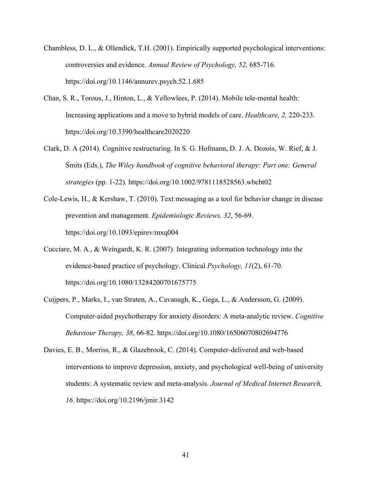- Chambless, D. L., & Ollendick, T.H. (2001). Empirically supported psychological interventions: controversies and evidence. *Annual Review of Psychology, 52,* 685-716*.* https://doi.org/10.1146/annurev.psych.52.1.685
- Chan, S. R., Torous, J., Hinton, L., & Yellowlees, P. (2014). Mobile tele-mental health: Increasing applications and a move to hybrid models of care. *Healthcare, 2,* 220-233. https://doi.org/10.3390/healthcare2020220
- Clark, D. A (2014). Cognitive restructuring. In S. G. Hofmann, D. J. A. Dozois, W. Rief, & J. Smits (Eds.), *The Wiley handbook of cognitive behavioral therapy: Part one: General strategies* (pp. 1-22)*.* https://doi.org/10.1002/9781118528563.wbcbt02
- Cole-Lewis, H., & Kershaw, T. (2010). Text messaging as a tool for behavior change in disease prevention and management. *Epidemiologic Reviews, 32*, 56-69. https://doi.org/10.1093/epirev/mxq004
- Cucciare, M. A., & Weingardt, K. R. (2007). Integrating information technology into the evidence-based practice of psychology. Clinical *Psychology, 11*(2), 61-70. https://doi.org/10.1080/13284200701675775
- Cuijpers, P., Marks, I., van Straten, A., Cavanagh, K., Gega, L., & Andersson, G. (2009). Computer-aided psychotherapy for anxiety disorders: A meta-analytic review. *Cognitive Behaviour Therapy, 38*, 66-82. https://doi.org/10.1080/16506070802694776
- Davies, E. B., Morriss, R., & Glazebrook, C. (2014). Computer-delivered and web-based interventions to improve depression, anxiety, and psychological well-being of university students: A systematic review and meta-analysis. *Journal of Medical Internet Research, 16*. https://doi.org/10.2196/jmir.3142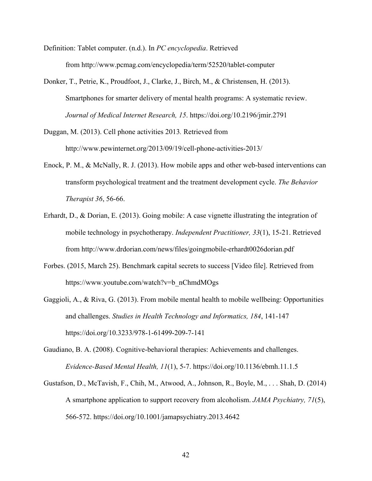- Definition: Tablet computer. (n.d.). In *PC encyclopedia*. Retrieved from http://www.pcmag.com/encyclopedia/term/52520/tablet-computer
- Donker, T., Petrie, K., Proudfoot, J., Clarke, J., Birch, M., & Christensen, H. (2013). Smartphones for smarter delivery of mental health programs: A systematic review. *Journal of Medical Internet Research, 15*. https://doi.org/10.2196/jmir.2791
- Duggan, M. (2013). Cell phone activities 2013*.* Retrieved from http://www.pewinternet.org/2013/09/19/cell-phone-activities-2013/
- Enock, P. M., & McNally, R. J. (2013). How mobile apps and other web-based interventions can transform psychological treatment and the treatment development cycle. *The Behavior Therapist 36*, 56-66.
- Erhardt, D., & Dorian, E. (2013). Going mobile: A case vignette illustrating the integration of mobile technology in psychotherapy. *Independent Practitioner, 33*(1), 15-21. Retrieved from http://www.drdorian.com/news/files/goingmobile-erhardt0026dorian.pdf
- Forbes. (2015, March 25). Benchmark capital secrets to success [Video file]. Retrieved from https://www.youtube.com/watch?v=b\_nChmdMOgs
- Gaggioli, A., & Riva, G. (2013). From mobile mental health to mobile wellbeing: Opportunities and challenges. *Studies in Health Technology and Informatics, 184*, 141-147 https://doi.org/10.3233/978-1-61499-209-7-141
- Gaudiano, B. A. (2008). Cognitive-behavioral therapies: Achievements and challenges. *Evidence-Based Mental Health, 11*(1), 5-7. https://doi.org/10.1136/ebmh.11.1.5
- Gustafson, D., McTavish, F., Chih, M., Atwood, A., Johnson, R., Boyle, M., . . . Shah, D. (2014) A smartphone application to support recovery from alcoholism. *JAMA Psychiatry, 71*(5), 566-572. https://doi.org/10.1001/jamapsychiatry.2013.4642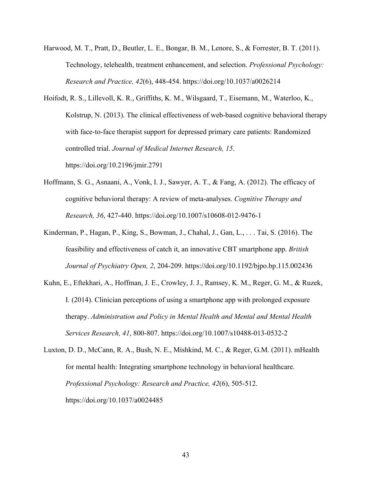- Harwood, M. T., Pratt, D., Beutler, L. E., Bongar, B. M., Lenore, S., & Forrester, B. T. (2011). Technology, telehealth, treatment enhancement, and selection. *Professional Psychology: Research and Practice, 42*(6), 448-454. https://doi.org/10.1037/a0026214
- Hoifodt, R. S., Lillevoll, K. R., Griffiths, K. M., Wilsgaard, T., Eisemann, M., Waterloo, K., Kolstrup, N. (2013). The clinical effectiveness of web-based cognitive behavioral therapy with face-to-face therapist support for depressed primary care patients: Randomized controlled trial. *Journal of Medical Internet Research, 15*. https://doi.org/10.2196/jmir.2791
- Hoffmann, S. G., Asnaani, A., Vonk, I. J., Sawyer, A. T., & Fang, A. (2012). The efficacy of cognitive behavioral therapy: A review of meta-analyses. *Cognitive Therapy and Research, 36*, 427-440. https://doi.org/10.1007/s10608-012-9476-1
- Kinderman, P., Hagan, P., King, S., Bowman, J., Chahal, J., Gan, L., . . . Tai, S. (2016). The feasibility and effectiveness of catch it, an innovative CBT smartphone app. *British Journal of Psychiatry Open, 2*, 204-209. https://doi.org/10.1192/bjpo.bp.115.002436
- Kuhn, E., Eftekhari, A., Hoffman, J. E., Crowley, J. J., Ramsey, K. M., Reger, G. M., & Ruzek, I. (2014). Clinician perceptions of using a smartphone app with prolonged exposure therapy. *Administration and Policy in Mental Health and Mental and Mental Health Services Research, 41*, 800-807. https://doi.org/10.1007/s10488-013-0532-2

Luxton, D. D., McCann, R. A., Bush, N. E., Mishkind, M. C., & Reger, G.M. (2011). mHealth for mental health: Integrating smartphone technology in behavioral healthcare. *Professional Psychology: Research and Practice, 42*(6), 505-512. https://doi.org/10.1037/a0024485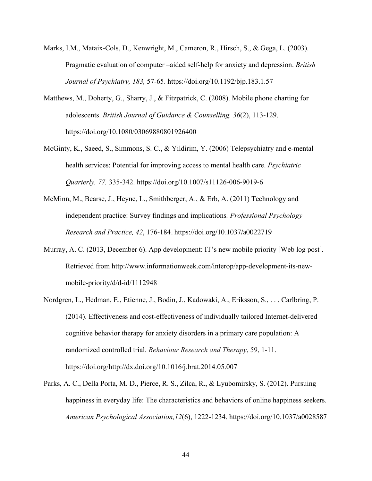- Marks, I.M., Mataix-Cols, D., Kenwright, M., Cameron, R., Hirsch, S., & Gega, L. (2003). Pragmatic evaluation of computer –aided self-help for anxiety and depression. *British Journal of Psychiatry, 183,* 57-65. https://doi.org/10.1192/bjp.183.1.57
- Matthews, M., Doherty, G., Sharry, J., & Fitzpatrick, C. (2008). Mobile phone charting for adolescents. *British Journal of Guidance & Counselling, 36*(2), 113-129. https://doi.org/10.1080/03069880801926400
- McGinty, K., Saeed, S., Simmons, S. C., & Yildirim, Y. (2006) Telepsychiatry and e-mental health services: Potential for improving access to mental health care. *Psychiatric Quarterly, 77,* 335-342. https://doi.org/10.1007/s11126-006-9019-6
- McMinn, M., Bearse, J., Heyne, L., Smithberger, A., & Erb, A. (2011) Technology and independent practice: Survey findings and implications*. Professional Psychology Research and Practice, 42*, 176-184. https://doi.org/10.1037/a0022719
- Murray, A. C. (2013, December 6). App development: IT's new mobile priority [Web log post]*.* Retrieved from http://www.informationweek.com/interop/app-development-its-newmobile-priority/d/d-id/1112948
- Nordgren, L., Hedman, E., Etienne, J., Bodin, J., Kadowaki, A., Eriksson, S., . . . Carlbring, P. (2014). Effectiveness and cost-effectiveness of individually tailored Internet-delivered cognitive behavior therapy for anxiety disorders in a primary care population: A randomized controlled trial. *Behaviour Research and Therapy*, 59, 1-11. https://doi.org/http://dx.doi.org/10.1016/j.brat.2014.05.007
- Parks, A. C., Della Porta, M. D., Pierce, R. S., Zilca, R., & Lyubomirsky, S. (2012). Pursuing happiness in everyday life: The characteristics and behaviors of online happiness seekers. *American Psychological Association,12*(6), 1222-1234. https://doi.org/10.1037/a0028587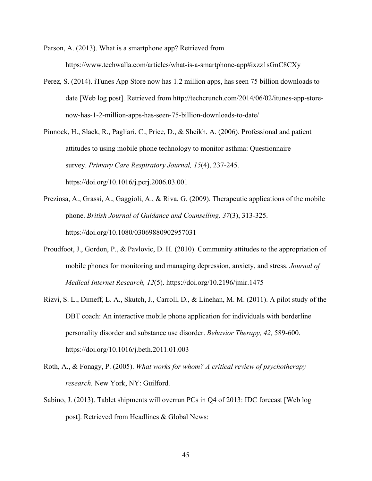Parson, A. (2013). What is a smartphone app? Retrieved from https://www.techwalla.com/articles/what-is-a-smartphone-app#ixzz1sGnC8CXy

- Perez, S. (2014). iTunes App Store now has 1.2 million apps, has seen 75 billion downloads to date [Web log post]. Retrieved from http://techcrunch.com/2014/06/02/itunes-app-storenow-has-1-2-million-apps-has-seen-75-billion-downloads-to-date/
- Pinnock, H., Slack, R., Pagliari, C., Price, D., & Sheikh, A. (2006). Professional and patient attitudes to using mobile phone technology to monitor asthma: Questionnaire survey. *Primary Care Respiratory Journal, 15*(4), 237-245. https://doi.org/10.1016/j.pcrj.2006.03.001
- Preziosa, A., Grassi, A., Gaggioli, A., & Riva, G. (2009). Therapeutic applications of the mobile phone. *British Journal of Guidance and Counselling, 37*(3), 313-325. https://doi.org/10.1080/03069880902957031
- Proudfoot, J., Gordon, P., & Pavlovic, D. H. (2010). Community attitudes to the appropriation of mobile phones for monitoring and managing depression, anxiety, and stress. *Journal of Medical Internet Research, 12*(5). https://doi.org/10.2196/jmir.1475
- Rizvi, S. L., Dimeff, L. A., Skutch, J., Carroll, D., & Linehan, M. M. (2011). A pilot study of the DBT coach: An interactive mobile phone application for individuals with borderline personality disorder and substance use disorder. *Behavior Therapy, 42,* 589-600. https://doi.org/10.1016/j.beth.2011.01.003
- Roth, A., & Fonagy, P. (2005). *What works for whom? A critical review of psychotherapy research.* New York, NY: Guilford.
- Sabino, J. (2013). Tablet shipments will overrun PCs in Q4 of 2013: IDC forecast [Web log post]. Retrieved from Headlines & Global News: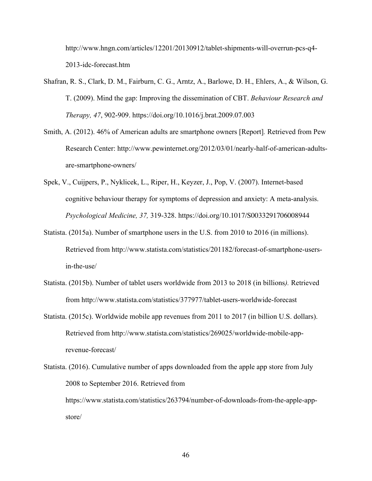http://www.hngn.com/articles/12201/20130912/tablet-shipments-will-overrun-pcs-q4- 2013-idc-forecast.htm

- Shafran, R. S., Clark, D. M., Fairburn, C. G., Arntz, A., Barlowe, D. H., Ehlers, A., & Wilson, G. T. (2009). Mind the gap: Improving the dissemination of CBT. *Behaviour Research and Therapy, 47*, 902-909. https://doi.org/10.1016/j.brat.2009.07.003
- Smith, A. (2012). 46% of American adults are smartphone owners [Report]*.* Retrieved from Pew Research Center: http://www.pewinternet.org/2012/03/01/nearly-half-of-american-adultsare-smartphone-owners/
- Spek, V., Cuijpers, P., Nyklicek, L., Riper, H., Keyzer, J., Pop, V. (2007). Internet-based cognitive behaviour therapy for symptoms of depression and anxiety: A meta-analysis. *Psychological Medicine, 37,* 319-328. https://doi.org/10.1017/S0033291706008944
- Statista. (2015a). Number of smartphone users in the U.S. from 2010 to 2016 (in millions). Retrieved from http://www.statista.com/statistics/201182/forecast-of-smartphone-usersin-the-use/
- Statista. (2015b). Number of tablet users worldwide from 2013 to 2018 (in billions*).* Retrieved from http://www.statista.com/statistics/377977/tablet-users-worldwide-forecast
- Statista. (2015c). Worldwide mobile app revenues from 2011 to 2017 (in billion U.S. dollars). Retrieved from http://www.statista.com/statistics/269025/worldwide-mobile-apprevenue-forecast/
- Statista. (2016). Cumulative number of apps downloaded from the apple app store from July 2008 to September 2016. Retrieved from https://www.statista.com/statistics/263794/number-of-downloads-from-the-apple-appstore/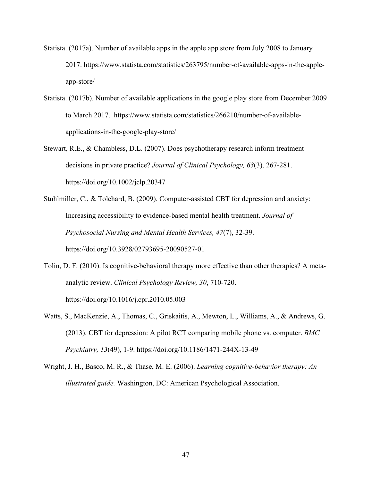- Statista. (2017a). Number of available apps in the apple app store from July 2008 to January 2017. https://www.statista.com/statistics/263795/number-of-available-apps-in-the-appleapp-store/
- Statista. (2017b). Number of available applications in the google play store from December 2009 to March 2017. https://www.statista.com/statistics/266210/number-of-availableapplications-in-the-google-play-store/
- Stewart, R.E., & Chambless, D.L. (2007). Does psychotherapy research inform treatment decisions in private practice? *Journal of Clinical Psychology, 63*(3), 267-281. https://doi.org/10.1002/jclp.20347
- Stuhlmiller, C., & Tolchard, B. (2009). Computer-assisted CBT for depression and anxiety: Increasing accessibility to evidence-based mental health treatment. *Journal of Psychosocial Nursing and Mental Health Services, 47*(7), 32-39. https://doi.org/10.3928/02793695-20090527-01
- Tolin, D. F. (2010). Is cognitive-behavioral therapy more effective than other therapies? A metaanalytic review. *Clinical Psychology Review, 30*, 710-720. https://doi.org/10.1016/j.cpr.2010.05.003
- Watts, S., MacKenzie, A., Thomas, C., Griskaitis, A., Mewton, L., Williams, A., & Andrews, G. (2013). CBT for depression: A pilot RCT comparing mobile phone vs. computer. *BMC Psychiatry, 13*(49), 1-9. https://doi.org/10.1186/1471-244X-13-49
- Wright, J. H., Basco, M. R., & Thase, M. E. (2006). *Learning cognitive-behavior therapy: An illustrated guide.* Washington, DC: American Psychological Association.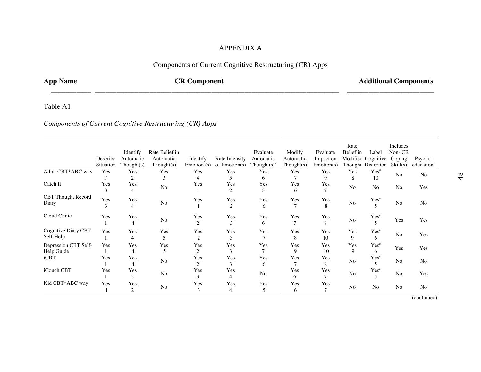## APPENDIX A

## Components of Current Cognitive Restructuring (CR) Apps

 **\_\_\_\_\_\_\_\_\_\_\_ \_\_\_\_\_\_\_\_\_\_\_\_\_\_\_\_\_\_\_\_\_\_\_\_\_\_\_\_\_\_\_\_\_\_\_\_\_\_\_\_\_\_\_\_\_\_\_\_\_\_\_\_\_\_\_\_\_\_\_\_\_\_\_\_\_\_\_ \_\_\_\_\_\_\_\_\_\_\_\_\_\_\_\_\_\_\_\_\_\_\_\_**

## **App Name CR Component CR Component Additional Components**

## Table A1

## *Components of Current Cognitive Restructuring (CR) Apps*

|                                  | Describe<br>Situation | Identify<br>Automatic<br>Thought(s) | Rate Belief in<br>Automatic<br>Though(s) | Identify<br>Emotion $(s)$ | Rate Intensity<br>of $Emotion(s)$ | Evaluate<br>Automatic<br>Thought $(s)^a$ | Modify<br>Automatic<br>Though(s) | Evaluate<br>Impact on<br>Emotion(s) | Rate<br>Belief in | Label<br>Modified Cognitive<br>Thought Distortion | Includes<br>Non-CR<br>Coping<br>Skill(s) | Psycho-<br>education <sup>b</sup> |
|----------------------------------|-----------------------|-------------------------------------|------------------------------------------|---------------------------|-----------------------------------|------------------------------------------|----------------------------------|-------------------------------------|-------------------|---------------------------------------------------|------------------------------------------|-----------------------------------|
| Adult CBT*ABC way                | Yes                   | Yes                                 | Yes                                      | Yes                       | Yes                               | Yes                                      | Yes                              | Yes                                 | Yes               | Yes <sup>d</sup>                                  | N <sub>o</sub>                           | N <sub>o</sub>                    |
|                                  | $1^{\circ}$           | $\overline{2}$                      | 3                                        | $\overline{4}$            | 5                                 | 6                                        |                                  | 9                                   | 8                 | 10                                                |                                          |                                   |
| Catch It                         | Yes                   | Yes                                 | N <sub>o</sub>                           | Yes                       | Yes                               | Yes                                      | Yes                              | Yes                                 | N <sub>o</sub>    | N <sub>o</sub>                                    | N <sub>o</sub>                           | Yes                               |
|                                  | 3                     | 4                                   |                                          |                           | 2                                 | 5                                        | 6                                | 7                                   |                   |                                                   |                                          |                                   |
| CBT Thought Record<br>Diary      | Yes<br>3              | Yes<br>4                            | N <sub>o</sub>                           | Yes                       | Yes<br>2                          | Yes<br>6                                 | Yes                              | Yes<br>8                            | N <sub>o</sub>    | Yes <sup>e</sup>                                  | No                                       | N <sub>o</sub>                    |
| Cloud Clinic                     | Yes                   | Yes<br>$\overline{4}$               | N <sub>o</sub>                           | Yes<br>2                  | Yes<br>3                          | Yes<br>6                                 | Yes                              | Yes<br>8                            | N <sub>o</sub>    | Yes <sup>e</sup>                                  | Yes                                      | Yes                               |
| Cognitive Diary CBT<br>Self-Help | Yes                   | Yes<br>4                            | Yes<br>5                                 | Yes<br>2                  | Yes<br>3                          | Yes                                      | Yes<br>8                         | Yes<br>10                           | Yes<br>9          | Yes <sup>e</sup><br>6                             | No                                       | Yes                               |
| Depression CBT Self-             | Yes                   | Yes                                 | Yes                                      | Yes                       | Yes                               | Yes                                      | Yes                              | Yes                                 | Yes               | Yes <sup>e</sup>                                  |                                          |                                   |
| Help Guide                       |                       | $\overline{4}$                      | 5                                        | 2                         | 3                                 |                                          | 9                                | 10                                  | 9                 | 6                                                 | Yes                                      | Yes                               |
| iCBT                             | Yes                   | Yes<br>$\overline{4}$               | N <sub>o</sub>                           | Yes<br>2                  | Yes<br>3                          | Yes<br>6                                 | Yes                              | Yes<br>8                            | N <sub>o</sub>    | Yes <sup>e</sup><br>$\overline{\phantom{0}}$      | N <sub>o</sub>                           | N <sub>o</sub>                    |
| iCouch CBT                       | Yes                   | Yes<br>$\overline{c}$               | N <sub>o</sub>                           | Yes<br>3                  | Yes<br>4                          | N <sub>o</sub>                           | Yes<br>6                         | Yes<br>$\tau$                       | N <sub>o</sub>    | Yes <sup>e</sup><br>$\overline{\phantom{0}}$      | No                                       | Yes                               |
| Kid CBT*ABC way                  | Yes                   | Yes<br>2                            | No                                       | Yes<br>3                  | Yes<br>4                          | Yes<br>5                                 | Yes<br>6                         | Yes<br>7                            | No                | N <sub>o</sub>                                    | N <sub>o</sub>                           | N <sub>o</sub>                    |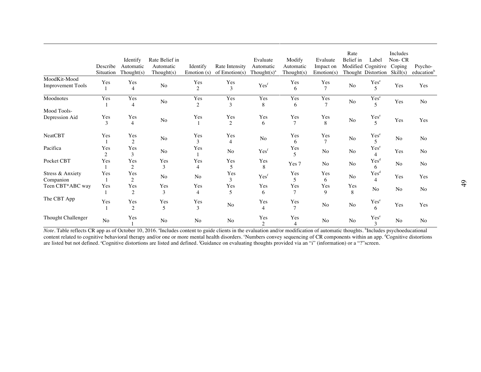|                                          | Describe<br>Situation | Identify<br>Automatic<br>Thought $(s)$ | Rate Belief in<br>Automatic<br>Thought(s) | Identify<br>Emotion (s) | Rate Intensity<br>of Emotion(s) | Evaluate<br>Automatic<br>Thought $(s)^a$ | Modify<br>Automatic<br>Thought(s) | Evaluate<br>Impact on<br>Emotion(s) | Rate<br>Belief in | Label<br>Modified Cognitive<br>Thought Distortion | Includes<br>Non-CR<br>Coping<br>Skill(s) | Psycho-<br>education <sup>b</sup> |
|------------------------------------------|-----------------------|----------------------------------------|-------------------------------------------|-------------------------|---------------------------------|------------------------------------------|-----------------------------------|-------------------------------------|-------------------|---------------------------------------------------|------------------------------------------|-----------------------------------|
| MoodKit-Mood<br><b>Improvement Tools</b> | Yes                   | Yes<br>$\overline{4}$                  | No                                        | Yes<br>$\overline{2}$   | Yes<br>3                        | Yes <sup>f</sup>                         | Yes<br>6                          | Yes<br>$\overline{7}$               | No                | $\frac{Yes^{e}}{5}$                               | Yes                                      | Yes                               |
| Moodnotes                                | Yes                   | Yes<br>$\overline{4}$                  | No                                        | Yes<br>$\overline{c}$   | Yes<br>3                        | Yes<br>8                                 | Yes<br>6                          | Yes<br>$\overline{7}$               | No                | $\mathbf{Yes}^{\text{e}}$<br>5                    | Yes                                      | No                                |
| Mood Tools-<br>Depression Aid            | Yes<br>3              | Yes<br>$\overline{4}$                  | N <sub>o</sub>                            | Yes                     | Yes<br>$\overline{2}$           | Yes<br>6                                 | Yes<br>$\tau$                     | Yes<br>8                            | No                | Yes <sup>e</sup><br>$\overline{\phantom{0}}$      | Yes                                      | Yes                               |
| <b>NeatCBT</b>                           | Yes                   | Yes<br>$\overline{2}$                  | No                                        | Yes<br>3                | Yes<br>$\overline{4}$           | No                                       | Yes<br>6                          | Yes<br>$\tau$                       | N <sub>o</sub>    | Yes <sup>e</sup><br>5                             | No                                       | No                                |
| Pacifica                                 | Yes<br>$\overline{2}$ | Yes<br>3                               | N <sub>o</sub>                            | Yes                     | N <sub>o</sub>                  | Yesf                                     | Yes<br>5                          | N <sub>o</sub>                      | No                | Yes <sup>e</sup><br>4                             | Yes                                      | No                                |
| Pocket CBT                               | Yes                   | Yes<br>$\overline{c}$                  | Yes<br>3                                  | Yes<br>$\overline{4}$   | Yes<br>5                        | Yes<br>8                                 | Yes 7                             | No                                  | No                | Yes <sup>d</sup><br>6                             | N <sub>o</sub>                           | No                                |
| Stress & Anxiety<br>Companion            | Yes                   | Yes<br>2                               | No                                        | No                      | Yes<br>3                        | Yes <sup>f</sup>                         | Yes<br>5                          | Yes<br>6                            | No                | Yes <sup>d</sup><br>4                             | Yes                                      | Yes                               |
| Teen CBT*ABC way                         | Yes                   | Yes<br>$\overline{2}$                  | Yes<br>3                                  | Yes<br>4                | Yes<br>5                        | Yes<br>6                                 | Yes<br>7                          | Yes<br>9                            | Yes<br>8          | No                                                | No                                       | No                                |
| The CBT App                              | Yes                   | Yes<br>$\overline{2}$                  | Yes<br>5                                  | Yes<br>3                | No                              | Yes<br>4                                 | Yes                               | N <sub>o</sub>                      | No                | Yes <sup>e</sup><br>6                             | Yes                                      | Yes                               |
| Thought Challenger                       | N <sub>o</sub>        | Yes                                    | N <sub>o</sub>                            | N <sub>o</sub>          | No                              | Yes<br>2                                 | Yes<br>$\overline{4}$             | No                                  | No                | Yes <sup>e</sup><br>$\mathcal{L}$                 | No                                       | No                                |

Note. Table reflects CR app as of October 10, 2016. <sup>a</sup>Includes content to guide clients in the evaluation and/or modification of automatic thoughts. <sup>b</sup>Includes psychoeducational content related to cognitive behavioral therapy and/or one or more mental health disorders. Numbers convey sequencing of CR components within an app. <sup>d</sup>Cognitive distortions are listed but not defined. "Cognitive distortions are listed and defined. <sup>[</sup>Guidance on evaluating thoughts provided via an "i" (information) or a "?" screen.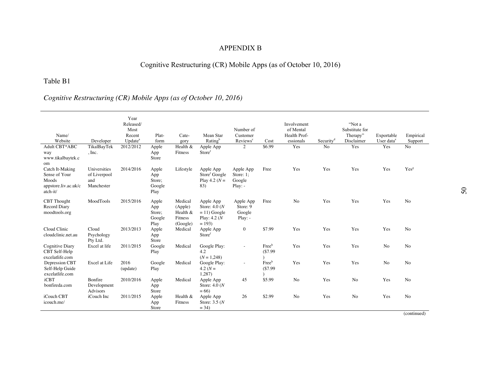## APPENDIX B

# Cognitive Restructuring (CR) Mobile Apps (as of October 10, 2016)

## Table B1

# *Cognitive Restructuring (CR) Mobile Apps (as of October 10, 2016)*

| Name/<br>Website                                                              | Developer                                         | Year<br>Released/<br>Most<br>Recent<br>Update <sup>a</sup> | Plat-<br>form                            | Cate-<br>gory                                         | Mean Star<br>Rating <sup>b</sup>                                             | Number of<br>Customer<br>Reviews <sup>c</sup> | Cost             | Involvement<br>of Mental<br>Health Prof-<br>essionals | Security <sup>d</sup> | "Not a<br>Substitute for<br>Therapy"<br>Disclaimer | Exportable<br>User data <sup>e</sup> | Empirical<br>Support |
|-------------------------------------------------------------------------------|---------------------------------------------------|------------------------------------------------------------|------------------------------------------|-------------------------------------------------------|------------------------------------------------------------------------------|-----------------------------------------------|------------------|-------------------------------------------------------|-----------------------|----------------------------------------------------|--------------------------------------|----------------------|
| Adult CBT*ABC<br>way<br>www.tikalbaytek.c<br>om                               | TikalBayTek<br>, Inc.                             | 2012/2012                                                  | Apple<br>App<br>Store                    | Health $&$<br>Fitness                                 | Apple App<br>Storef                                                          | 2                                             | \$6.99           | Yes                                                   | N <sub>o</sub>        | Yes                                                | Yes                                  | N <sub>o</sub>       |
| Catch It-Making<br>Sense of Your<br>Moods<br>appstore.liv.ac.uk/c<br>atch-it/ | Universities<br>of Liverpool<br>and<br>Manchester | 2014/2016                                                  | Apple<br>App<br>Store;<br>Google<br>Play | Lifestyle                                             | Apple App<br>Store <sup>f</sup> Google<br>Play 4.2 ( $N =$<br>83)            | Apple App<br>Store: 1:<br>Google<br>$Play: -$ | Free             | Yes                                                   | Yes                   | Yes                                                | Yes                                  | Yes <sup>g</sup>     |
| <b>CBT</b> Thought<br>Record Diary<br>moodtools.org                           | MoodTools                                         | 2015/2016                                                  | Apple<br>App<br>Store:<br>Google<br>Play | Medical<br>(Apple)<br>Health &<br>Fitness<br>(Google) | Apple App<br>Store: $4.0(N)$<br>$= 11$ ) Google<br>Play: $4.2(N)$<br>$= 193$ | Apple App<br>Store: 9<br>Google<br>$Play: -$  | Free             | No                                                    | Yes                   | Yes                                                | Yes                                  | No                   |
| Cloud Clinic<br>cloudclinic.net.au                                            | Cloud<br>Psychology<br>Pty Ltd.                   | 2013/2013                                                  | Apple<br>App<br>Store                    | Medical                                               | Apple App<br>Storef                                                          | $\boldsymbol{0}$                              | \$7.99           | Yes                                                   | Yes                   | Yes                                                | Yes                                  | No                   |
| Cognitive Diary<br>CBT Self-Help<br>excelatlife.com                           | Excel at life                                     | 2011/2015                                                  | Google<br>Play                           | Medical                                               | Google Play:<br>4.2<br>$(N = 1,248)$                                         | $\overline{a}$                                | Freeh<br>(\$7.99 | Yes                                                   | Yes                   | Yes                                                | N <sub>o</sub>                       | N <sub>o</sub>       |
| Depression CBT<br>Self-Help Guide<br>excelatlife.com                          | Excel at Life                                     | 2016<br>(update)                                           | Google<br>Play                           | Medical                                               | Google Play:<br>4.2 $(N =$<br>1,287)                                         | $\sim$                                        | Freeh<br>(\$7.99 | Yes                                                   | Yes                   | Yes                                                | No                                   | N <sub>o</sub>       |
| iCBT<br>bonfireda.com                                                         | Bonfire<br>Development<br>Advisors                | 2010/2016                                                  | Apple<br>App<br>Store                    | Medical                                               | Apple App<br>Store: $4.0(N)$<br>$= 66$                                       | 45                                            | \$5.99           | N <sub>o</sub>                                        | Yes                   | N <sub>o</sub>                                     | Yes                                  | No                   |
| iCouch CBT<br>icouch.me/                                                      | iCouch Inc                                        | 2011/2015                                                  | Apple<br>App<br>Store                    | Health $&$<br>Fitness                                 | Apple App<br>Store: $3.5(N)$<br>$= 34$                                       | 26                                            | \$2.99           | No                                                    | Yes                   | N <sub>o</sub>                                     | Yes                                  | N <sub>0</sub>       |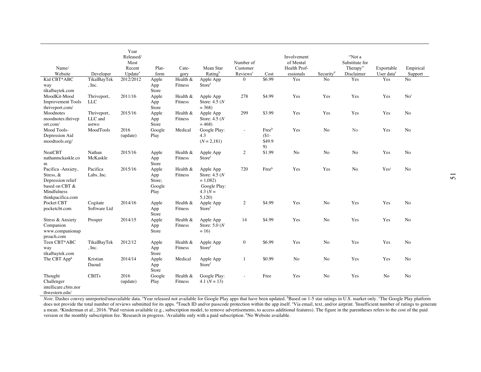| Name/<br>Website                                                                                               | Developer                       | Year<br>Released/<br>Most<br>Recent<br>Update <sup>a</sup> | Plat-<br>form                            | Cate-<br>gory         | Mean Star<br>Rating <sup>b</sup>                                                 | Number of<br>Customer<br>Reviews <sup>c</sup> | Cost                             | Involvement<br>of Mental<br>Health Prof-<br>essionals | Security <sup>d</sup> | "Not a<br>Substitute for<br>Therapy"<br>Disclaimer | Exportable<br>User data <sup>e</sup> | Empirical<br>Support |
|----------------------------------------------------------------------------------------------------------------|---------------------------------|------------------------------------------------------------|------------------------------------------|-----------------------|----------------------------------------------------------------------------------|-----------------------------------------------|----------------------------------|-------------------------------------------------------|-----------------------|----------------------------------------------------|--------------------------------------|----------------------|
| Kid CBT*ABC                                                                                                    | TikalBayTek                     | 2012/2012                                                  | Apple                                    | Health &              | Apple App                                                                        | $\mathbf{0}$                                  | \$6.99                           | Yes                                                   | No                    | Yes                                                | Yes                                  | No.                  |
| way<br>tikalbaytek.com                                                                                         | , Inc.                          |                                                            | App<br>Store                             | Fitness               | Storef                                                                           |                                               |                                  |                                                       |                       |                                                    |                                      |                      |
| MoodKit-Mood<br><b>Improvement Tools</b><br>thriveport.com/                                                    | Thriveport,<br><b>LLC</b>       | 2011/16                                                    | Apple<br>App<br>Store                    | Health $&$<br>Fitness | Apple App<br>Store: $4.5(N)$<br>$= 368$                                          | 278                                           | \$4.99                           | Yes                                                   | Yes                   | Yes                                                | Yes                                  | No <sup>i</sup>      |
| Moodnotes<br>moodnotes.thrivep<br>ort.com/                                                                     | Thriveport,<br>LLC and<br>ustwo | 2015/16                                                    | Apple<br>App<br>Store                    | Health &<br>Fitness   | Apple App<br>Store: $4.5(N)$<br>$= 468$                                          | 299                                           | \$3.99                           | Yes                                                   | Yes                   | Yes                                                | Yes                                  | N <sub>o</sub>       |
| Mood Tools-<br>Depression Aid<br>moodtools.org/                                                                | MoodTools                       | 2016<br>(update)                                           | Google<br>Play                           | Medical               | Google Play:<br>4.3<br>$(N = 2,181)$                                             | $\omega$                                      | Freeh<br>$(S1 -$<br>\$49.9<br>9) | Yes                                                   | No                    | No                                                 | Yes                                  | N <sub>o</sub>       |
| <b>NeatCBT</b><br>nathanmckaskle.co<br>m                                                                       | Nathan<br>McKaskle              | 2015/16                                                    | Apple<br>App<br>Store                    | Health &<br>Fitness   | Apple App<br>Storef                                                              | $\overline{2}$                                | \$1.99                           | No                                                    | No                    | No                                                 | Yes                                  | No                   |
| Pacifica - Anxiety,<br>Stress, $\&$<br>Depression relief<br>based on CBT &<br>Mindfulness<br>thinkpacifica.com | Pacifica<br>Labs, Inc.          | 2015/16                                                    | Apple<br>App<br>Store;<br>Google<br>Play | Health $&$<br>Fitness | Apple App<br>Store: $4.5(N)$<br>$= 1,082$<br>Google Play:<br>4.3 $(N =$<br>5,120 | 720                                           | Free <sup>h</sup>                | Yes                                                   | Yes                   | No                                                 | Yes <sup>j</sup>                     | N <sub>0</sub>       |
| Pocket CBT<br>pocketcbt.com                                                                                    | Cogitate<br>Software Ltd        | 2014/16                                                    | Apple<br>App<br>Store                    | Health &<br>Fitness   | Apple App<br>Store <sup>f</sup>                                                  | 2                                             | \$4.99                           | Yes                                                   | N <sub>o</sub>        | Yes                                                | Yes                                  | N <sub>o</sub>       |
| Stress & Anxiety<br>Companion<br>www.companionap<br>proach.com                                                 | Prosper                         | 2014/15                                                    | Apple<br>App<br>Store                    | Health &<br>Fitness   | Apple App<br>Store: $5.0(N)$<br>$= 16$                                           | 14                                            | \$4.99                           | Yes                                                   | N <sub>o</sub>        | Yes                                                | Yes                                  | N <sub>o</sub>       |
| Teen CBT*ABC<br>way<br>tikalbaytek.com                                                                         | TikalBayTek<br>, Inc.           | 2012/12                                                    | Apple<br>App<br>Store                    | Health &<br>Fitness   | Apple App<br>Storef                                                              | $\boldsymbol{0}$                              | \$6.99                           | Yes                                                   | No                    | Yes                                                | Yes                                  | No                   |
| The CBT $Appk$                                                                                                 | Kristian<br>Daoud               | 2014/14                                                    | Apple<br>App<br>Store                    | Medical               | Apple App<br>Storef                                                              | $\mathbf{1}$                                  | \$0.99                           | No                                                    | No                    | Yes                                                | Yes                                  | N <sub>o</sub>       |
| Thought<br>Challenger<br>intellicare.cbits.nor<br>thwestern.edu/                                               | <b>CBITs</b>                    | 2016<br>(update)                                           | Google<br>Play                           | Health &<br>Fitness   | Google Play:<br>4.1 $(N = 13)$                                                   |                                               | Free                             | Yes                                                   | No                    | Yes                                                | No                                   | No                   |

Note. Dashes convey unreported/unavailable data. <sup>a</sup>Year released not available for Google Play apps that have been updated. <sup>b</sup>Based on 1-5 star ratings in U.S. market only. 'The Google Play platform does not provide the total number of reviews submitted for its apps. "Touch ID and/or passcode protection within the app itself. "Via email, text, and/or airprint. 'Insufficient number of ratings to generate a mean. <sup>g</sup>Kinderman et al., 2016. <sup>h</sup>Paid version available (e.g., subscription model, to remove advertisements, to access additional features). The figure in the parentheses refers to the cost of the paid version or the monthly subscription fee. Research in progress. Available only with a paid subscription. KNo Website available.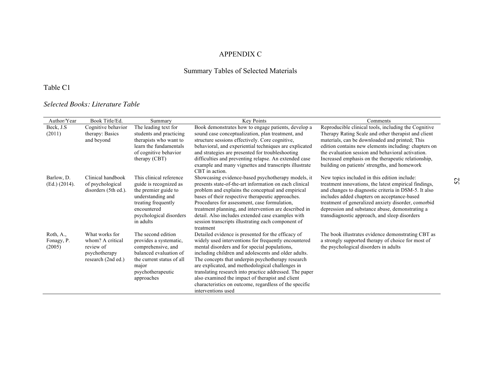## APPENDIX C

# Summary Tables of Selected Materials

# Table C1

## *Selected Books: Literature Table*

| Author/Year   | Book Title/Ed.       | Summary                            | Key Points                                                                                                 | Comments                                                                                         |
|---------------|----------------------|------------------------------------|------------------------------------------------------------------------------------------------------------|--------------------------------------------------------------------------------------------------|
| Beck, J.S.    | Cognitive behavior   | The leading text for               | Book demonstrates how to engage patients, develop a                                                        | Reproducible clinical tools, including the Cognitive                                             |
| (2011)        | therapy: Basics      | students and practicing            | sound case conceptualization, plan treatment, and                                                          | Therapy Rating Scale and other therapist and client                                              |
|               | and beyond           | therapists who want to             | structure sessions effectively. Core cognitive,                                                            | materials, can be downloaded and printed; This                                                   |
|               |                      | learn the fundamentals             | behavioral, and experiential techniques are explicated                                                     | edition contains new elements including: chapters on                                             |
|               |                      | of cognitive behavior              | and strategies are presented for troubleshooting                                                           | the evaluation session and behavioral activation.                                                |
|               |                      | therapy (CBT)                      | difficulties and preventing relapse. An extended case                                                      | Increased emphasis on the therapeutic relationship,                                              |
|               |                      |                                    | example and many vignettes and transcripts illustrate                                                      | building on patients' strengths, and homework                                                    |
|               |                      |                                    | CBT in action.                                                                                             |                                                                                                  |
| Barlow, D.    | Clinical handbook    | This clinical reference            | Showcasing evidence-based psychotherapy models, it                                                         | New topics included in this edition include:                                                     |
| (Ed.) (2014). | of psychological     | guide is recognized as             | presents state-of-the-art information on each clinical                                                     | treatment innovations, the latest empirical findings,                                            |
|               | disorders (5th ed.). | the premier guide to               | problem and explains the conceptual and empirical                                                          | and changes to diagnostic criteria in DSM-5. It also                                             |
|               |                      | understanding and                  | bases of their respective therapeutic approaches.                                                          | includes added chapters on acceptance-based                                                      |
|               |                      | treating frequently<br>encountered | Procedures for assessment, case formulation,                                                               | treatment of generalized anxiety disorder, comorbid                                              |
|               |                      | psychological disorders            | treatment planning, and intervention are described in<br>detail. Also includes extended case examples with | depression and substance abuse, demonstrating a<br>transdiagnostic approach, and sleep disorders |
|               |                      | in adults                          | session transcripts illustrating each component of                                                         |                                                                                                  |
|               |                      |                                    | treatment                                                                                                  |                                                                                                  |
| Roth, A.,     | What works for       | The second edition                 | Detailed evidence is presented for the efficacy of                                                         | The book illustrates evidence demonstrating CBT as                                               |
| Fonagy, P.    | whom? A critical     | provides a systematic,             | widely used interventions for frequently encountered                                                       | a strongly supported therapy of choice for most of                                               |
| (2005)        | review of            | comprehensive, and                 | mental disorders and for special populations,                                                              | the psychological disorders in adults                                                            |
|               | psychotherapy        | balanced evaluation of             | including children and adolescents and older adults.                                                       |                                                                                                  |
|               | research (2nd ed.)   | the current status of all          | The concepts that underpin psychotherapy research                                                          |                                                                                                  |
|               |                      | major                              | are explicated, and methodological challenges in                                                           |                                                                                                  |
|               |                      | psychotherapeutic                  | translating research into practice addressed. The paper                                                    |                                                                                                  |
|               |                      | approaches                         | also examined the impact of therapist and client                                                           |                                                                                                  |
|               |                      |                                    | characteristics on outcome, regardless of the specific                                                     |                                                                                                  |
|               |                      |                                    | interventions used                                                                                         |                                                                                                  |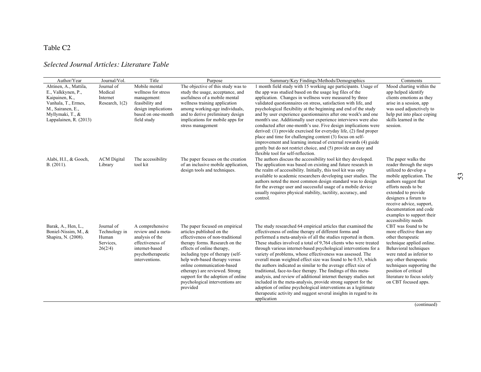## Table C2

## *Selected Journal Articles: Literature Table*

| Author/Year                                                                                                                                             | Journal/Vol.                                                 | Title                                                                                                                                 | Purpose                                                                                                                                                                                                                                                                                                                                                                                   | Summary/Key Findings/Methods/Demographics                                                                                                                                                                                                                                                                                                                                                                                                                                                                                                                                                                                                                                                                                                                                                                                                                                                     | Comments                                                                                                                                                                                                                                                                                                    |
|---------------------------------------------------------------------------------------------------------------------------------------------------------|--------------------------------------------------------------|---------------------------------------------------------------------------------------------------------------------------------------|-------------------------------------------------------------------------------------------------------------------------------------------------------------------------------------------------------------------------------------------------------------------------------------------------------------------------------------------------------------------------------------------|-----------------------------------------------------------------------------------------------------------------------------------------------------------------------------------------------------------------------------------------------------------------------------------------------------------------------------------------------------------------------------------------------------------------------------------------------------------------------------------------------------------------------------------------------------------------------------------------------------------------------------------------------------------------------------------------------------------------------------------------------------------------------------------------------------------------------------------------------------------------------------------------------|-------------------------------------------------------------------------------------------------------------------------------------------------------------------------------------------------------------------------------------------------------------------------------------------------------------|
| Ahtinen, A., Mattila,<br>E., Valkkynen, P.,<br>Kaipainen, K.,<br>Vanhala, T., Ermes,<br>M., Sairanen, E.,<br>Myllymaki, T., &<br>Lappalainen, R. (2013) | Journal of<br>Medical<br>Internet<br>Research, $1(2)$        | Mobile mental<br>wellness for stress<br>management:<br>feasibility and<br>design implications<br>based on one-month<br>field study    | The objective of this study was to<br>study the usage, acceptance, and<br>usefulness of a mobile mental<br>wellness training application<br>among working-age individuals,<br>and to derive preliminary design<br>implications for mobile apps for<br>stress management                                                                                                                   | 1 month field study with 15 working age participants. Usage of<br>the app was studied based on the usage log files of the<br>application. Changes in wellness were measured by three<br>validated questionnaires on stress, satisfaction with life, and<br>psychological flexibility at the beginning and end of the study<br>and by user experience questionnaires after one week's and one<br>month's use. Additionally user experience interviews were also<br>conducted after one-month's use. Five design implications were<br>derived: $(1)$ provide exercised for everyday life, $(2)$ find proper<br>place and time for challenging content (3) focus on self-<br>improvement and learning instead of external rewards (4) guide<br>gently but do not restrict choice, and (5) provide an easy and<br>flexible tool for self-reflection.                                              | Mood charting within the<br>app helped identify<br>clients emotions as they<br>arise in a session, app<br>was used adjunctively to<br>help put into place coping<br>skills learned in the<br>session.                                                                                                       |
| Alabi, H.I., & Gooch,<br>B. (2011).                                                                                                                     | <b>ACM</b> Digital<br>Library                                | The accessibility<br>tool kit                                                                                                         | The paper focuses on the creation<br>of an inclusive mobile application,<br>design tools and techniques.                                                                                                                                                                                                                                                                                  | The authors discuss the accessibility tool kit they developed.<br>The application was based on existing and future research in<br>the realm of accessibility. Initially, this tool kit was only<br>available to academic researchers developing user studies. The<br>authors noted the most common design standard was to design<br>for the average user and successful usage of a mobile device<br>usually requires physical stability, tactility, accuracy, and<br>control.                                                                                                                                                                                                                                                                                                                                                                                                                 | The paper walks the<br>reader through the steps<br>utilized to develop a<br>mobile application. The<br>authors suggest that<br>efforts needs to be<br>extended to provide<br>designers a forum to<br>receive advice, support,<br>documentation and code<br>examples to support their<br>accessibility needs |
| Barak, A., Hen, L.,<br>Boniel-Nissim, M., &<br>Shapira, N. (2008).                                                                                      | Journal of<br>Technology in<br>Human<br>Services.<br>26(2/4) | A comprehensive<br>review and a meta-<br>analysis of the<br>effectiveness of<br>internet-based<br>psychotherapeutic<br>interventions. | The paper focused on empirical<br>articles published on the<br>effectiveness of non-traditional<br>therapy forms. Research on the<br>effects of online therapy,<br>including type of therapy (self-<br>help web-based therapy versus<br>online communication-based<br>etherapy) are reviewed. Strong<br>support for the adoption of online<br>psychological interventions are<br>provided | The study researched 64 empirical articles that examined the<br>effectiveness of online therapy of different forms and<br>performed a meta-analysis of all the studies reported in them.<br>These studies involved a total of 9,764 clients who were treated<br>through various internet-based psychological interventions for a<br>variety of problems, whose effectiveness was assessed. The<br>overall mean weighted effect size was found to be 0.53, which<br>the authors indicated as similar to the average effect size of<br>traditional, face-to-face therapy. The findings of this meta-<br>analysis, and review of additional internet therapy studies not<br>included in the meta-analysis, provide strong support for the<br>adoption of online psychological interventions as a legitimate<br>therapeutic activity and suggest several insights in regard to its<br>application | CBT was found to be<br>more effective than any<br>other therapeutic<br>technique applied online.<br>Behavioral techniques<br>were rated as inferior to<br>any other therapeutic<br>techniques supporting the<br>position of critical<br>literature to focus solely<br>on CBT focused apps.                  |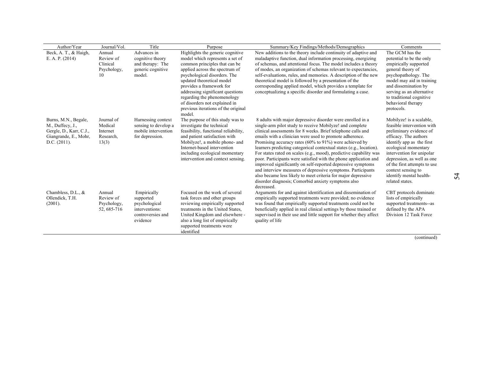| Author/Year             | Journal/Vol. | Title                | Purpose                                                      | Summary/Key Findings/Methods/Demographics                           | Comments                                       |
|-------------------------|--------------|----------------------|--------------------------------------------------------------|---------------------------------------------------------------------|------------------------------------------------|
| Beck, A. T., & Haigh,   | Annual       | Advances in          | Highlights the generic cognitive                             | New additions to the theory include continuity of adaptive and      | The GCM has the                                |
| E. A. P. $(2014)$       | Review of    | cognitive theory     | model which represents a set of                              | maladaptive function, dual information processing, energizing       | potential to be the only                       |
|                         | Clinical     | and therapy: The     | common principles that can be                                | of schemas, and attentional focus. The model includes a theory      | empirically supported                          |
|                         | Psychology,  | generic cognitive    | applied across the spectrum of                               | of modes, an organization of schemas relevant to expectancies,      | general theory of                              |
|                         | 10           | model.               | psychological disorders. The                                 | self-evaluations, rules, and memories. A description of the new     | psychopathology. The                           |
|                         |              |                      | updated theoretical model                                    | theoretical model is followed by a presentation of the              | model may aid in training                      |
|                         |              |                      | provides a framework for                                     | corresponding applied model, which provides a template for          | and dissemination by                           |
|                         |              |                      | addressing significant questions                             | conceptualizing a specific disorder and formulating a case.         | serving as an alternative                      |
|                         |              |                      | regarding the phenomenology<br>of disorders not explained in |                                                                     | to traditional cognitive<br>behavioral therapy |
|                         |              |                      | previous iterations of the original                          |                                                                     | protocols.                                     |
|                         |              |                      | model.                                                       |                                                                     |                                                |
| Burns, M.N., Begale,    | Journal of   | Harnessing context   | The purpose of this study was to                             | 8 adults with major depressive disorder were enrolled in a          | Mobilyze! is a scalable.                       |
| M., Duffecy, J.,        | Medical      | sensing to develop a | investigate the technical                                    | single-arm pilot study to receive Mobilyze! and complete            | feasible intervention with                     |
| Gergle, D., Karr, C.J., | Internet     | mobile intervention  | feasibility, functional reliability,                         | clinical assessments for 8 weeks. Brief telephone calls and         | preliminary evidence of                        |
| Giangrande, E., Mohr,   | Research,    | for depression.      | and patient satisfaction with                                | emails with a clinician were used to promote adherence.             | efficacy. The authors                          |
| D.C. $(2011)$ .         | 13(3)        |                      | Mobilyze!, a mobile phone- and                               | Promising accuracy rates $(60\% \text{ to } 91\%)$ were achieved by | identify app as the first                      |
|                         |              |                      | Internet-based intervention                                  | learners predicting categorical contextual states (e.g., location). | ecological momentary                           |
|                         |              |                      | including ecological momentary                               | For states rated on scales (e.g., mood), predictive capability was  | intervention for unipolar                      |
|                         |              |                      | intervention and context sensing.                            | poor. Participants were satisfied with the phone application and    | depression, as well as one                     |
|                         |              |                      |                                                              | improved significantly on self-reported depressive symptoms         | of the first attempts to use                   |
|                         |              |                      |                                                              | and interview measures of depressive symptoms. Participants         | context sensing to                             |
|                         |              |                      |                                                              | also became less likely to meet criteria for major depressive       | identify mental health-                        |
|                         |              |                      |                                                              | disorder diagnosis; Comorbid anxiety symptoms also<br>decreased.    | related states.                                |
| Chambless, D.L., $\&$   | Annual       | Empirically          | Focused on the work of several                               | Arguments for and against identification and dissemination of       | CBT protocols dominate                         |
| Ollendick, T.H.         | Review of    | supported            | task forces and other groups                                 | empirically supported treatments were provided; no evidence         | lists of empirically                           |
| (2001).                 | Psychology,  | psychological        | reviewing empirically supported                              | was found that empirically supported treatments could not be        | supported treatments--as                       |
|                         | 52, 685-716  | interventions:       | treatments in the United States.                             | beneficially applied in real clinical settings by those trained or  | defined by the APA                             |
|                         |              | controversies and    | United Kingdom and elsewhere -                               | supervised in their use and little support for whether they affect  | Division 12 Task Force                         |
|                         |              | evidence             | also a long list of empirically                              | quality of life                                                     |                                                |
|                         |              |                      | supported treatments were                                    |                                                                     |                                                |
|                         |              |                      | identified                                                   |                                                                     |                                                |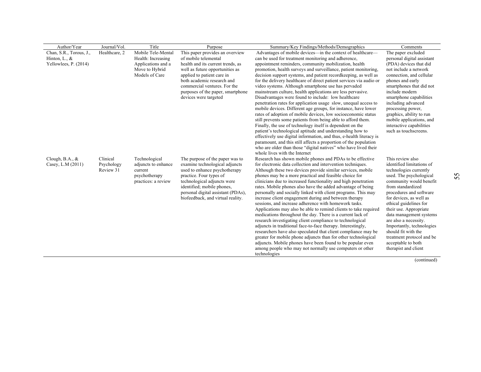| Author/Year             | Journal/Vol.  | Title                                | Purpose                                                           | Summary/Key Findings/Methods/Demographics                                                                                | Comments                                         |
|-------------------------|---------------|--------------------------------------|-------------------------------------------------------------------|--------------------------------------------------------------------------------------------------------------------------|--------------------------------------------------|
| Chan, S.R., Torous, J., | Healthcare, 2 | Mobile Tele-Mental                   | This paper provides an overview                                   | Advantages of mobile devices—in the context of healthcare—                                                               | The paper excluded                               |
| Hinton, L., $\&$        |               | Health: Increasing                   | of mobile telemental                                              | can be used for treatment monitoring and adherence,                                                                      | personal digital assistant                       |
| Yellowlees, P. (2014)   |               | Applications and a                   | health and its current trends, as                                 | appointment reminders, community mobilization, health                                                                    | (PDA) devices that did                           |
|                         |               | Move to Hybrid                       | well as future opportunities as                                   | promotion, health surveys and surveillance, patient monitoring,                                                          | not include a network                            |
|                         |               | Models of Care                       | applied to patient care in                                        | decision support systems, and patient record keeping, as well as                                                         | connection, and cellular                         |
|                         |               |                                      | both academic research and                                        | for the delivery healthcare of direct patient services via audio or                                                      | phones and early                                 |
|                         |               |                                      | commercial ventures. For the                                      | video systems. Although smartphone use has pervaded                                                                      | smartphones that did not                         |
|                         |               |                                      | purposes of the paper, smartphone                                 | mainstream culture, health applications are less pervasive.<br>Disadvantages were found to include: low healthcare       | include modern<br>smartphone capabilities        |
|                         |               |                                      | devices were targeted                                             | penetration rates for application usage slow, unequal access to                                                          | including advanced                               |
|                         |               |                                      |                                                                   | mobile devices. Different age groups, for instance, have lower                                                           | processing power.                                |
|                         |               |                                      |                                                                   | rates of adoption of mobile devices, low socioeconomic status                                                            | graphics, ability to run                         |
|                         |               |                                      |                                                                   | still prevents some patients from being able to afford them.                                                             | mobile applications, and                         |
|                         |               |                                      |                                                                   | Finally, the use of technology itself is dependent on the                                                                | interactive capabilities                         |
|                         |               |                                      |                                                                   | patient's technological aptitude and understanding how to                                                                | such as touchscreens.                            |
|                         |               |                                      |                                                                   | effectively use digital information, and thus, e-health literacy is                                                      |                                                  |
|                         |               |                                      |                                                                   | paramount, and this still affects a proportion of the population                                                         |                                                  |
|                         |               |                                      |                                                                   | who are older than those "digital natives" who have lived their<br>whole lives with the Internet                         |                                                  |
| Clough, B.A., $\&$      | Clinical      |                                      |                                                                   |                                                                                                                          | This review also                                 |
| Casey, L.M (2011)       | Psychology    | Technological<br>adjuncts to enhance | The purpose of the paper was to<br>examine technological adjuncts | Research has shown mobile phones and PDAs to be effective<br>for electronic data collection and intervention techniques. | identified limitations of                        |
|                         | Review 31     | current                              | used to enhance psychotherapy                                     | Although these two devices provide similar services, mobile                                                              | technologies currently                           |
|                         |               | psychotherapy                        | practice. Four types of                                           | phones may be a more practical and feasible choice for                                                                   | used. The psychological                          |
|                         |               | practices: a review                  | technological adjuncts were                                       | clinicians due to increased functionality and high penetration                                                           | community would benefit                          |
|                         |               |                                      | identified; mobile phones,                                        | rates. Mobile phones also have the added advantage of being                                                              | from standardized                                |
|                         |               |                                      | personal digital assistant (PDAs),                                | personally and socially linked with client programs. This may                                                            | procedures and software                          |
|                         |               |                                      | biofeedback, and virtual reality.                                 | increase client engagement during and between therapy                                                                    | for devices, as well as                          |
|                         |               |                                      |                                                                   | sessions, and increase adherence with homework tasks.                                                                    | ethical guidelines for                           |
|                         |               |                                      |                                                                   | Applications may also be able to remind clients to take required                                                         | their use. Appropriate                           |
|                         |               |                                      |                                                                   | medications throughout the day. There is a current lack of<br>research investigating client compliance to technological  | data management systems<br>are also a necessity. |
|                         |               |                                      |                                                                   | adjuncts in traditional face-to-face therapy. Interestingly,                                                             | Importantly, technologies                        |
|                         |               |                                      |                                                                   | researchers have also speculated that client compliance may be                                                           | should fit with the                              |
|                         |               |                                      |                                                                   | greater for mobile phone adjuncts than for other technological                                                           | treatment protocol and be                        |
|                         |               |                                      |                                                                   | adjuncts. Mobile phones have been found to be popular even                                                               | acceptable to both                               |
|                         |               |                                      |                                                                   | among people who may not normally use computers or other                                                                 | therapist and client                             |
|                         |               |                                      |                                                                   | technologies                                                                                                             |                                                  |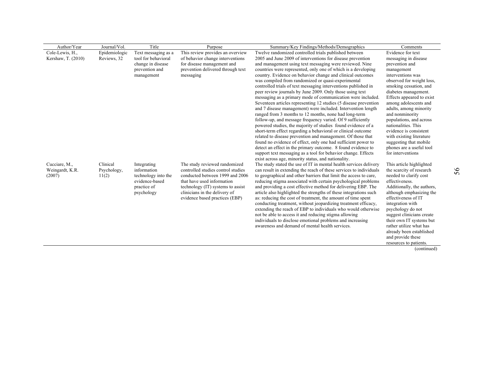| Author/Year        | Journal/Vol.  | Title                                 | Purpose                                                             | Summary/Key Findings/Methods/Demographics                                                                                           | Comments                                           |
|--------------------|---------------|---------------------------------------|---------------------------------------------------------------------|-------------------------------------------------------------------------------------------------------------------------------------|----------------------------------------------------|
| Cole-Lewis, H.,    | Epidemiologic | Text messaging as a                   | This review provides an overview                                    | Twelve randomized controlled trials published between                                                                               | Evidence for text                                  |
| Kershaw, T. (2010) | Reviews, 32   | tool for behavioral                   | of behavior change interventions                                    | 2005 and June 2009 of interventions for disease prevention                                                                          | messaging in disease                               |
|                    |               | change in disease                     | for disease management and                                          | and management using text messaging were reviewed. Nine                                                                             | prevention and                                     |
|                    |               | prevention and                        | prevention delivered through text                                   | countries were represented, only one of which is a developing                                                                       | management                                         |
|                    |               | management                            | messaging                                                           | country. Evidence on behavior change and clinical outcomes                                                                          | interventions was                                  |
|                    |               |                                       |                                                                     | was compiled from randomized or quasi-experimental                                                                                  | observed for weight loss,                          |
|                    |               |                                       |                                                                     | controlled trials of text messaging interventions published in<br>peer review journals by June 2009. Only those using text          | smoking cessation, and<br>diabetes management.     |
|                    |               |                                       |                                                                     | messaging as a primary mode of communication were included.                                                                         | Effects appeared to exist                          |
|                    |               |                                       |                                                                     | Seventeen articles representing 12 studies (5 disease prevention                                                                    | among adolescents and                              |
|                    |               |                                       |                                                                     | and 7 disease management) were included. Intervention length                                                                        | adults, among minority                             |
|                    |               |                                       |                                                                     | ranged from 3 months to 12 months, none had long-term                                                                               | and nonminority                                    |
|                    |               |                                       |                                                                     | follow-up, and message frequency varied. Of 9 sufficiently                                                                          | populations, and across                            |
|                    |               |                                       |                                                                     | powered studies, the majority of studies found evidence of a                                                                        | nationalities. This                                |
|                    |               |                                       |                                                                     | short-term effect regarding a behavioral or clinical outcome                                                                        | evidence is consistent                             |
|                    |               |                                       |                                                                     | related to disease prevention and management. Of those that                                                                         | with existing literature                           |
|                    |               |                                       |                                                                     | found no evidence of effect, only one had sufficient power to                                                                       | suggesting that mobile                             |
|                    |               |                                       |                                                                     | detect an effect in the primary outcome. 8 found evidence to                                                                        | phones are a useful tool                           |
|                    |               |                                       |                                                                     | support text messaging as a tool for behavior change. Effects                                                                       | for interventions                                  |
|                    |               |                                       |                                                                     | exist across age, minority status, and nationality.                                                                                 |                                                    |
| Cucciare, M.,      | Clinical      | Integrating                           | The study reviewed randomized<br>controlled studies control studies | The study stated the use of IT in mental health services delivery                                                                   | This article highlighted                           |
| Weingardt, K.R.    | Psychology,   | information                           | conducted between 1999 and 2006                                     | can result in extending the reach of these services to individuals                                                                  | the scarcity of research<br>needed to clarify cost |
| (2007)             | 11(2)         | technology into the<br>evidence-based | that have used information                                          | to geographical and other barriers that limit the access to care,<br>reducing stigma associated with certain psychological problems | effectiveness.                                     |
|                    |               | practice of                           | technology (IT) systems to assist                                   | and providing a cost effective method for delivering EBP. The                                                                       | Additionally, the authors,                         |
|                    |               | psychology                            | clinicians in the delivery of                                       | article also highlighted the strengths of these integrations such                                                                   | although emphasizing the                           |
|                    |               |                                       | evidence based practices (EBP)                                      | as: reducing the cost of treatment, the amount of time spent                                                                        | effectiveness of IT                                |
|                    |               |                                       |                                                                     | conducting treatment, without jeopardizing treatment efficacy,                                                                      | integration with                                   |
|                    |               |                                       |                                                                     | extending the reach of EBP to individuals who would otherwise                                                                       | psychology do not                                  |
|                    |               |                                       |                                                                     | not be able to access it and reducing stigma allowing                                                                               | suggest clinicians create                          |
|                    |               |                                       |                                                                     | individuals to disclose emotional problems and increasing                                                                           | their own IT systems but                           |
|                    |               |                                       |                                                                     | awareness and demand of mental health services.                                                                                     | rather utilize what has                            |
|                    |               |                                       |                                                                     |                                                                                                                                     | already been established                           |
|                    |               |                                       |                                                                     |                                                                                                                                     | and provide these                                  |
|                    |               |                                       |                                                                     |                                                                                                                                     | resources to patients.                             |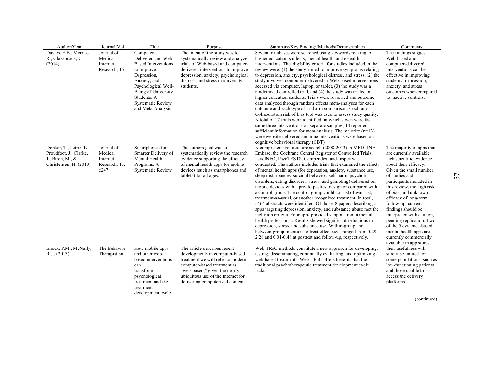| Author/Year                                       | Journal/Vol.          | Title                                  | Purpose                                                       | Summary/Key Findings/Methods/Demographics                                                                                | Comments                                             |
|---------------------------------------------------|-----------------------|----------------------------------------|---------------------------------------------------------------|--------------------------------------------------------------------------------------------------------------------------|------------------------------------------------------|
| Davies, E.B., Morriss,                            | Journal of            | Computer-                              | The intent of the study was to                                | Several databases were searched using keywords relating to                                                               | The findings suggest                                 |
| R., Glazebrook, C.                                | Medical               | Delivered and Web-                     | systematically review and analyze                             | higher education students, mental health, and eHealth                                                                    | Web-based and                                        |
| (2014)                                            | Internet              | <b>Based Interventions</b>             | trials of Web-based and computer-                             | interventions. The eligibility criteria for studies included in the                                                      | computer-delivered                                   |
|                                                   | Research, 16          | to Improve                             | delivered interventions to improve                            | review were: (1) the study aimed to improve symptoms relating                                                            | interventions can be                                 |
|                                                   |                       | Depression,                            | depression, anxiety, psychological                            | to depression, anxiety, psychological distress, and stress, (2) the                                                      | effective in improving                               |
|                                                   |                       | Anxiety, and                           | distress, and stress in university                            | study involved computer-delivered or Web-based interventions                                                             | students' depression,                                |
|                                                   |                       | Psychological Well-                    | students.                                                     | accessed via computer, laptop, or tablet, (3) the study was a                                                            | anxiety, and stress                                  |
|                                                   |                       | Being of University                    |                                                               | randomized controlled trial, and (4) the study was trialed on                                                            | outcomes when compared                               |
|                                                   |                       | Students: A                            |                                                               | higher education students. Trials were reviewed and outcome                                                              | to inactive controls.                                |
|                                                   |                       | <b>Systematic Review</b>               |                                                               | data analyzed through random effects meta-analyses for each                                                              |                                                      |
|                                                   |                       | and Meta-Analysis                      |                                                               | outcome and each type of trial arm comparison. Cochrane                                                                  |                                                      |
|                                                   |                       |                                        |                                                               | Collaboration risk of bias tool was used to assess study quality.                                                        |                                                      |
|                                                   |                       |                                        |                                                               | A total of 17 trials were identified, in which seven were the                                                            |                                                      |
|                                                   |                       |                                        |                                                               | same three interventions on separate samples; 14 reported                                                                |                                                      |
|                                                   |                       |                                        |                                                               | sufficient information for meta-analysis. The majority $(n=13)$                                                          |                                                      |
|                                                   |                       |                                        |                                                               | were website-delivered and nine interventions were based on                                                              |                                                      |
|                                                   |                       |                                        |                                                               | cognitive behavioral therapy (CBT).                                                                                      |                                                      |
| Donker, T., Petrie, K.,<br>Proudfoot, J., Clarke, | Journal of<br>Medical | Smartphones for<br>Smarter Delivery of | The authors goal was to<br>systematically review the research | A comprehensive literature search (2008-2013) in MEDLINE,<br>Embase, the Cochrane Central Register of Controlled Trials, | The majority of apps that<br>are currently available |
| J., Birch, M., &                                  | Internet              | Mental Health                          | evidence supporting the efficacy                              | PsycINFO, PsycTESTS, Compendex, and Inspec was                                                                           | lack scientific evidence                             |
| Christensen, H. (2013)                            | Research, 15,         | Programs: A                            | of mental health apps for mobile                              | conducted. The authors included trials that examined the effects                                                         | about their efficacy.                                |
|                                                   | e247                  | <b>Systematic Review</b>               | devices (such as smartphones and                              | of mental health apps (for depression, anxiety, substance use,                                                           | Given the small number                               |
|                                                   |                       |                                        | tablets) for all ages.                                        | sleep disturbances, suicidal behavior, self-harm, psychotic                                                              | of studies and                                       |
|                                                   |                       |                                        |                                                               | disorders, eating disorders, stress, and gambling) delivered on                                                          | participants included in                             |
|                                                   |                       |                                        |                                                               | mobile devices with a pre- to posttest design or compared with                                                           | this review, the high risk                           |
|                                                   |                       |                                        |                                                               | a control group. The control group could consist of wait list,                                                           | of bias, and unknown                                 |
|                                                   |                       |                                        |                                                               | treatment-as-usual, or another recognized treatment. In total,                                                           | efficacy of long-term                                |
|                                                   |                       |                                        |                                                               | 5464 abstracts were identified. Of those, 8 papers describing 5                                                          | follow-up, current                                   |
|                                                   |                       |                                        |                                                               | apps targeting depression, anxiety, and substance abuse met the                                                          | findings should be                                   |
|                                                   |                       |                                        |                                                               | inclusion criteria. Four apps provided support from a mental                                                             | interpreted with caution,                            |
|                                                   |                       |                                        |                                                               | health professional. Results showed significant reductions in                                                            | pending replication. Two                             |
|                                                   |                       |                                        |                                                               | depression, stress, and substance use. Within-group and                                                                  | of the 5 evidence-based                              |
|                                                   |                       |                                        |                                                               | between-group intention-to-treat effect sizes ranged from 0.29-                                                          | mental health apps are                               |
|                                                   |                       |                                        |                                                               | 2.28 and 0.01-0.48 at posttest and follow-up, respectively.                                                              | currently commercially                               |
|                                                   |                       |                                        |                                                               |                                                                                                                          | available in app stores.                             |
| Enock, P.M., McNally,                             | The Behavior          | How mobile apps                        | The article describes recent                                  | Web-TRaC methods constitute a new approach for developing,                                                               | their usefulness will                                |
| R.J., (2013).                                     | Therapist 36          | and other web-                         | developments in computer-based                                | testing, disseminating, continually evaluating, and optimizing                                                           | surely be limited for                                |
|                                                   |                       | based interventions                    | treatment we will refer to modern                             | web-based treatments. Web-TRaC offers benefits that the                                                                  | some populations, such as                            |
|                                                   |                       | can                                    | computer-based treatment as                                   | traditional psychotherapeutic treatment development cycle                                                                | low-functioning patients                             |
|                                                   |                       | transform                              | "web-based," given the nearly                                 | lacks.                                                                                                                   | and those unable to                                  |
|                                                   |                       | psychological                          | ubiquitous use of the Internet for                            |                                                                                                                          | access the delivery                                  |
|                                                   |                       | treatment and the                      | delivering computerized content.                              |                                                                                                                          | platforms.                                           |
|                                                   |                       | treatment                              |                                                               |                                                                                                                          |                                                      |
|                                                   |                       | development cycle                      |                                                               |                                                                                                                          |                                                      |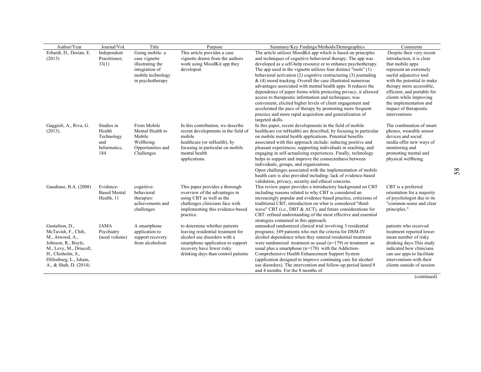| Author/Year                                                                                                                                                                        | Journal/Vol.                                                     | Title                                                                                                           | Purpose                                                                                                                                                                                                     | Summary/Key Findings/Methods/Demographics                                                                                                                                                                                                                                                                                                                                                                                                                                                                                                                                                                                                                                                                                                                                                                        | Comments                                                                                                                                                                                                                                                                                                               |
|------------------------------------------------------------------------------------------------------------------------------------------------------------------------------------|------------------------------------------------------------------|-----------------------------------------------------------------------------------------------------------------|-------------------------------------------------------------------------------------------------------------------------------------------------------------------------------------------------------------|------------------------------------------------------------------------------------------------------------------------------------------------------------------------------------------------------------------------------------------------------------------------------------------------------------------------------------------------------------------------------------------------------------------------------------------------------------------------------------------------------------------------------------------------------------------------------------------------------------------------------------------------------------------------------------------------------------------------------------------------------------------------------------------------------------------|------------------------------------------------------------------------------------------------------------------------------------------------------------------------------------------------------------------------------------------------------------------------------------------------------------------------|
| Erhardt, D., Dorian, E.<br>(2013)                                                                                                                                                  | Independent<br>Practitioner,<br>33(1)                            | Going mobile: a<br>case vignette<br>illustrating the<br>integration of<br>mobile technology<br>in psychotherapy | This article provides a case<br>vignette drawn from the authors<br>work using MoodKit app they<br>developed.                                                                                                | The article utilizes MoodKit app which is based on principles<br>and techniques of cognitive behavioral therapy. The app was<br>developed as a self-help resource or to enhance psychotherapy.<br>The app used in the vignette utilizes four distinct "tools" (1)<br>behavioral activation (2) cognitive restructuring (3) journaling<br>$\&$ (4) mood tracking. Overall the case illustrated numerous<br>advantages associated with mental health apps: It reduces the<br>dependence of paper forms while protecting privacy, it allowed<br>access to therapeutic information and techniques, was<br>convenient, elicited higher levels of client engagement and<br>accelerated the pace of therapy by promoting more frequent<br>practice and more rapid acquisition and generalization of<br>targeted skills. | Despite their very recent<br>introduction, it is clear<br>that mobile apps<br>represent an extremely<br>useful adjunctive tool<br>with the potential to make<br>therapy more accessible,<br>efficient, and portable for<br>clients while improving<br>the implementation and<br>impact of therapeutic<br>interventions |
| Gaggioli, A., Riva, G.<br>(2013).                                                                                                                                                  | Studies in<br>Health<br>Technology<br>and<br>Informatics,<br>184 | From Mobile<br>Mental Health to<br>Mobile<br>Wellbeing:<br>Opportunities and<br>Challenges                      | In this contribution, we describe<br>recent developments in the field of<br>mobile<br>healthcare (or mHealth), by<br>focusing in particular on mobile<br>mental health<br>applications.                     | In this paper, recent developments in the field of mobile<br>healthcare (or mHealth) are described, by focusing in particular<br>on mobile mental health applications. Potential benefits<br>associated with this approach include: inducing positive and<br>pleasant experiences; supporting individuals in reaching, and<br>engaging in self-actualizing experiences. Finally, technology<br>helps to support and improve the connectedness between<br>individuals, groups, and organizations.<br>Open challenges associated with the implementation of mobile<br>health care is also provided including: lack of evidence-based<br>validation, privacy, security and ethical concerns.                                                                                                                        | The combination of smart<br>phones, wearable sensor<br>devices and social<br>media offer new ways of<br>monitoring and<br>promoting mental and<br>physical wellbeing.                                                                                                                                                  |
| Gaudiano, B.A. (2008)                                                                                                                                                              | Evidence-<br><b>Based Mental</b><br>Health, 11                   | cognitive-<br>behavioral<br>therapies:<br>achievements and<br>challenges                                        | This paper provides a thorough<br>overview of the advantages in<br>using CBT as well as the<br>challenges clinicians face with<br>implementing this evidence-based<br>practice.                             | This review paper provides a introductory background on CBT<br>including reasons related to why CBT is considered an<br>increasingly popular and evidence based practice, criticisms of<br>traditional CBT, introduction on what is considered "third-<br>wave" CBT (i.e., DBT $\&$ ACT), and future considerations for<br>CBT: refined understanding of the most effective and essential<br>strategies contained in this approach.                                                                                                                                                                                                                                                                                                                                                                              | CBT is a preferred<br>orientation for a majority<br>of psychologist due to its<br>"common-sense and clear<br>principles."                                                                                                                                                                                              |
| Gustafson, D.,<br>McTavish, F., Chih,<br>M., Atwood, A.,<br>Johnson, R., Boyle,<br>M., Levy, M., Driscoll,<br>H., Chisholm, S.,<br>Dillenburg, L., Isham,<br>A., & Shah, D. (2014) | <b>JAMA</b><br>Psychiatry<br>(need volume)                       | A smartphone<br>application to<br>support recovery<br>from alcoholism                                           | to determine whether patients<br>leaving residential treatment for<br>alcohol use disorders with a<br>smartphone application to support<br>recovery have fewer risky<br>drinking days than control patients | unmasked randomized clinical trial involving 3 residential<br>programs; 349 patients who met the criteria for DSM-IV<br>alcohol dependence when they entered residential treatment<br>were randomized treatment as usual $(n=179)$ or treatment as<br>usual plus a smartphone $(n=170)$ with the Addiction-<br>Comprehensive Health Enhancement Support System<br>(application designed to improve continuing care for alcohol<br>use disorders). The intervention and follow-up period lasted 8<br>and 4 months. For the 8 months of                                                                                                                                                                                                                                                                            | patients who received<br>treatment reported lower<br>mean number of risky<br>drinking days-This study<br>indicated how clinicians<br>can use apps to facilitate<br>interventions with their<br>clients outside of session                                                                                              |

58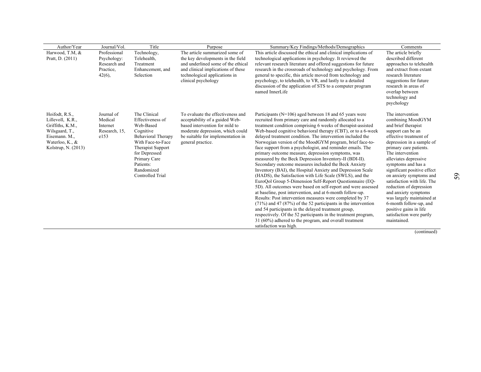| Harwood, T.M, $\overline{\&}$<br>Technology,<br>The article summarized some of<br>This article discussed the ethical and clinical implications of<br>The article briefly<br>Professional<br>the key developments in the field<br>Pratt, D. (2011)<br>Psychology:<br>Telehealth,<br>technological applications in psychology. It reviewed the<br>described different<br>and underlined some of the ethical<br>relevant research literature and offered suggestions for future<br>Research and<br>approaches to telehealth<br>Treatment<br>and clinical implications of these<br>research in the crossroads of technology and psychology. From<br>and extract from extant<br>Practice.<br>Enhancement, and<br>technological applications in<br>general to specific, this article moved from technology and<br>research literature<br>$42(6)$ ,<br>Selection<br>clinical psychology<br>psychology, to telehealth, to VR, and lastly to a detailed<br>suggestions for future<br>discussion of the application of STS to a computer program<br>research in areas of<br>named InnerLife<br>overlap between<br>technology and<br>psychology<br>The Clinical<br>To evaluate the effectiveness and<br>Hoifodt, R.S.,<br>Journal of<br>Participants ( $N=106$ ) aged between 18 and 65 years were<br>The intervention<br>Medical<br>Effectiveness of<br>recruited from primary care and randomly allocated to a<br>combining MoodGYM<br>Lillevoll, K.R.,<br>acceptability of a guided Web-<br>based intervention for mild to<br>treatment condition comprising 6 weeks of therapist-assisted<br>Web-Based<br>and brief therapist<br>Griffiths, K.M.,<br>Internet<br>Research, 15,<br>Cognitive<br>moderate depression, which could<br>Web-based cognitive behavioral therapy (CBT), or to a 6-week<br>support can be an<br>Wilsgaard, T.,<br><b>Behavioral Therapy</b><br>delayed treatment condition. The intervention included the<br>effective treatment of<br>Eisemann. M.,<br>e153<br>be suitable for implementation in<br>With Face-to-Face<br>Norwegian version of the MoodGYM program, brief face-to-<br>Waterloo, K., &<br>depression in a sample of<br>general practice.<br>face support from a psychologist, and reminder emails. The<br>Kolstrup, N. (2013)<br>Therapist Support<br>primary care patients.<br>The intervention<br>for Depressed<br>primary outcome measure, depression symptoms, was<br>measured by the Beck Depression Inventory-II (BDI-II).<br>Primary Care<br>alleviates depressive<br>Patients:<br>Secondary outcome measures included the Beck Anxiety<br>symptoms and has a<br>Inventory (BAI), the Hospital Anxiety and Depression Scale<br>significant positive effect<br>Randomized | Author/Year | Journal/Vol. | Title | Purpose | Summary/Key Findings/Methods/Demographics | Comments |
|-----------------------------------------------------------------------------------------------------------------------------------------------------------------------------------------------------------------------------------------------------------------------------------------------------------------------------------------------------------------------------------------------------------------------------------------------------------------------------------------------------------------------------------------------------------------------------------------------------------------------------------------------------------------------------------------------------------------------------------------------------------------------------------------------------------------------------------------------------------------------------------------------------------------------------------------------------------------------------------------------------------------------------------------------------------------------------------------------------------------------------------------------------------------------------------------------------------------------------------------------------------------------------------------------------------------------------------------------------------------------------------------------------------------------------------------------------------------------------------------------------------------------------------------------------------------------------------------------------------------------------------------------------------------------------------------------------------------------------------------------------------------------------------------------------------------------------------------------------------------------------------------------------------------------------------------------------------------------------------------------------------------------------------------------------------------------------------------------------------------------------------------------------------------------------------------------------------------------------------------------------------------------------------------------------------------------------------------------------------------------------------------------------------------------------------------------------------------------------------------------------------------------------------------------------------------------------------------------------------------------------------------------------------------------------------------------------------------|-------------|--------------|-------|---------|-------------------------------------------|----------|
|                                                                                                                                                                                                                                                                                                                                                                                                                                                                                                                                                                                                                                                                                                                                                                                                                                                                                                                                                                                                                                                                                                                                                                                                                                                                                                                                                                                                                                                                                                                                                                                                                                                                                                                                                                                                                                                                                                                                                                                                                                                                                                                                                                                                                                                                                                                                                                                                                                                                                                                                                                                                                                                                                                                 |             |              |       |         |                                           |          |
|                                                                                                                                                                                                                                                                                                                                                                                                                                                                                                                                                                                                                                                                                                                                                                                                                                                                                                                                                                                                                                                                                                                                                                                                                                                                                                                                                                                                                                                                                                                                                                                                                                                                                                                                                                                                                                                                                                                                                                                                                                                                                                                                                                                                                                                                                                                                                                                                                                                                                                                                                                                                                                                                                                                 |             |              |       |         |                                           |          |
|                                                                                                                                                                                                                                                                                                                                                                                                                                                                                                                                                                                                                                                                                                                                                                                                                                                                                                                                                                                                                                                                                                                                                                                                                                                                                                                                                                                                                                                                                                                                                                                                                                                                                                                                                                                                                                                                                                                                                                                                                                                                                                                                                                                                                                                                                                                                                                                                                                                                                                                                                                                                                                                                                                                 |             |              |       |         |                                           |          |
|                                                                                                                                                                                                                                                                                                                                                                                                                                                                                                                                                                                                                                                                                                                                                                                                                                                                                                                                                                                                                                                                                                                                                                                                                                                                                                                                                                                                                                                                                                                                                                                                                                                                                                                                                                                                                                                                                                                                                                                                                                                                                                                                                                                                                                                                                                                                                                                                                                                                                                                                                                                                                                                                                                                 |             |              |       |         |                                           |          |
|                                                                                                                                                                                                                                                                                                                                                                                                                                                                                                                                                                                                                                                                                                                                                                                                                                                                                                                                                                                                                                                                                                                                                                                                                                                                                                                                                                                                                                                                                                                                                                                                                                                                                                                                                                                                                                                                                                                                                                                                                                                                                                                                                                                                                                                                                                                                                                                                                                                                                                                                                                                                                                                                                                                 |             |              |       |         |                                           |          |
|                                                                                                                                                                                                                                                                                                                                                                                                                                                                                                                                                                                                                                                                                                                                                                                                                                                                                                                                                                                                                                                                                                                                                                                                                                                                                                                                                                                                                                                                                                                                                                                                                                                                                                                                                                                                                                                                                                                                                                                                                                                                                                                                                                                                                                                                                                                                                                                                                                                                                                                                                                                                                                                                                                                 |             |              |       |         |                                           |          |
|                                                                                                                                                                                                                                                                                                                                                                                                                                                                                                                                                                                                                                                                                                                                                                                                                                                                                                                                                                                                                                                                                                                                                                                                                                                                                                                                                                                                                                                                                                                                                                                                                                                                                                                                                                                                                                                                                                                                                                                                                                                                                                                                                                                                                                                                                                                                                                                                                                                                                                                                                                                                                                                                                                                 |             |              |       |         |                                           |          |
|                                                                                                                                                                                                                                                                                                                                                                                                                                                                                                                                                                                                                                                                                                                                                                                                                                                                                                                                                                                                                                                                                                                                                                                                                                                                                                                                                                                                                                                                                                                                                                                                                                                                                                                                                                                                                                                                                                                                                                                                                                                                                                                                                                                                                                                                                                                                                                                                                                                                                                                                                                                                                                                                                                                 |             |              |       |         |                                           |          |
|                                                                                                                                                                                                                                                                                                                                                                                                                                                                                                                                                                                                                                                                                                                                                                                                                                                                                                                                                                                                                                                                                                                                                                                                                                                                                                                                                                                                                                                                                                                                                                                                                                                                                                                                                                                                                                                                                                                                                                                                                                                                                                                                                                                                                                                                                                                                                                                                                                                                                                                                                                                                                                                                                                                 |             |              |       |         |                                           |          |
|                                                                                                                                                                                                                                                                                                                                                                                                                                                                                                                                                                                                                                                                                                                                                                                                                                                                                                                                                                                                                                                                                                                                                                                                                                                                                                                                                                                                                                                                                                                                                                                                                                                                                                                                                                                                                                                                                                                                                                                                                                                                                                                                                                                                                                                                                                                                                                                                                                                                                                                                                                                                                                                                                                                 |             |              |       |         |                                           |          |
|                                                                                                                                                                                                                                                                                                                                                                                                                                                                                                                                                                                                                                                                                                                                                                                                                                                                                                                                                                                                                                                                                                                                                                                                                                                                                                                                                                                                                                                                                                                                                                                                                                                                                                                                                                                                                                                                                                                                                                                                                                                                                                                                                                                                                                                                                                                                                                                                                                                                                                                                                                                                                                                                                                                 |             |              |       |         |                                           |          |
|                                                                                                                                                                                                                                                                                                                                                                                                                                                                                                                                                                                                                                                                                                                                                                                                                                                                                                                                                                                                                                                                                                                                                                                                                                                                                                                                                                                                                                                                                                                                                                                                                                                                                                                                                                                                                                                                                                                                                                                                                                                                                                                                                                                                                                                                                                                                                                                                                                                                                                                                                                                                                                                                                                                 |             |              |       |         |                                           |          |
|                                                                                                                                                                                                                                                                                                                                                                                                                                                                                                                                                                                                                                                                                                                                                                                                                                                                                                                                                                                                                                                                                                                                                                                                                                                                                                                                                                                                                                                                                                                                                                                                                                                                                                                                                                                                                                                                                                                                                                                                                                                                                                                                                                                                                                                                                                                                                                                                                                                                                                                                                                                                                                                                                                                 |             |              |       |         |                                           |          |
|                                                                                                                                                                                                                                                                                                                                                                                                                                                                                                                                                                                                                                                                                                                                                                                                                                                                                                                                                                                                                                                                                                                                                                                                                                                                                                                                                                                                                                                                                                                                                                                                                                                                                                                                                                                                                                                                                                                                                                                                                                                                                                                                                                                                                                                                                                                                                                                                                                                                                                                                                                                                                                                                                                                 |             |              |       |         |                                           |          |
|                                                                                                                                                                                                                                                                                                                                                                                                                                                                                                                                                                                                                                                                                                                                                                                                                                                                                                                                                                                                                                                                                                                                                                                                                                                                                                                                                                                                                                                                                                                                                                                                                                                                                                                                                                                                                                                                                                                                                                                                                                                                                                                                                                                                                                                                                                                                                                                                                                                                                                                                                                                                                                                                                                                 |             |              |       |         |                                           |          |
|                                                                                                                                                                                                                                                                                                                                                                                                                                                                                                                                                                                                                                                                                                                                                                                                                                                                                                                                                                                                                                                                                                                                                                                                                                                                                                                                                                                                                                                                                                                                                                                                                                                                                                                                                                                                                                                                                                                                                                                                                                                                                                                                                                                                                                                                                                                                                                                                                                                                                                                                                                                                                                                                                                                 |             |              |       |         |                                           |          |
|                                                                                                                                                                                                                                                                                                                                                                                                                                                                                                                                                                                                                                                                                                                                                                                                                                                                                                                                                                                                                                                                                                                                                                                                                                                                                                                                                                                                                                                                                                                                                                                                                                                                                                                                                                                                                                                                                                                                                                                                                                                                                                                                                                                                                                                                                                                                                                                                                                                                                                                                                                                                                                                                                                                 |             |              |       |         |                                           |          |
|                                                                                                                                                                                                                                                                                                                                                                                                                                                                                                                                                                                                                                                                                                                                                                                                                                                                                                                                                                                                                                                                                                                                                                                                                                                                                                                                                                                                                                                                                                                                                                                                                                                                                                                                                                                                                                                                                                                                                                                                                                                                                                                                                                                                                                                                                                                                                                                                                                                                                                                                                                                                                                                                                                                 |             |              |       |         |                                           |          |
|                                                                                                                                                                                                                                                                                                                                                                                                                                                                                                                                                                                                                                                                                                                                                                                                                                                                                                                                                                                                                                                                                                                                                                                                                                                                                                                                                                                                                                                                                                                                                                                                                                                                                                                                                                                                                                                                                                                                                                                                                                                                                                                                                                                                                                                                                                                                                                                                                                                                                                                                                                                                                                                                                                                 |             |              |       |         |                                           |          |
| Controlled Trial<br>(HADS), the Satisfaction with Life Scale (SWLS), and the<br>on anxiety symptoms and                                                                                                                                                                                                                                                                                                                                                                                                                                                                                                                                                                                                                                                                                                                                                                                                                                                                                                                                                                                                                                                                                                                                                                                                                                                                                                                                                                                                                                                                                                                                                                                                                                                                                                                                                                                                                                                                                                                                                                                                                                                                                                                                                                                                                                                                                                                                                                                                                                                                                                                                                                                                         |             |              |       |         |                                           |          |
| EuroQol Group 5-Dimension Self-Report Questionnaire (EQ-<br>satisfaction with life. The                                                                                                                                                                                                                                                                                                                                                                                                                                                                                                                                                                                                                                                                                                                                                                                                                                                                                                                                                                                                                                                                                                                                                                                                                                                                                                                                                                                                                                                                                                                                                                                                                                                                                                                                                                                                                                                                                                                                                                                                                                                                                                                                                                                                                                                                                                                                                                                                                                                                                                                                                                                                                         |             |              |       |         |                                           |          |
| 5D). All outcomes were based on self-report and were assessed<br>reduction of depression                                                                                                                                                                                                                                                                                                                                                                                                                                                                                                                                                                                                                                                                                                                                                                                                                                                                                                                                                                                                                                                                                                                                                                                                                                                                                                                                                                                                                                                                                                                                                                                                                                                                                                                                                                                                                                                                                                                                                                                                                                                                                                                                                                                                                                                                                                                                                                                                                                                                                                                                                                                                                        |             |              |       |         |                                           |          |
| at baseline, post intervention, and at 6-month follow-up.<br>and anxiety symptoms                                                                                                                                                                                                                                                                                                                                                                                                                                                                                                                                                                                                                                                                                                                                                                                                                                                                                                                                                                                                                                                                                                                                                                                                                                                                                                                                                                                                                                                                                                                                                                                                                                                                                                                                                                                                                                                                                                                                                                                                                                                                                                                                                                                                                                                                                                                                                                                                                                                                                                                                                                                                                               |             |              |       |         |                                           |          |
| Results: Post intervention measures were completed by 37<br>was largely maintained at                                                                                                                                                                                                                                                                                                                                                                                                                                                                                                                                                                                                                                                                                                                                                                                                                                                                                                                                                                                                                                                                                                                                                                                                                                                                                                                                                                                                                                                                                                                                                                                                                                                                                                                                                                                                                                                                                                                                                                                                                                                                                                                                                                                                                                                                                                                                                                                                                                                                                                                                                                                                                           |             |              |       |         |                                           |          |
| $(71%)$ and 47 (87%) of the 52 participants in the intervention<br>6-month follow-up, and                                                                                                                                                                                                                                                                                                                                                                                                                                                                                                                                                                                                                                                                                                                                                                                                                                                                                                                                                                                                                                                                                                                                                                                                                                                                                                                                                                                                                                                                                                                                                                                                                                                                                                                                                                                                                                                                                                                                                                                                                                                                                                                                                                                                                                                                                                                                                                                                                                                                                                                                                                                                                       |             |              |       |         |                                           |          |
| and 54 participants in the delayed treatment group.<br>positive gains in life                                                                                                                                                                                                                                                                                                                                                                                                                                                                                                                                                                                                                                                                                                                                                                                                                                                                                                                                                                                                                                                                                                                                                                                                                                                                                                                                                                                                                                                                                                                                                                                                                                                                                                                                                                                                                                                                                                                                                                                                                                                                                                                                                                                                                                                                                                                                                                                                                                                                                                                                                                                                                                   |             |              |       |         |                                           |          |
| respectively. Of the 52 participants in the treatment program,<br>satisfaction were partly<br>maintained.<br>31 (60%) adhered to the program, and overall treatment                                                                                                                                                                                                                                                                                                                                                                                                                                                                                                                                                                                                                                                                                                                                                                                                                                                                                                                                                                                                                                                                                                                                                                                                                                                                                                                                                                                                                                                                                                                                                                                                                                                                                                                                                                                                                                                                                                                                                                                                                                                                                                                                                                                                                                                                                                                                                                                                                                                                                                                                             |             |              |       |         |                                           |          |
| satisfaction was high.                                                                                                                                                                                                                                                                                                                                                                                                                                                                                                                                                                                                                                                                                                                                                                                                                                                                                                                                                                                                                                                                                                                                                                                                                                                                                                                                                                                                                                                                                                                                                                                                                                                                                                                                                                                                                                                                                                                                                                                                                                                                                                                                                                                                                                                                                                                                                                                                                                                                                                                                                                                                                                                                                          |             |              |       |         |                                           |          |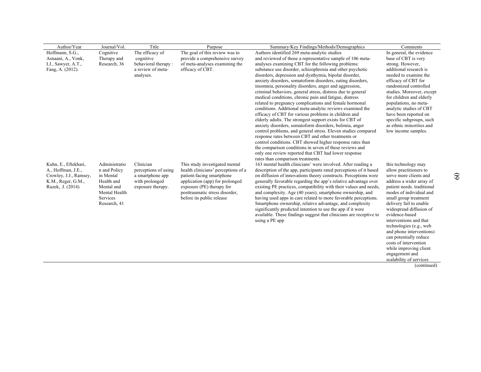| Author/Year            | Journal/Vol.    | Title                | Purpose                             | Summary/Key Findings/Methods/Demographics                                                                       | Comments                   |
|------------------------|-----------------|----------------------|-------------------------------------|-----------------------------------------------------------------------------------------------------------------|----------------------------|
| Hoffmann, S.G.,        | Cognitive       | The efficacy of      | The goal of this review was to      | Authors identified 269 meta-analytic studies                                                                    | In general, the evidence   |
| Asnaani, A., Vonk,     | Therapy and     | cognitive            | provide a comprehensive survey      | and reviewed of those a representative sample of 106 meta-                                                      | base of CBT is very        |
| I.J., Sawyer, A.T.,    | Research, 36    | behavioral therapy:  | of meta-analyses examining the      | analyses examining CBT for the following problems:                                                              | strong. However,           |
| Fang, A. (2012).       |                 | a review of meta-    | efficacy of CBT.                    | substance use disorder, schizophrenia and other psychotic                                                       | additional research is     |
|                        |                 | analyses.            |                                     | disorders, depression and dysthymia, bipolar disorder,                                                          | needed to examine the      |
|                        |                 |                      |                                     | anxiety disorders, somatoform disorders, eating disorders,                                                      | efficacy of CBT for        |
|                        |                 |                      |                                     | insomnia, personality disorders, anger and aggression,                                                          | randomized controlled      |
|                        |                 |                      |                                     | criminal behaviors, general stress, distress due to general                                                     | studies. Moreover, except  |
|                        |                 |                      |                                     | medical conditions, chronic pain and fatigue, distress                                                          | for children and elderly   |
|                        |                 |                      |                                     | related to pregnancy complications and female hormonal                                                          | populations, no meta-      |
|                        |                 |                      |                                     | conditions. Additional meta-analytic reviews examined the                                                       | analytic studies of CBT    |
|                        |                 |                      |                                     | efficacy of CBT for various problems in children and                                                            | have been reported on      |
|                        |                 |                      |                                     | elderly adults. The strongest support exists for CBT of                                                         | specific subgroups, such   |
|                        |                 |                      |                                     | anxiety disorders, somatoform disorders, bulimia, anger                                                         | as ethnic minorities and   |
|                        |                 |                      |                                     | control problems, and general stress. Eleven studies compared                                                   | low income samples.        |
|                        |                 |                      |                                     | response rates between CBT and other treatments or                                                              |                            |
|                        |                 |                      |                                     | control conditions. CBT showed higher response rates than                                                       |                            |
|                        |                 |                      |                                     | the comparison conditions in seven of these reviews and<br>only one review reported that CBT had lower response |                            |
|                        |                 |                      |                                     | rates than comparison treatments.                                                                               |                            |
| Kuhn, E., Eftekhari,   | Administratio   | Clinician            | This study investigated mental      | 163 mental health clinicians' were involved. After reading a                                                    | this technology may        |
| A., Hoffman, J.E.,     | n and Policy    | perceptions of using | health clinicians' perceptions of a | description of the app, participants rated perceptions of it based                                              | allow practitioners to     |
| Crowley, J.J., Ramsey, | in Mental       | a smartphone app     | patient-facing smartphone           | on diffusion of innovations theory constructs. Perceptions were                                                 | serve more clients and     |
| K.M., Reger, G.M.,     | Health and      | with prolonged       | application (app) for prolonged     | generally favorable regarding the app's relative advantage over                                                 | address a wider array of   |
| Ruzek, .I. (2014)      | Mental and      | exposure therapy.    | exposure (PE) therapy for           | existing PE practices, compatibility with their values and needs,                                               | patient needs. traditional |
|                        | Mental Health   |                      | posttraumatic stress disorder,      | and complexity. Age (40 years), smartphone ownership, and                                                       | modes of individual and    |
|                        | <b>Services</b> |                      | before its public release           | having used apps in care related to more favorable perceptions.                                                 | small group treatment      |
|                        | Research, 41    |                      |                                     | Smartphone ownership, relative advantage, and complexity                                                        | delivery fail to enable    |
|                        |                 |                      |                                     | significantly predicted intention to use the app if it were                                                     | widespread diffusion of    |
|                        |                 |                      |                                     | available. These findings suggest that clinicians are receptive to                                              | evidence-based             |
|                        |                 |                      |                                     | using a PE app                                                                                                  | interventions and that     |
|                        |                 |                      |                                     |                                                                                                                 | technologies (e.g., web    |
|                        |                 |                      |                                     |                                                                                                                 | and phone interventions)   |
|                        |                 |                      |                                     |                                                                                                                 | can potentially reduce     |
|                        |                 |                      |                                     |                                                                                                                 | costs of intervention      |
|                        |                 |                      |                                     |                                                                                                                 | while improving client     |
|                        |                 |                      |                                     |                                                                                                                 | engagement and             |
|                        |                 |                      |                                     |                                                                                                                 | scalability of services    |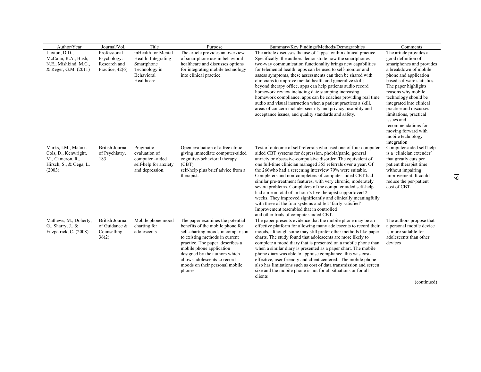| Author/Year                                                                                              | Journal/Vol.                                                     | Title                                                                                                | Purpose                                                                                                                                                                                                                                                                                                                 | Summary/Key Findings/Methods/Demographics                                                                                                                                                                                                                                                                                                                                                                                                                                                                                                                                                                                                                                                                                                                                                              | Comments                                                                                                                                                                                                                                                                                                                                                                                                       |
|----------------------------------------------------------------------------------------------------------|------------------------------------------------------------------|------------------------------------------------------------------------------------------------------|-------------------------------------------------------------------------------------------------------------------------------------------------------------------------------------------------------------------------------------------------------------------------------------------------------------------------|--------------------------------------------------------------------------------------------------------------------------------------------------------------------------------------------------------------------------------------------------------------------------------------------------------------------------------------------------------------------------------------------------------------------------------------------------------------------------------------------------------------------------------------------------------------------------------------------------------------------------------------------------------------------------------------------------------------------------------------------------------------------------------------------------------|----------------------------------------------------------------------------------------------------------------------------------------------------------------------------------------------------------------------------------------------------------------------------------------------------------------------------------------------------------------------------------------------------------------|
| Luxton, D.D.,<br>McCann, R.A., Bush,<br>N.E., Mishkind, M.C.,<br>& Reger, G.M. (2011)                    | Professional<br>Psychology:<br>Research and<br>Practice, $42(6)$ | mHealth for Mental<br>Health: Integrating<br>Smartphone<br>Technology in<br>Behavioral<br>Healthcare | The article provides an overview<br>of smartphone use in behavioral<br>healthcare and discusses options<br>for integrating mobile technology<br>into clinical practice.                                                                                                                                                 | The article discusses the use of "apps" within clinical practice.<br>Specifically, the authors demonstrate how the smartphones<br>two-way communication functionality brings new capabilities<br>for telemental health: apps can be used to self-monitor and<br>assess symptoms, these assessments can then be shared with<br>clinicians to improve mental health and generalize skills<br>beyond therapy office. apps can help patients audio record<br>homework review including date stamping increasing<br>homework compliance, apps can be coaches providing real time<br>audio and visual instruction when a patient practices a skill.<br>areas of concern include: security and privacy, usability and<br>acceptance issues, and quality standards and safety.                                 | The article provides a<br>good definition of<br>smartphones and provides<br>a breakdown of mobile<br>phone and application<br>based software statistics.<br>The paper highlights<br>reasons why mobile<br>technology should be<br>integrated into clinical<br>practice and discusses<br>limitations, practical<br>issues and<br>recommendations for<br>moving forward with<br>mobile technology<br>integration |
| Marks, I.M., Mataix-<br>Cols, D., Kenwright,<br>M., Cameron, R.,<br>Hirsch, S., & Gega, L.<br>$(2003)$ . | <b>British Journal</b><br>of Psychiatry,<br>183                  | Pragmatic<br>evaluation of<br>computer-aided<br>self-help for anxiety<br>and depression.             | Open evaluation of a free clinic<br>giving immediate computer-aided<br>cognitive-behavioral therapy<br>(CBT)<br>self-help plus brief advice from a<br>therapist.                                                                                                                                                        | Test of outcome of self referrals who used one of four computer<br>aided CBT systems for depression, phobia/panic, general<br>anxiety or obsessive-compulsive disorder. The equivalent of<br>one full-time clinician managed 355 referrals over a year. Of<br>the 266who had a screening interview 79% were suitable.<br>Completers and non-completers of computer-aided CBT had<br>similar pre-treatment features, with very chronic, moderately<br>severe problems. Completers of the computer aided self-help<br>had a mean total of an hour's live therapist supportover12<br>weeks. They improved significantly and clinically meaningfully<br>with three of the four systems and felt 'fairly satisfied'.<br>Improvement resembled that in controlled<br>and other trials of computer-aided CBT. | Computer-aided self help<br>is a 'clinician extender'<br>that greatly cuts per<br>patient therapist time<br>without impairing<br>improvement. It could<br>reduce the per-patient<br>cost of CBT.                                                                                                                                                                                                               |
| Mathews, M., Doherty,<br>G., Sharry, J., $\&$<br>Fitzpatrick, C. (2008)                                  | <b>British Journal</b><br>of Guidance &<br>Counselling<br>36(2)  | Mobile phone mood<br>charting for<br>adolescents                                                     | The paper examines the potential<br>benefits of the mobile phone for<br>self-charting moods in comparison<br>to existing methods in current<br>practice. The paper describes a<br>mobile phone application<br>designed by the authors which<br>allows adolescents to record<br>moods on their personal mobile<br>phones | The paper presents evidence that the mobile phone may be an<br>effective platform for allowing many adolescents to record their<br>moods, although some may still prefer other methods like paper<br>charts. The study found that adolescents are more likely to<br>complete a mood diary that is presented on a mobile phone than<br>when a similar diary is presented as a paper chart. The mobile<br>phone diary was able to appraise compliance. this was cost-<br>effective, user friendly and client centered. The mobile phone<br>also has limitations such as cost of data transmission and screen<br>size and the mobile phone is not for all situations or for all<br>clients                                                                                                                | The authors propose that<br>a personal mobile device<br>is more suitable for<br>adolescents than other<br>devices                                                                                                                                                                                                                                                                                              |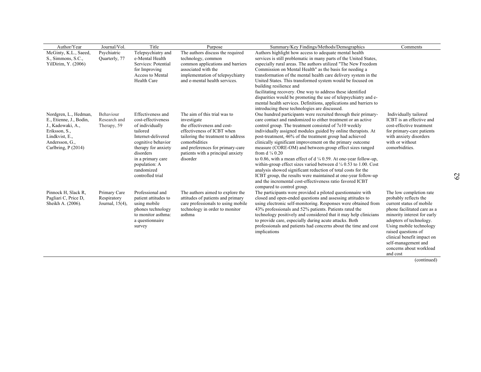| Author/Year             | Journal/Vol.    | Title                       | Purpose                            | Summary/Key Findings/Methods/Demographics                                                                                     | Comments                    |
|-------------------------|-----------------|-----------------------------|------------------------------------|-------------------------------------------------------------------------------------------------------------------------------|-----------------------------|
| McGinty, K.L., Saeed,   | Psychiatric     | Telepsychiatry and          | The authors discuss the required   | Authors highlight how access to adequate mental health                                                                        |                             |
| S., Simmons, S.C.,      | Quarterly, 77   | e-Mental Health             | technology, common                 | services is still problematic in many parts of the United States,                                                             |                             |
| YilDirim, Y. (2006)     |                 | Services: Potential         | common applications and barriers   | especially rural areas. The authors utilized "The New Freedom                                                                 |                             |
|                         |                 | for Improving               | associated with the                | Commission on Mental Health" as the basis for needing a                                                                       |                             |
|                         |                 | Access to Mental            | implementation of telepsychiatry   | transformation of the mental health care delivery system in the                                                               |                             |
|                         |                 | Health Care                 | and e-mental health services.      | United States. This transformed system would be focused on                                                                    |                             |
|                         |                 |                             |                                    | building resilience and                                                                                                       |                             |
|                         |                 |                             |                                    | facilitating recovery. One way to address these identified                                                                    |                             |
|                         |                 |                             |                                    | disparities would be promoting the use of telepsychiatry and e-                                                               |                             |
|                         |                 |                             |                                    | mental health services. Definitions, applications and barriers to                                                             |                             |
|                         |                 |                             |                                    | introducing these technologies are discussed.                                                                                 |                             |
| Nordgren, L., Hedman,   | Behaviour       | Effectiveness and           | The aim of this trial was to       | One hundred participants were recruited through their primary-                                                                | Individually tailored       |
| E., Etienne, J., Bodin, | Research and    | cost-effectiveness          | investigate                        | care contact and randomized to either treatment or an active                                                                  | ICBT is an effective and    |
| J., Kadowaki, A.,       | Therapy, 59     | of individually             | the effectiveness and cost-        | control group. The treatment consisted of 7e10 weekly                                                                         | cost-effective treatment    |
| Eriksson, S.,           |                 | tailored                    | effectiveness of ICBT when         | individually assigned modules guided by online therapists. At                                                                 | for primary-care patients   |
| Lindkvist, E.,          |                 | Internet-delivered          | tailoring the treatment to address | post-treatment, 46% of the treatment group had achieved                                                                       | with anxiety disorders      |
| Andersson, G.,          |                 | cognitive behavior          | comorbidities                      | clinically significant improvement on the primary outcome                                                                     | with or without             |
| Carlbring, P (2014)     |                 | therapy for anxiety         | and preferences for primary-care   | measure (CORE-OM) and between-group effect sizes ranged                                                                       | comorbidities.              |
|                         |                 | disorders                   | patients with a principal anxiety  | from $d \frac{1}{4} 0.20$                                                                                                     |                             |
|                         |                 | in a primary care           | disorder                           | to 0.86, with a mean effect of $d \frac{1}{4}$ 0.59. At one-year follow-up,                                                   |                             |
|                         |                 | population: A<br>randomized |                                    | within-group effect sizes varied between $d \frac{1}{4} 0.53$ to 1.00. Cost                                                   |                             |
|                         |                 | controlled trial            |                                    | analysis showed significant reduction of total costs for the<br>ICBT group, the results were maintained at one-year follow-up |                             |
|                         |                 |                             |                                    | and the incremental cost-effectiveness ratio favored ICBT                                                                     |                             |
|                         |                 |                             |                                    | compared to control group.                                                                                                    |                             |
| Pinnock H, Slack R,     | Primary Care    | Professional and            | The authors aimed to explore the   | The participants were provided a piloted questionnaire with                                                                   | The low completion rate     |
| Pagliari C, Price D,    | Respiratory     | patient attitudes to        | attitudes of patients and primary  | closed and open-ended questions and assessing attitudes to                                                                    | probably reflects the       |
| Sheikh A. (2006).       | Journal, 15(4), | using mobile                | care professionals to using mobile | using electronic self-monitoring. Responses were obtained from                                                                | current status of mobile    |
|                         |                 | phones technology           | technology in order to monitor     | 43% professionals and 52% patients. Patients rated the                                                                        | phone facilitated care as a |
|                         |                 | to monitor asthma:          | asthma                             | technology positively and considered that it may help clinicians                                                              | minority interest for early |
|                         |                 | a questionnaire             |                                    | to provide care, especially during acute attacks. Both                                                                        | adopters of technology.     |
|                         |                 | survey                      |                                    | professionals and patients had concerns about the time and cost                                                               | Using mobile technology     |
|                         |                 |                             |                                    | implications                                                                                                                  | raised questions of         |
|                         |                 |                             |                                    |                                                                                                                               | clinical benefit impact on  |
|                         |                 |                             |                                    |                                                                                                                               | self-management and         |
|                         |                 |                             |                                    |                                                                                                                               | concerns about workload     |
|                         |                 |                             |                                    |                                                                                                                               | and cost                    |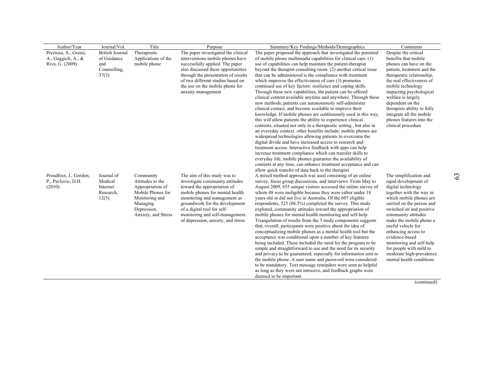| Author/Year                                                     | Journal/Vol.                                                          | Title                                                                                                                                      | Purpose                                                                                                                                                                                                                                                                                                    | Summary/Key Findings/Methods/Demographics                                                                                                                                                                                                                                                                                                                                                                                                                                                                                                                                                                                                                                                                                                                                                                                                                                                                                                                                                                                                                                                                                                                                                                                                                                                                                                                                                                                        | Comments                                                                                                                                                                                                                                                                                                                                                                                                                            |
|-----------------------------------------------------------------|-----------------------------------------------------------------------|--------------------------------------------------------------------------------------------------------------------------------------------|------------------------------------------------------------------------------------------------------------------------------------------------------------------------------------------------------------------------------------------------------------------------------------------------------------|----------------------------------------------------------------------------------------------------------------------------------------------------------------------------------------------------------------------------------------------------------------------------------------------------------------------------------------------------------------------------------------------------------------------------------------------------------------------------------------------------------------------------------------------------------------------------------------------------------------------------------------------------------------------------------------------------------------------------------------------------------------------------------------------------------------------------------------------------------------------------------------------------------------------------------------------------------------------------------------------------------------------------------------------------------------------------------------------------------------------------------------------------------------------------------------------------------------------------------------------------------------------------------------------------------------------------------------------------------------------------------------------------------------------------------|-------------------------------------------------------------------------------------------------------------------------------------------------------------------------------------------------------------------------------------------------------------------------------------------------------------------------------------------------------------------------------------------------------------------------------------|
| Preziosa, A., Grassi,<br>A., Gaggioli, A., &<br>Riva, G. (2009) | <b>British Journal</b><br>of Guidance<br>and<br>Counselling,<br>37(3) | Therapeutic<br>Applications of the<br>mobile phone                                                                                         | The paper investigated the clinical<br>interventions mobile phones have<br>successfully applied. The paper<br>also discussed these opportunities<br>through the presentation of results<br>of two different studies based on<br>the use on the mobile phone for<br>anxiety management                      | The paper proposed the approach that investigated the potential<br>of mobile phone multimedia capabilities for clinical care. (1)<br>use of capabilities can help maintain the patient-therapist<br>beyond the therapist consulting room. (2) another critical issue<br>that can be administered is the compliance with treatment<br>which improves the effectiveness of care (3) promotes<br>continued use of key factors: resilience and coping skills.<br>Through these new capabilities, the patient can be offered<br>clinical content available anytime and anywhere. Through these<br>new methods, patients can autonomously self-administer<br>clinical contact, and become available to improve their<br>knowledge. If mobile phones are continuously used in this way,<br>this will allow patients the ability to experience clinical<br>contents, situated not only in a therapeutic setting, but also in<br>an everyday context, other benefits include: mobile phones are<br>widespread technologies allowing patients to overcome the<br>digital divide and have increased access to research and<br>treatment access. Interactive feedback with apps can help<br>increase treatment compliance which can transfer skills to<br>everyday life, mobile phones guarantee the availability of<br>contents at any time, can enhance treatment acceptance and can<br>allow quick transfer of data back to the therapist | Despite the critical<br>benefits that mobile<br>phones can have on the<br>patient, treatment and the<br>therapeutic relationship,<br>the real effectiveness of<br>mobile technology<br>impacting psychological<br>welfare is largely<br>dependent on the<br>therapists ability to fully<br>integrate all the mobile<br>phones features into the<br>clinical procedure                                                               |
| Proudfoot, J., Gordon,<br>P., Pavlovic, D.H.<br>(2010).         | Journal of<br>Medical<br>Internet<br>Research,<br>$12(5)$ .           | Community<br>Attitudes to the<br>Appropriation of<br>Mobile Phones for<br>Monitoring and<br>Managing<br>Depression,<br>Anxiety, and Stress | The aim of this study was to<br>investigate community attitudes<br>toward the appropriation of<br>mobile phones for mental health<br>monitoring and management as<br>groundwork for the development<br>of a digital tool for self-<br>monitoring and self-management<br>of depression, anxiety, and stress | A mixed method approach was used consisting of an online<br>survey, focus group discussions, and interviews. From May to<br>August 2009, 655 unique visitors accessed the online survey of<br>whom 48 were ineligible because they were either under 18<br>years old or did not live in Australia. Of the 607 eligible<br>respondents, 525 (86.5%) completed the survey. This study<br>explored, community attitudes toward the appropriation of<br>mobile phones for mental health monitoring and self-help.<br>Triangulation of results from the 3 study components suggests<br>that, overall, participants were positive about the idea of<br>conceptualizing mobile phones as a mental health tool but the<br>acceptance was conditional upon a number of key features<br>being included. These included the need for the program to be<br>simple and straightforward to use and the need for its security<br>and privacy to be guaranteed, especially for information sent to<br>the mobile phone. A user name and password were considered<br>to be mandatory. Text message reminders were seen as helpful<br>as long as they were not intrusive, and feedback graphs were<br>deemed to be important.                                                                                                                                                                                                                      | The simplification and<br>rapid development of<br>digital technology<br>together with the way in<br>which mobile phones are<br>carried on the person and<br>switched on and positive<br>community attitudes<br>make the mobile phone a<br>useful vehicle for<br>enhancing access to<br>evidence-based<br>monitoring and self-help<br>for people with mild to<br>moderate high-prevalence<br>mental health conditions<br>(continued) |

63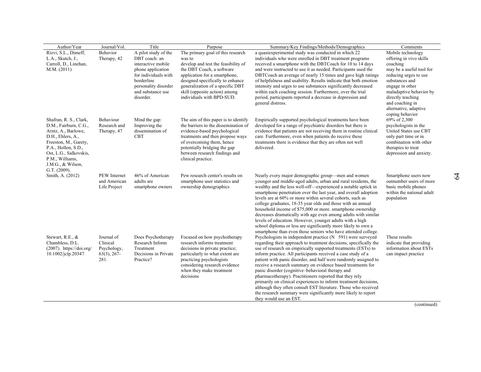| Author/Year                                                                                                                                                                                                                   | Journal/Vol.                                                    | Title                                                                                                                                                                            | Purpose                                                                                                                                                                                                                                                                                | Summary/Key Findings/Methods/Demographics                                                                                                                                                                                                                                                                                                                                                                                                                                                                                                                                                                                                                                                                                                                                                                              | Comments                                                                                                                                                                                                                                                          |  |
|-------------------------------------------------------------------------------------------------------------------------------------------------------------------------------------------------------------------------------|-----------------------------------------------------------------|----------------------------------------------------------------------------------------------------------------------------------------------------------------------------------|----------------------------------------------------------------------------------------------------------------------------------------------------------------------------------------------------------------------------------------------------------------------------------------|------------------------------------------------------------------------------------------------------------------------------------------------------------------------------------------------------------------------------------------------------------------------------------------------------------------------------------------------------------------------------------------------------------------------------------------------------------------------------------------------------------------------------------------------------------------------------------------------------------------------------------------------------------------------------------------------------------------------------------------------------------------------------------------------------------------------|-------------------------------------------------------------------------------------------------------------------------------------------------------------------------------------------------------------------------------------------------------------------|--|
| Rizvi, S.L., Dimeff,<br>L.A., Skutch, J.,<br>Carroll, D., Linehan,<br>M.M. (2011)                                                                                                                                             | Behavior<br>Therapy, 42                                         | A pilot study of the<br>DBT coach: an<br>interactive mobile<br>phone application<br>for individuals with<br>borderline<br>personality disorder<br>and substance use<br>disorder. | The primary goal of this research<br>was to<br>develop and test the feasibility of<br>the DBT Coach, a software<br>application for a smartphone,<br>designed specifically to enhance<br>generalization of a specific DBT<br>skill (opposite action) among<br>individuals with BPD-SUD. | a quasiexperimental study was conducted in which 22<br>individuals who were enrolled in DBT treatment programs<br>received a smartphone with the DBTCoach for 10 to 14 days<br>and were instructed to use it as needed. Participants used the<br>DBTCoach an average of nearly 15 times and gave high ratings<br>of helpfulness and usability. Results indicate that both emotion<br>intensity and urges to use substances significantly decreased<br>within each coaching session. Furthermore, over the trial<br>period, participants reported a decrease in depression and<br>general distress.                                                                                                                                                                                                                     | Mobile technology<br>offering in vivo skills<br>coaching<br>may be a useful tool for<br>reducing urges to use<br>substances and<br>engage in other<br>maladaptive behavior by<br>directly teaching<br>and coaching in<br>alternative, adaptive<br>coping behavior |  |
| Shafran, R. S., Clark,<br>D.M., Fairburn, C.G.,<br>Arntz, A., Barlowe,<br>D.H., Ehlers, A.,<br>Freeston, M., Garety,<br>P.A., Hollon, S.D.,<br>Ost, L.G., Salkovskis,<br>P.M., Williams,<br>J.M.G., & Wilson,<br>G.T. (2009). | Behaviour<br>Research and<br>Therapy, 47                        | Mind the gap:<br>Improving the<br>dissemination of<br><b>CBT</b>                                                                                                                 | The aim of this paper is to identify<br>the barriers to the dissemination of<br>evidence-based psychological<br>treatments and then propose ways<br>of overcoming them, hence<br>potentially bridging the gap<br>between research findings and<br>clinical practice.                   | Empirically supported psychological treatments have been<br>developed for a range of psychiatric disorders but there is<br>evidence that patients are not receiving them in routine clinical<br>care. Furthermore, even when patients do receive these<br>treatments there is evidence that they are often not well<br>delivered.                                                                                                                                                                                                                                                                                                                                                                                                                                                                                      | 69% of 2,300<br>psychologists in the<br>United States use CBT<br>only part time or in<br>combination with other<br>therapies to treat<br>depression and anxiety.                                                                                                  |  |
| Smith, A. (2012)                                                                                                                                                                                                              | <b>PEW</b> Internet<br>and American<br>Life Project             | 46% of American<br>adults are<br>smartphone owners                                                                                                                               | Pew research center's results on<br>smartphone user statistics and<br>ownership demographics                                                                                                                                                                                           | Nearly every major demographic group—men and women<br>younger and middle-aged adults, urban and rural residents, the<br>wealthy and the less well-off-experienced a notable uptick in<br>smartphone penetration over the last year, and overall adoption<br>levels are at 60% or more within several cohorts, such as<br>college graduates, 18-35 year olds and those with an annual<br>household income of \$75,000 or more, smartphone ownership<br>decreases dramatically with age even among adults with similar<br>levels of education. However, younger adults with a high<br>school diploma or less are significantly more likely to own a                                                                                                                                                                      | Smartphone users now<br>outnumber users of more<br>basic mobile phones<br>within the national adult<br>population                                                                                                                                                 |  |
| Stewart, R.E., &<br>Chambless, D.L.<br>$(2007)$ . https://doi.org/<br>10.1002/jclp.20347                                                                                                                                      | Journal of<br>Clinical<br>Psychology,<br>$63(3)$ , 267-<br>281. | Does Psychotherapy<br>Research Inform<br>Treatment<br>Decisions in Private<br>Practice?                                                                                          | Focused on how psychotherapy<br>research informs treatment<br>decisions in private practice;<br>particularly to what extent are<br>practicing psychologists<br>considering research evidence<br>when they make treatment<br>decisions                                                  | smartphone than even those seniors who have attended college.<br>Psychologists in independent practice $(N 591)$ were surveyed<br>regarding their approach to treatment decisions, specifically the<br>use of research on empirically supported treatments (ESTs) to<br>inform practice. All participants received a case study of a<br>patient with panic disorder, and half were randomly assigned to<br>receive a research summary on evidence based treatments for<br>panic disorder (cognitive-behavioral therapy and<br>pharmacotherapy). Practitioners reported that they rely<br>primarily on clinical experiences to inform treatment decisions,<br>although they often consult EST literature. Those who received<br>the research summary were significantly more likely to report<br>they would use an EST. | These results<br>indicate that providing<br>information about ESTs<br>can impact practice                                                                                                                                                                         |  |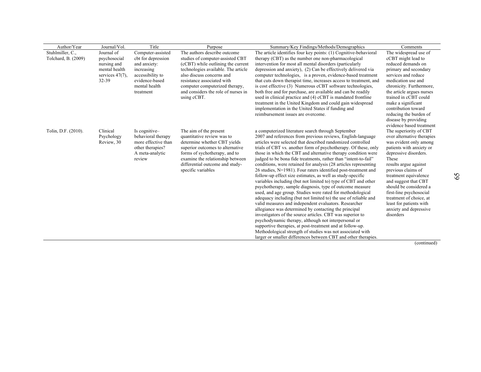| Author/Year         | Journal/Vol.       | Title                                     | Purpose                                                          | Summary/Key Findings/Methods/Demographics                                                                                  | Comments                                           |
|---------------------|--------------------|-------------------------------------------|------------------------------------------------------------------|----------------------------------------------------------------------------------------------------------------------------|----------------------------------------------------|
| Stuhlmiller, C.,    | Journal of         | Computer-assisted                         | The authors describe outcome                                     | The article identifies four key points: (1) Cognitive-behavioral                                                           | The widespread use of                              |
| Tolchard, B. (2009) | psychosocial       | cbt for depression                        | studies of computer-assisted CBT                                 | therapy (CBT) as the number one non-pharmacological                                                                        | cCBT might lead to                                 |
|                     | nursing and        | and anxiety:                              | (cCBT) while outlining the current                               | intervention for most all mental disorders (particularly                                                                   | reduced demands on                                 |
|                     | mental health      | increasing                                | technologies available. The article                              | depression and anxiety), (2) Can be effectively delivered via                                                              | primary and secondary                              |
|                     | services $47(7)$ . | accessibility to                          | also discuss concerns and                                        | computer technologies, is a proven, evidence-based treatment                                                               | services and reduce                                |
|                     | 32-39              | evidence-based                            | resistance associated with                                       | that cuts down therapist time, increases access to treatment, and                                                          | medication use and                                 |
|                     |                    | mental health                             | computer computerized therapy,                                   | is cost effective (3) Numerous cCBT software technologies,                                                                 | chronicity. Furthermore,                           |
|                     |                    | treatment                                 | and considers the role of nurses in                              | both free and for purchase, are available and can be readily                                                               | the article argues nurses                          |
|                     |                    |                                           | using cCBT.                                                      | used in clinical practice and (4) cCBT is mandated frontline                                                               | trained in cCBT could                              |
|                     |                    |                                           |                                                                  | treatment in the United Kingdom and could gain widespread                                                                  | make a significant                                 |
|                     |                    |                                           |                                                                  | implementation in the United States if funding and                                                                         | contribution toward                                |
|                     |                    |                                           |                                                                  | reimbursement issues are overcome.                                                                                         | reducing the burden of                             |
|                     |                    |                                           |                                                                  |                                                                                                                            | disease by providing                               |
|                     |                    |                                           |                                                                  |                                                                                                                            | evidence based treatment                           |
| Tolin, D.F. (2010). | Clinical           | Is cognitive-                             | The aim of the present                                           | a computerized literature search through September                                                                         | The superiority of CBT                             |
|                     | Psychology         | behavioral therapy<br>more effective than | quantitative review was to                                       | 2007 and references from previous reviews, English-language<br>articles were selected that described randomized controlled | over alternative therapies                         |
|                     | Review, 30         | other therapies?                          | determine whether CBT yields<br>superior outcomes to alternative | trials of CBT vs. another form of psychotherapy. Of these, only                                                            | was evident only among<br>patients with anxiety or |
|                     |                    | A meta-analytic                           | forms of sychotherapy, and to                                    | those in which the CBT and alternative therapy condition were                                                              | depressive disorders.                              |
|                     |                    | review                                    | examine the relationship between                                 | judged to be bona fide treatments, rather than "intent-to-fail"                                                            | These                                              |
|                     |                    |                                           | differential outcome and study-                                  | conditions, were retained for analysis (28 articles representing                                                           | results argue against                              |
|                     |                    |                                           | specific variables                                               | 26 studies, N=1981). Four raters identified post-treatment and                                                             | previous claims of                                 |
|                     |                    |                                           |                                                                  | follow-up effect size estimates, as well as study-specific                                                                 | treatment equivalence                              |
|                     |                    |                                           |                                                                  | variables including (but not limited to) type of CBT and other                                                             | and suggest that CBT                               |
|                     |                    |                                           |                                                                  | psychotherapy, sample diagnosis, type of outcome measure                                                                   | should be considered a                             |
|                     |                    |                                           |                                                                  | used, and age group. Studies were rated for methodological                                                                 | first-line psychosocial                            |
|                     |                    |                                           |                                                                  | adequacy including (but not limited to) the use of reliable and                                                            | treatment of choice, at                            |
|                     |                    |                                           |                                                                  | valid measures and independent evaluators. Researcher                                                                      | least for patients with                            |
|                     |                    |                                           |                                                                  | allegiance was determined by contacting the principal                                                                      | anxiety and depressive                             |
|                     |                    |                                           |                                                                  | investigators of the source articles. CBT was superior to                                                                  | disorders                                          |
|                     |                    |                                           |                                                                  | psychodynamic therapy, although not interpersonal or                                                                       |                                                    |
|                     |                    |                                           |                                                                  | supportive therapies, at post-treatment and at follow-up.                                                                  |                                                    |
|                     |                    |                                           |                                                                  | Methodological strength of studies was not associated with                                                                 |                                                    |
|                     |                    |                                           |                                                                  | larger or smaller differences between CBT and other therapies.                                                             |                                                    |

65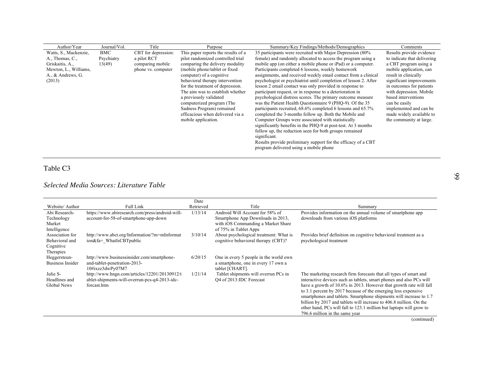| Author/Year           | Journal/Vol. | Title               | Purpose                                                | Summary/Key Findings/Methods/Demographics                                                                                | Comments                                |
|-----------------------|--------------|---------------------|--------------------------------------------------------|--------------------------------------------------------------------------------------------------------------------------|-----------------------------------------|
| Watts, S., Mackenzie, | BMC          | CBT for depression: | This paper reports the results of a                    | 35 participants were recruited with Major Depression (80%)                                                               | Results provide evidence                |
| A., Thomas, C.,       | Psychiatry   | a pilot RCT         | pilot randomized controlled trial                      | female) and randomly allocated to access the program using a                                                             | to indicate that delivering             |
| Griskaitis, A.,       | 13(49)       | comparing mobile    | comparing the delivery modality                        | mobile app (on either a mobile phone or iPad) or a computer.                                                             | a CBT program using a                   |
| Mewton, L., Williams, |              | phone vs. computer  | (mobile phone/tablet or fixed                          | Participants completed 6 lessons, weekly homework                                                                        | mobile application, can                 |
| A., & Andrews, G.     |              |                     | computer) of a cognitive                               | assignments, and received weekly email contact from a clinical                                                           | result in clinically                    |
| (2013)                |              |                     | behavioral therapy intervention                        | psychologist or psychiatrist until completion of lesson 2. After                                                         | significant improvements                |
|                       |              |                     | for the treatment of depression.                       | lesson 2 email contact was only provided in response to                                                                  | in outcomes for patients                |
|                       |              |                     | The aim was to establish whether                       | participant request, or in response to a deterioration in                                                                | with depression. Mobile                 |
|                       |              |                     | a previously validated                                 | psychological distress scores. The primary outcome measure                                                               | based interventions                     |
|                       |              |                     | computerized program (The<br>Sadness Program) remained | was the Patient Health Questionnaire 9 (PHQ-9). Of the 35<br>participants recruited, 68.6% completed 6 lessons and 65.7% | can be easily<br>implemented and can be |
|                       |              |                     | efficacious when delivered via a                       | completed the 3-months follow up. Both the Mobile and                                                                    | made widely available to                |
|                       |              |                     | mobile application.                                    | Computer Groups were associated with statistically                                                                       | the community at large.                 |
|                       |              |                     |                                                        | significantly benefits in the PHQ-9 at post-test. At 3 months                                                            |                                         |
|                       |              |                     |                                                        | follow up, the reduction seen for both groups remained                                                                   |                                         |
|                       |              |                     |                                                        | significant.                                                                                                             |                                         |
|                       |              |                     |                                                        | Results provide preliminary support for the efficacy of a CBT                                                            |                                         |
|                       |              |                     |                                                        | program delivered using a mobile phone                                                                                   |                                         |
|                       |              |                     |                                                        |                                                                                                                          |                                         |

## Table C3

## *Selected Media Sources: Literature Table*

|                                                 | Date                                               |                                        |                                                                     |
|-------------------------------------------------|----------------------------------------------------|----------------------------------------|---------------------------------------------------------------------|
|                                                 |                                                    |                                        | Summary                                                             |
| https://www.abiresearch.com/press/android-will- | 1/13/14                                            | Android Will Account for 58% of        | Provides information on the annual volume of smartphone app         |
|                                                 |                                                    | Smartphone App Downloads in 2013,      | downloads from various iOS platforms                                |
|                                                 |                                                    | with iOS Commanding a Market Share     |                                                                     |
|                                                 |                                                    | of 75% in Tablet Apps                  |                                                                     |
| http://www.abct.org/Information/?m=mInformat    | 3/10/14                                            | About psychological treatment: What is | Provides brief definition on cognitive behavioral treatment as a    |
| ion&fa= WhatIsCBTpublic                         |                                                    | cognitive behavioral therapy (CBT)?    | psychological treatment                                             |
|                                                 |                                                    |                                        |                                                                     |
|                                                 |                                                    |                                        |                                                                     |
| http://www.businessinsider.com/smartphone-      | 6/20/15                                            | One in every 5 people in the world own |                                                                     |
| and-tablet-penetration-2013-                    |                                                    | a smartphone, one in every 17 own a    |                                                                     |
| 10#ixzz3dwPy07M7                                |                                                    | tablet [CHART].                        |                                                                     |
| http://www.hngn.com/articles/12201/20130912/t   | 1/21/14                                            | Tablet shipments will overrun PCs in   | The marketing research firm forecasts that all types of smart and   |
| ablet-shipments-will-overrun-pcs-q4-2013-idc-   |                                                    | O4 of 2013:IDC Forecast                | interactive devices such as tablets, smart phones and also PCs will |
| forcast.htm                                     |                                                    |                                        | have a growth of 10.6% in 2013. However that growth rate will fall  |
|                                                 |                                                    |                                        | to 3.1 percent by 2017 because of the emerging less expensive       |
|                                                 |                                                    |                                        | smartphones and tablets. Smartphone shipments will increase to 1.7  |
|                                                 |                                                    |                                        | billion by 2017 and tablets will increase to 406.8 million. On the  |
|                                                 |                                                    |                                        | other hand, PCs will fall to 123.1 million but laptops will grow to |
|                                                 |                                                    |                                        | 796.6 million in the same year                                      |
|                                                 | Full Link<br>account-for-58-of-smartphone-app-down | Retrieved                              | Title                                                               |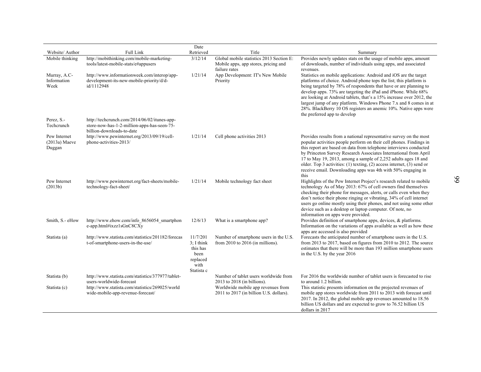|                                           |                                                                                                                          | Date                                                                           |                                                                               |                                                                                                                                                                                                                                                                                                                                                                                                                                                                                                                                |
|-------------------------------------------|--------------------------------------------------------------------------------------------------------------------------|--------------------------------------------------------------------------------|-------------------------------------------------------------------------------|--------------------------------------------------------------------------------------------------------------------------------------------------------------------------------------------------------------------------------------------------------------------------------------------------------------------------------------------------------------------------------------------------------------------------------------------------------------------------------------------------------------------------------|
| Website/Author<br>Mobile thinking         | <b>Full Link</b><br>http://mobithinking.com/mobile-marketing-                                                            | Retrieved<br>3/12/14                                                           | Title<br>Global mobile statistics 2013 Section E:                             | Summary<br>Provides newly updates stats on the usage of mobile apps, amount                                                                                                                                                                                                                                                                                                                                                                                                                                                    |
|                                           | tools/latest-mobile-stats/e#appusers                                                                                     |                                                                                | Mobile apps, app stores, pricing and<br>failure rates                         | of downloads, number of individuals using apps, and associated<br>revenues.                                                                                                                                                                                                                                                                                                                                                                                                                                                    |
| Murray, A.C-<br>Information<br>Week       | http://www.informationweek.com/interop/app-<br>development-its-new-mobile-priority/d/d-<br>id/1112948                    | 1/21/14                                                                        | App Development: IT's New Mobile<br>Priority                                  | Statistics on mobile applications: Android and iOS are the target<br>platforms of choice. Android phone tops the list; this platform is<br>being targeted by 78% of respondents that have or are planning to<br>develop apps. 73% are targeting the iPad and iPhone. While 68%<br>are looking at Android tablets, that's a 15% increase over 2012, the<br>largest jump of any platform. Windows Phone 7.x and 8 comes in at<br>28%. BlackBerry 10 OS registers an anemic 10%. Native apps were<br>the preferred app to develop |
| Perez, S.-<br>Techcrunch                  | http://techcrunch.com/2014/06/02/itunes-app-<br>store-now-has-1-2-million-apps-has-seen-75-<br>billion-downloads-to-date |                                                                                |                                                                               |                                                                                                                                                                                                                                                                                                                                                                                                                                                                                                                                |
| Pew Internet<br>$(2013a)$ Maeve<br>Duggan | http://www.pewinternet.org/2013/09/19/cell-<br>phone-activities-2013/                                                    | 1/21/14                                                                        | Cell phone activities 2013                                                    | Provides results from a national representative survey on the most<br>popular activities people perform on their cell phones. Findings in<br>this report are based on data from telephone interviews conducted<br>by Princeton Survey Research Associates International from April<br>17 to May 19, 2013, among a sample of 2,252 adults ages 18 and<br>older. Top 3 activities: (1) texting, (2) access internet, (3) send or<br>receive email. Downloading apps was 4th with 50% engaging in<br>this                         |
| Pew Internet<br>(2013b)                   | http://www.pewinternet.org/fact-sheets/mobile-<br>technology-fact-sheet/                                                 | 1/21/14                                                                        | Mobile technology fact sheet                                                  | Highlights of the Pew Internet Project's research related to mobile<br>technology As of May 2013: 67% of cell owners find themselves<br>checking their phone for messages, alerts, or calls even when they<br>don't notice their phone ringing or vibrating, 34% of cell internet<br>users go online mostly using their phones, and not using some other<br>device such as a desktop or laptop computer. Of note, no<br>information on apps were provided.                                                                     |
| Smith, S.- eHow                           | http://www.ehow.com/info_8656054_smartphon<br>e-app.html#ixzz1sGnC8CXy                                                   | 12/6/13                                                                        | What is a smartphone app?                                                     | Provides definition of smartphone apps, devices, & platforms.<br>Information on the variations of apps available as well as how these<br>apps are accessed is also provided                                                                                                                                                                                                                                                                                                                                                    |
| Statista (a)                              | http://www.statista.com/statistics/201182/forecas<br>t-of-smartphone-users-in-the-use/                                   | 11/7/201<br>$3: I$ think<br>this has<br>been<br>replaced<br>with<br>Statista c | Number of smartphone users in the U.S.<br>from 2010 to 2016 (in millions).    | Forecasts the anticipated number of smartphone users in the U.S.<br>from 2013 to 2017, based on figures from 2010 to 2012. The source<br>estimates that there will be more than 193 million smartphone users<br>in the U.S. by the year 2016                                                                                                                                                                                                                                                                                   |
| Statista (b)                              | http://www.statista.com/statistics/377977/tablet-<br>users-worldwide-forecast                                            |                                                                                | Number of tablet users worldwide from<br>$2013$ to $2018$ (in billions).      | For 2016 the worldwide number of tablet users is forecasted to rise<br>to around 1.2 billion.                                                                                                                                                                                                                                                                                                                                                                                                                                  |
| Statista (c)                              | http://www.statista.com/statistics/269025/world<br>wide-mobile-app-revenue-forecast/                                     |                                                                                | Worldwide mobile app revenues from<br>2011 to 2017 (in billion U.S. dollars). | This statistic presents information on the projected revenues of<br>mobile app stores worldwide from 2011 to 2013 with forecast until<br>2017. In 2012, the global mobile app revenues amounted to 18.56<br>billion US dollars and are expected to grow to 76.52 billion US<br>dollars in 2017                                                                                                                                                                                                                                 |